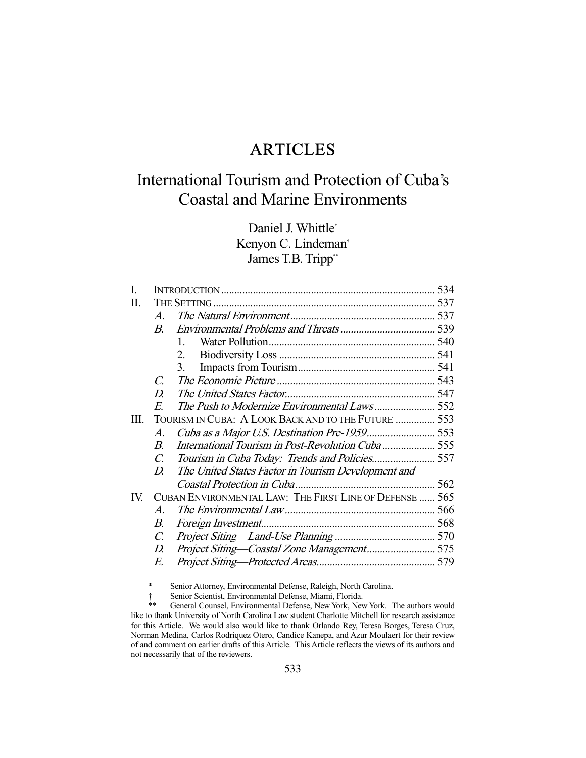## ARTICLES

# International Tourism and Protection of Cuba's Coastal and Marine Environments

Daniel J. Whittle\* Kenyon C. Lindeman† James T.B. Tripp\*\*

| I.   |                                                         |                                                     | 534 |
|------|---------------------------------------------------------|-----------------------------------------------------|-----|
| П.   |                                                         |                                                     |     |
|      | $\mathcal{A}$                                           |                                                     |     |
|      | $\boldsymbol{B}$                                        |                                                     |     |
|      |                                                         | $\mathbf{1}$                                        |     |
|      |                                                         | 2.                                                  |     |
|      |                                                         | 3.                                                  |     |
|      | C.                                                      |                                                     |     |
|      | D.                                                      |                                                     |     |
|      | E.                                                      |                                                     |     |
| III. | TOURISM IN CUBA: A LOOK BACK AND TO THE FUTURE  553     |                                                     |     |
|      | $\mathcal{A}.$                                          |                                                     |     |
|      | $B_{\cdot}$                                             | International Tourism in Post-Revolution Cuba555    |     |
|      | C.                                                      |                                                     |     |
|      | D.                                                      | The United States Factor in Tourism Development and |     |
|      |                                                         |                                                     |     |
| IV.  | CUBAN ENVIRONMENTAL LAW: THE FIRST LINE OF DEFENSE  565 |                                                     |     |
|      | $\mathcal{A}$                                           |                                                     |     |
|      | $B_{\cdot}$                                             |                                                     |     |
|      | $\mathcal{C}$ .                                         |                                                     |     |
|      | D.                                                      |                                                     |     |
|      | E.                                                      |                                                     |     |
|      |                                                         |                                                     |     |

\* Senior Attorney, Environmental Defense, Raleigh, North Carolina.

 <sup>†</sup> Senior Scientist, Environmental Defense, Miami, Florida.

General Counsel, Environmental Defense, New York, New York. The authors would like to thank University of North Carolina Law student Charlotte Mitchell for research assistance for this Article. We would also would like to thank Orlando Rey, Teresa Borges, Teresa Cruz, Norman Medina, Carlos Rodriquez Otero, Candice Kanepa, and Azur Moulaert for their review of and comment on earlier drafts of this Article. This Article reflects the views of its authors and not necessarily that of the reviewers.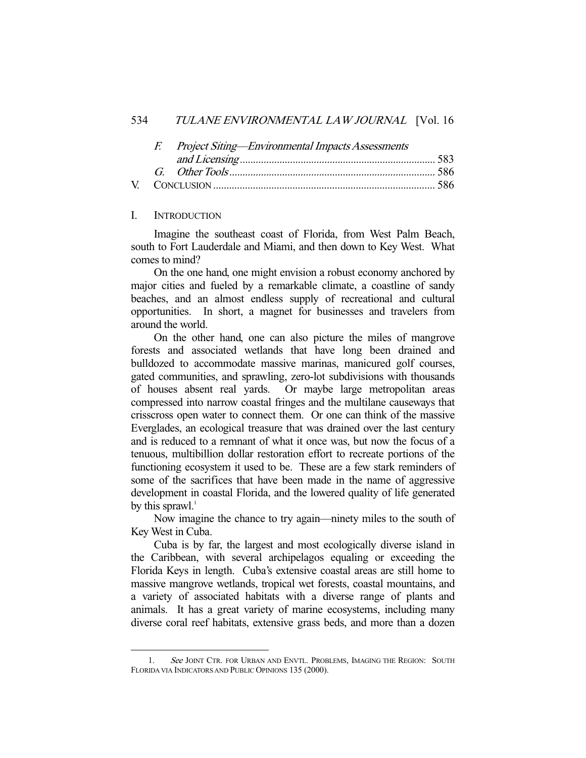#### 534 TULANE ENVIRONMENTAL LAW JOURNAL [Vol. 16

| F. Project Siting—Environmental Impacts Assessments |  |  |
|-----------------------------------------------------|--|--|
|                                                     |  |  |
|                                                     |  |  |
|                                                     |  |  |

#### I. INTRODUCTION

-

 Imagine the southeast coast of Florida, from West Palm Beach, south to Fort Lauderdale and Miami, and then down to Key West. What comes to mind?

 On the one hand, one might envision a robust economy anchored by major cities and fueled by a remarkable climate, a coastline of sandy beaches, and an almost endless supply of recreational and cultural opportunities. In short, a magnet for businesses and travelers from around the world.

 On the other hand, one can also picture the miles of mangrove forests and associated wetlands that have long been drained and bulldozed to accommodate massive marinas, manicured golf courses, gated communities, and sprawling, zero-lot subdivisions with thousands of houses absent real yards. Or maybe large metropolitan areas compressed into narrow coastal fringes and the multilane causeways that crisscross open water to connect them. Or one can think of the massive Everglades, an ecological treasure that was drained over the last century and is reduced to a remnant of what it once was, but now the focus of a tenuous, multibillion dollar restoration effort to recreate portions of the functioning ecosystem it used to be. These are a few stark reminders of some of the sacrifices that have been made in the name of aggressive development in coastal Florida, and the lowered quality of life generated by this sprawl. $<sup>1</sup>$ </sup>

 Now imagine the chance to try again—ninety miles to the south of Key West in Cuba.

 Cuba is by far, the largest and most ecologically diverse island in the Caribbean, with several archipelagos equaling or exceeding the Florida Keys in length. Cuba's extensive coastal areas are still home to massive mangrove wetlands, tropical wet forests, coastal mountains, and a variety of associated habitats with a diverse range of plants and animals. It has a great variety of marine ecosystems, including many diverse coral reef habitats, extensive grass beds, and more than a dozen

<sup>1.</sup> See JOINT CTR. FOR URBAN AND ENVTL. PROBLEMS, IMAGING THE REGION: SOUTH FLORIDA VIA INDICATORS AND PUBLIC OPINIONS 135 (2000).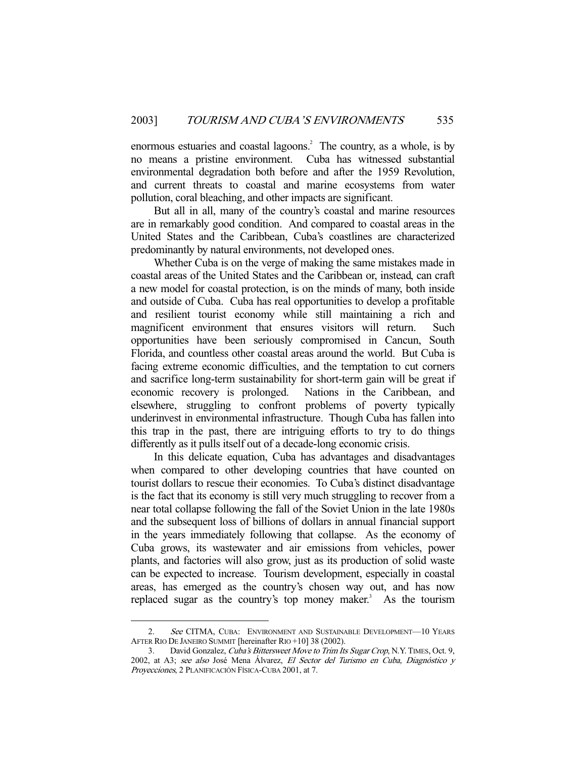enormous estuaries and coastal lagoons.<sup>2</sup> The country, as a whole, is by no means a pristine environment. Cuba has witnessed substantial environmental degradation both before and after the 1959 Revolution, and current threats to coastal and marine ecosystems from water pollution, coral bleaching, and other impacts are significant.

 But all in all, many of the country's coastal and marine resources are in remarkably good condition. And compared to coastal areas in the United States and the Caribbean, Cuba's coastlines are characterized predominantly by natural environments, not developed ones.

 Whether Cuba is on the verge of making the same mistakes made in coastal areas of the United States and the Caribbean or, instead, can craft a new model for coastal protection, is on the minds of many, both inside and outside of Cuba. Cuba has real opportunities to develop a profitable and resilient tourist economy while still maintaining a rich and magnificent environment that ensures visitors will return. Such opportunities have been seriously compromised in Cancun, South Florida, and countless other coastal areas around the world. But Cuba is facing extreme economic difficulties, and the temptation to cut corners and sacrifice long-term sustainability for short-term gain will be great if economic recovery is prolonged. Nations in the Caribbean, and elsewhere, struggling to confront problems of poverty typically underinvest in environmental infrastructure. Though Cuba has fallen into this trap in the past, there are intriguing efforts to try to do things differently as it pulls itself out of a decade-long economic crisis.

 In this delicate equation, Cuba has advantages and disadvantages when compared to other developing countries that have counted on tourist dollars to rescue their economies. To Cuba's distinct disadvantage is the fact that its economy is still very much struggling to recover from a near total collapse following the fall of the Soviet Union in the late 1980s and the subsequent loss of billions of dollars in annual financial support in the years immediately following that collapse. As the economy of Cuba grows, its wastewater and air emissions from vehicles, power plants, and factories will also grow, just as its production of solid waste can be expected to increase. Tourism development, especially in coastal areas, has emerged as the country's chosen way out, and has now replaced sugar as the country's top money maker.<sup>3</sup> As the tourism

<sup>2.</sup> See CITMA, CUBA: ENVIRONMENT AND SUSTAINABLE DEVELOPMENT-10 YEARS AFTER RIO DE JANEIRO SUMMIT [hereinafter RIO +10] 38 (2002).

<sup>3.</sup> David Gonzalez, Cuba's Bittersweet Move to Trim Its Sugar Crop, N.Y. TIMES, Oct. 9, 2002, at A3; see also José Mena Álvarez, El Sector del Turismo en Cuba, Diagnóstico y Proyecciones, 2 PLANIFICACIÓN FÍSICA-CUBA 2001, at 7.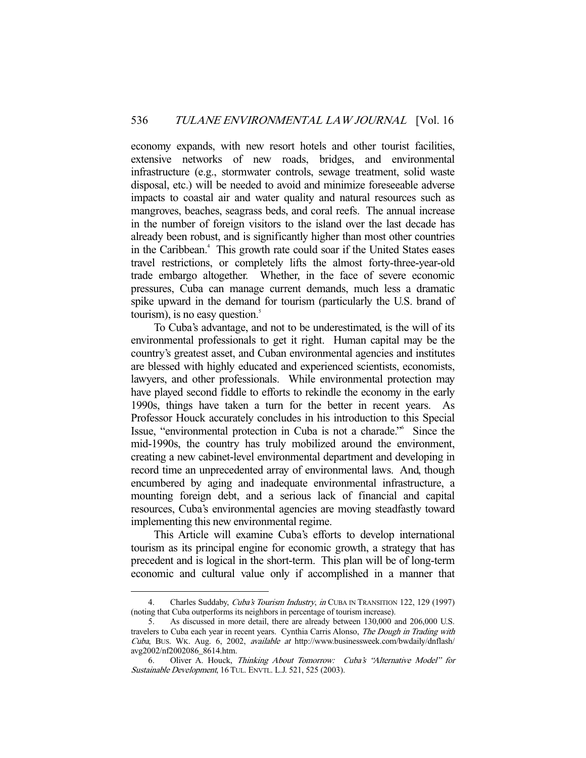economy expands, with new resort hotels and other tourist facilities, extensive networks of new roads, bridges, and environmental infrastructure (e.g., stormwater controls, sewage treatment, solid waste disposal, etc.) will be needed to avoid and minimize foreseeable adverse impacts to coastal air and water quality and natural resources such as mangroves, beaches, seagrass beds, and coral reefs. The annual increase in the number of foreign visitors to the island over the last decade has already been robust, and is significantly higher than most other countries in the Caribbean.4 This growth rate could soar if the United States eases travel restrictions, or completely lifts the almost forty-three-year-old trade embargo altogether. Whether, in the face of severe economic pressures, Cuba can manage current demands, much less a dramatic spike upward in the demand for tourism (particularly the U.S. brand of tourism), is no easy question. $\frac{5}{5}$ 

 To Cuba's advantage, and not to be underestimated, is the will of its environmental professionals to get it right. Human capital may be the country's greatest asset, and Cuban environmental agencies and institutes are blessed with highly educated and experienced scientists, economists, lawyers, and other professionals. While environmental protection may have played second fiddle to efforts to rekindle the economy in the early 1990s, things have taken a turn for the better in recent years. As Professor Houck accurately concludes in his introduction to this Special Issue, "environmental protection in Cuba is not a charade."6 Since the mid-1990s, the country has truly mobilized around the environment, creating a new cabinet-level environmental department and developing in record time an unprecedented array of environmental laws. And, though encumbered by aging and inadequate environmental infrastructure, a mounting foreign debt, and a serious lack of financial and capital resources, Cuba's environmental agencies are moving steadfastly toward implementing this new environmental regime.

 This Article will examine Cuba's efforts to develop international tourism as its principal engine for economic growth, a strategy that has precedent and is logical in the short-term. This plan will be of long-term economic and cultural value only if accomplished in a manner that

<sup>4.</sup> Charles Suddaby, *Cuba's Tourism Industry, in* CUBA IN TRANSITION 122, 129 (1997) (noting that Cuba outperforms its neighbors in percentage of tourism increase).

 <sup>5.</sup> As discussed in more detail, there are already between 130,000 and 206,000 U.S. travelers to Cuba each year in recent years. Cynthia Carris Alonso, The Dough in Trading with Cuba, BUS. WK. Aug. 6, 2002, available at http://www.businessweek.com/bwdaily/dnflash/ avg2002/nf2002086\_8614.htm.

 <sup>6.</sup> Oliver A. Houck, Thinking About Tomorrow: Cuba's "Alternative Model" for Sustainable Development, 16 TUL. ENVTL. L.J. 521, 525 (2003).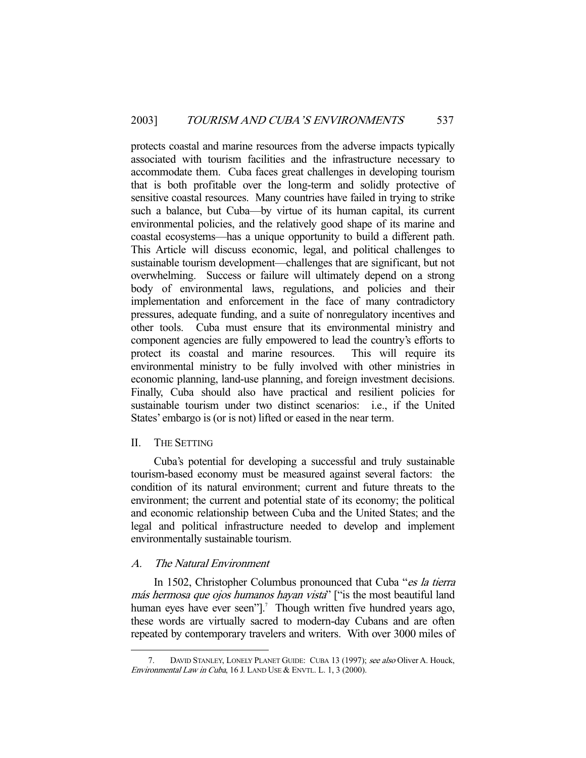protects coastal and marine resources from the adverse impacts typically associated with tourism facilities and the infrastructure necessary to accommodate them. Cuba faces great challenges in developing tourism that is both profitable over the long-term and solidly protective of sensitive coastal resources. Many countries have failed in trying to strike such a balance, but Cuba—by virtue of its human capital, its current environmental policies, and the relatively good shape of its marine and coastal ecosystems—has a unique opportunity to build a different path. This Article will discuss economic, legal, and political challenges to sustainable tourism development—challenges that are significant, but not overwhelming. Success or failure will ultimately depend on a strong body of environmental laws, regulations, and policies and their implementation and enforcement in the face of many contradictory pressures, adequate funding, and a suite of nonregulatory incentives and other tools. Cuba must ensure that its environmental ministry and component agencies are fully empowered to lead the country's efforts to protect its coastal and marine resources. This will require its environmental ministry to be fully involved with other ministries in economic planning, land-use planning, and foreign investment decisions. Finally, Cuba should also have practical and resilient policies for sustainable tourism under two distinct scenarios: i.e., if the United States' embargo is (or is not) lifted or eased in the near term.

#### II. THE SETTING

-

 Cuba's potential for developing a successful and truly sustainable tourism-based economy must be measured against several factors: the condition of its natural environment; current and future threats to the environment; the current and potential state of its economy; the political and economic relationship between Cuba and the United States; and the legal and political infrastructure needed to develop and implement environmentally sustainable tourism.

### A. The Natural Environment

In 1502, Christopher Columbus pronounced that Cuba "es la tierra más hermosa que ojos humanos hayan vista" ["is the most beautiful land human eyes have ever seen"].<sup>7</sup> Though written five hundred years ago, these words are virtually sacred to modern-day Cubans and are often repeated by contemporary travelers and writers. With over 3000 miles of

<sup>7.</sup> DAVID STANLEY, LONELY PLANET GUIDE: CUBA 13 (1997); see also Oliver A. Houck, Environmental Law in Cuba, 16 J. LAND USE & ENVTL. L. 1, 3 (2000).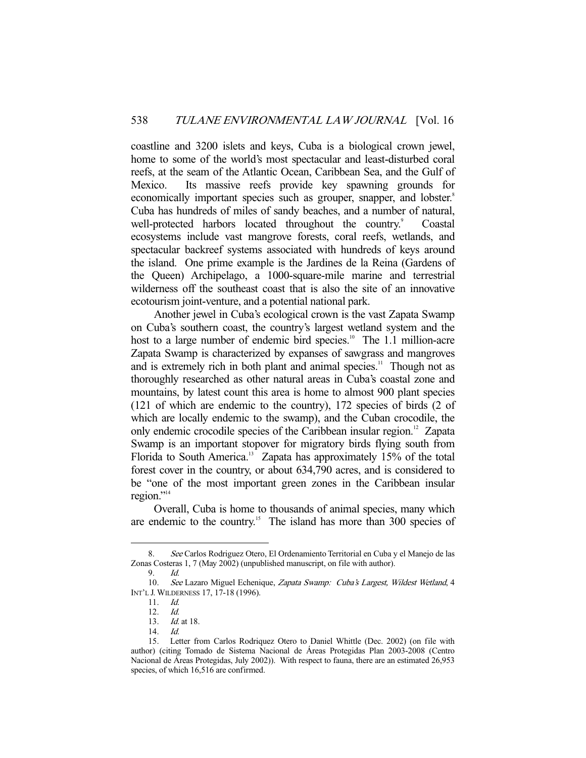coastline and 3200 islets and keys, Cuba is a biological crown jewel, home to some of the world's most spectacular and least-disturbed coral reefs, at the seam of the Atlantic Ocean, Caribbean Sea, and the Gulf of Mexico. Its massive reefs provide key spawning grounds for economically important species such as grouper, snapper, and lobster.<sup>8</sup> Cuba has hundreds of miles of sandy beaches, and a number of natural, well-protected harbors located throughout the country.<sup>9</sup> Coastal ecosystems include vast mangrove forests, coral reefs, wetlands, and spectacular backreef systems associated with hundreds of keys around the island. One prime example is the Jardines de la Reina (Gardens of the Queen) Archipelago, a 1000-square-mile marine and terrestrial wilderness off the southeast coast that is also the site of an innovative ecotourism joint-venture, and a potential national park.

 Another jewel in Cuba's ecological crown is the vast Zapata Swamp on Cuba's southern coast, the country's largest wetland system and the host to a large number of endemic bird species.<sup>10</sup> The 1.1 million-acre Zapata Swamp is characterized by expanses of sawgrass and mangroves and is extremely rich in both plant and animal species.<sup>11</sup> Though not as thoroughly researched as other natural areas in Cuba's coastal zone and mountains, by latest count this area is home to almost 900 plant species (121 of which are endemic to the country), 172 species of birds (2 of which are locally endemic to the swamp), and the Cuban crocodile, the only endemic crocodile species of the Caribbean insular region.<sup>12</sup> Zapata Swamp is an important stopover for migratory birds flying south from Florida to South America.<sup>13</sup> Zapata has approximately 15% of the total forest cover in the country, or about 634,790 acres, and is considered to be "one of the most important green zones in the Caribbean insular region." $14$ 

 Overall, Cuba is home to thousands of animal species, many which are endemic to the country.<sup>15</sup> The island has more than 300 species of

 <sup>8.</sup> See Carlos Rodriguez Otero, El Ordenamiento Territorial en Cuba y el Manejo de las Zonas Costeras 1, 7 (May 2002) (unpublished manuscript, on file with author).

 <sup>9.</sup> Id.

<sup>10.</sup> See Lazaro Miguel Echenique, Zapata Swamp: Cuba's Largest, Wildest Wetland, 4 INT'L J. WILDERNESS 17, 17-18 (1996).

 <sup>11.</sup> Id.

<sup>12.</sup> *Id.*<br>13. *Id.* 

*Id.* at 18.

 <sup>14.</sup> Id.

 <sup>15.</sup> Letter from Carlos Rodriquez Otero to Daniel Whittle (Dec. 2002) (on file with author) (citing Tomado de Sistema Nacional de Áreas Protegidas Plan 2003-2008 (Centro Nacional de Áreas Protegidas, July 2002)). With respect to fauna, there are an estimated 26,953 species, of which 16,516 are confirmed.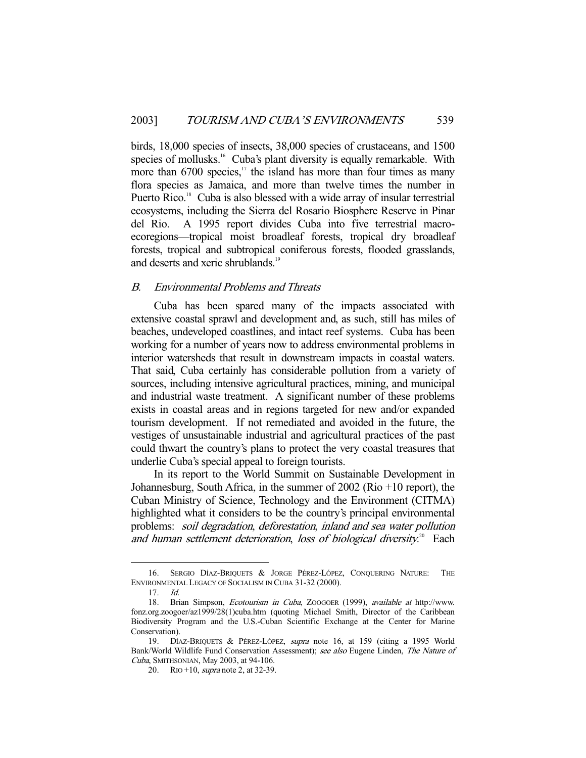birds, 18,000 species of insects, 38,000 species of crustaceans, and 1500 species of mollusks.<sup>16</sup> Cuba's plant diversity is equally remarkable. With more than  $6700$  species,<sup>17</sup> the island has more than four times as many flora species as Jamaica, and more than twelve times the number in Puerto Rico.<sup>18</sup> Cuba is also blessed with a wide array of insular terrestrial ecosystems, including the Sierra del Rosario Biosphere Reserve in Pinar del Rio. A 1995 report divides Cuba into five terrestrial macroecoregions—tropical moist broadleaf forests, tropical dry broadleaf forests, tropical and subtropical coniferous forests, flooded grasslands, and deserts and xeric shrublands.<sup>19</sup>

## B. Environmental Problems and Threats

 Cuba has been spared many of the impacts associated with extensive coastal sprawl and development and, as such, still has miles of beaches, undeveloped coastlines, and intact reef systems. Cuba has been working for a number of years now to address environmental problems in interior watersheds that result in downstream impacts in coastal waters. That said, Cuba certainly has considerable pollution from a variety of sources, including intensive agricultural practices, mining, and municipal and industrial waste treatment. A significant number of these problems exists in coastal areas and in regions targeted for new and/or expanded tourism development. If not remediated and avoided in the future, the vestiges of unsustainable industrial and agricultural practices of the past could thwart the country's plans to protect the very coastal treasures that underlie Cuba's special appeal to foreign tourists.

 In its report to the World Summit on Sustainable Development in Johannesburg, South Africa, in the summer of 2002 (Rio +10 report), the Cuban Ministry of Science, Technology and the Environment (CITMA) highlighted what it considers to be the country's principal environmental problems: soil degradation, deforestation, inland and sea water pollution and human settlement deterioration, loss of biological diversity. $2^{\circ}$  Each

 <sup>16.</sup> SERGIO DÍAZ-BRIQUETS & JORGE PÉREZ-LÓPEZ, CONQUERING NATURE: THE ENVIRONMENTAL LEGACY OF SOCIALISM IN CUBA 31-32 (2000).

 $17$  Id.

 <sup>18.</sup> Brian Simpson, Ecotourism in Cuba, ZOOGOER (1999), available at http://www. fonz.org.zoogoer/az1999/28(1)cuba.htm (quoting Michael Smith, Director of the Caribbean Biodiversity Program and the U.S.-Cuban Scientific Exchange at the Center for Marine Conservation).

<sup>19.</sup> DÍAZ-BRIQUETS & PÉREZ-LÓPEZ, supra note 16, at 159 (citing a 1995 World Bank/World Wildlife Fund Conservation Assessment); see also Eugene Linden, The Nature of Cuba, SMITHSONIAN, May 2003, at 94-106.

<sup>20.</sup> RIO +10, *supra* note 2, at 32-39.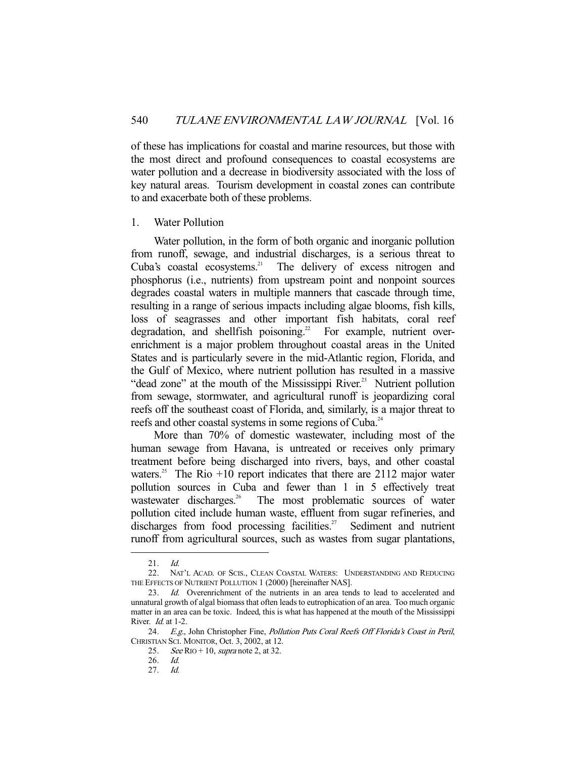of these has implications for coastal and marine resources, but those with the most direct and profound consequences to coastal ecosystems are water pollution and a decrease in biodiversity associated with the loss of key natural areas. Tourism development in coastal zones can contribute to and exacerbate both of these problems.

#### 1. Water Pollution

 Water pollution, in the form of both organic and inorganic pollution from runoff, sewage, and industrial discharges, is a serious threat to Cuba's coastal ecosystems.<sup>21</sup> The delivery of excess nitrogen and phosphorus (i.e., nutrients) from upstream point and nonpoint sources degrades coastal waters in multiple manners that cascade through time, resulting in a range of serious impacts including algae blooms, fish kills, loss of seagrasses and other important fish habitats, coral reef degradation, and shellfish poisoning.<sup>22</sup> For example, nutrient overenrichment is a major problem throughout coastal areas in the United States and is particularly severe in the mid-Atlantic region, Florida, and the Gulf of Mexico, where nutrient pollution has resulted in a massive "dead zone" at the mouth of the Mississippi River.<sup>23</sup> Nutrient pollution from sewage, stormwater, and agricultural runoff is jeopardizing coral reefs off the southeast coast of Florida, and, similarly, is a major threat to reefs and other coastal systems in some regions of Cuba.<sup>24</sup>

 More than 70% of domestic wastewater, including most of the human sewage from Havana, is untreated or receives only primary treatment before being discharged into rivers, bays, and other coastal waters.<sup>25</sup> The Rio  $+10$  report indicates that there are 2112 major water pollution sources in Cuba and fewer than 1 in 5 effectively treat wastewater discharges.<sup>26</sup> The most problematic sources of water pollution cited include human waste, effluent from sugar refineries, and discharges from food processing facilities.<sup>27</sup> Sediment and nutrient runoff from agricultural sources, such as wastes from sugar plantations,

 <sup>21.</sup> Id.

 <sup>22.</sup> NAT'L ACAD. OF SCIS., CLEAN COASTAL WATERS: UNDERSTANDING AND REDUCING THE EFFECTS OF NUTRIENT POLLUTION 1 (2000) [hereinafter NAS].

 <sup>23.</sup> Id. Overenrichment of the nutrients in an area tends to lead to accelerated and unnatural growth of algal biomass that often leads to eutrophication of an area. Too much organic matter in an area can be toxic. Indeed, this is what has happened at the mouth of the Mississippi River. *Id.* at 1-2.

<sup>24.</sup> E.g., John Christopher Fine, Pollution Puts Coral Reefs Off Florida's Coast in Peril, CHRISTIAN SCI. MONITOR, Oct. 3, 2002, at 12.

<sup>25.</sup> See RIO + 10, supra note 2, at 32.

 <sup>26.</sup> Id.

 <sup>27.</sup> Id.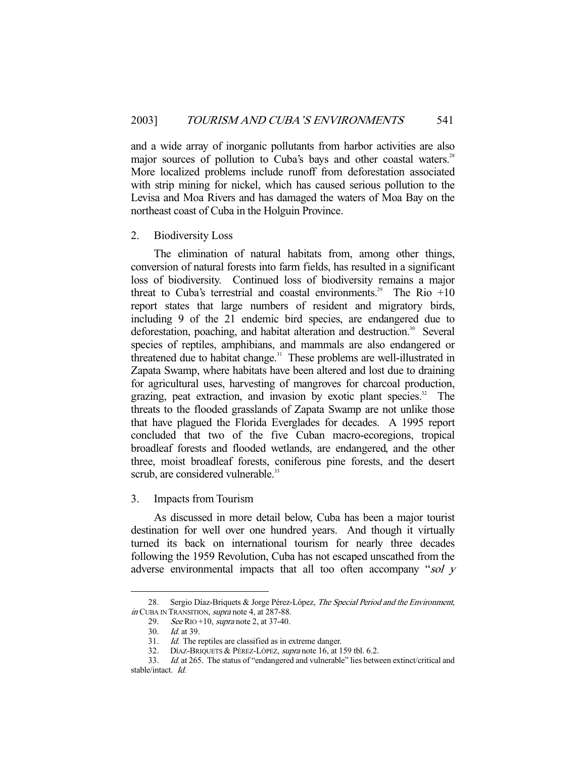and a wide array of inorganic pollutants from harbor activities are also major sources of pollution to Cuba's bays and other coastal waters.<sup>28</sup> More localized problems include runoff from deforestation associated with strip mining for nickel, which has caused serious pollution to the Levisa and Moa Rivers and has damaged the waters of Moa Bay on the northeast coast of Cuba in the Holguin Province.

#### 2. Biodiversity Loss

 The elimination of natural habitats from, among other things, conversion of natural forests into farm fields, has resulted in a significant loss of biodiversity. Continued loss of biodiversity remains a major threat to Cuba's terrestrial and coastal environments.<sup>29</sup> The Rio  $+10$ report states that large numbers of resident and migratory birds, including 9 of the 21 endemic bird species, are endangered due to deforestation, poaching, and habitat alteration and destruction.<sup>30</sup> Several species of reptiles, amphibians, and mammals are also endangered or threatened due to habitat change.<sup>31</sup> These problems are well-illustrated in Zapata Swamp, where habitats have been altered and lost due to draining for agricultural uses, harvesting of mangroves for charcoal production, grazing, peat extraction, and invasion by exotic plant species.<sup>32</sup> The threats to the flooded grasslands of Zapata Swamp are not unlike those that have plagued the Florida Everglades for decades. A 1995 report concluded that two of the five Cuban macro-ecoregions, tropical broadleaf forests and flooded wetlands, are endangered, and the other three, moist broadleaf forests, coniferous pine forests, and the desert scrub, are considered vulnerable.<sup>33</sup>

3. Impacts from Tourism

 As discussed in more detail below, Cuba has been a major tourist destination for well over one hundred years. And though it virtually turned its back on international tourism for nearly three decades following the 1959 Revolution, Cuba has not escaped unscathed from the adverse environmental impacts that all too often accompany "sol y

<sup>28.</sup> Sergio Díaz-Briquets & Jorge Pérez-López, The Special Period and the Environment, in CUBA IN TRANSITION, supra note 4, at 287-88.

<sup>29.</sup> See RIO +10, supra note 2, at 37-40.

 <sup>30.</sup> Id. at 39.

 <sup>31.</sup> Id. The reptiles are classified as in extreme danger.

 <sup>32.</sup> DÍAZ-BRIQUETS & PÉREZ-LÓPEZ, supra note 16, at 159 tbl. 6.2.

 <sup>33.</sup> Id. at 265. The status of "endangered and vulnerable" lies between extinct/critical and stable/intact. Id.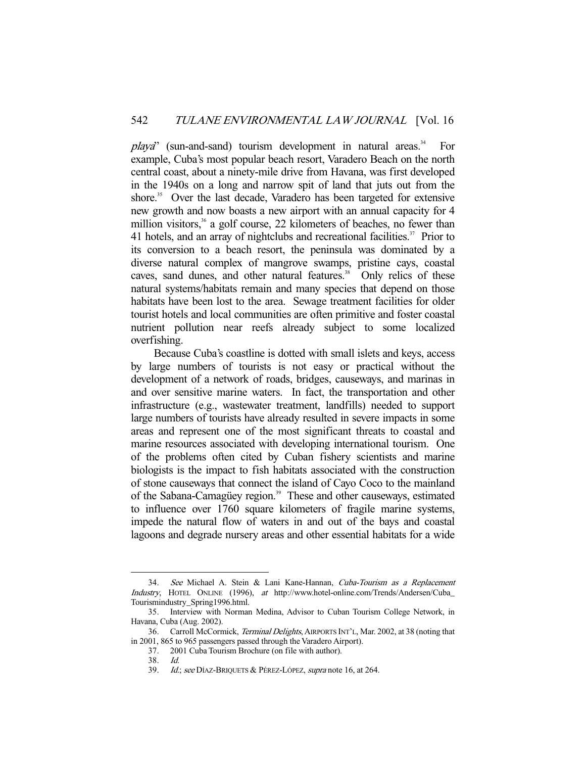$playa"$  (sun-and-sand) tourism development in natural areas.<sup>34</sup> For example, Cuba's most popular beach resort, Varadero Beach on the north central coast, about a ninety-mile drive from Havana, was first developed in the 1940s on a long and narrow spit of land that juts out from the shore.<sup>35</sup> Over the last decade, Varadero has been targeted for extensive new growth and now boasts a new airport with an annual capacity for 4 million visitors, $36$  a golf course, 22 kilometers of beaches, no fewer than 41 hotels, and an array of nightclubs and recreational facilities.<sup>37</sup> Prior to its conversion to a beach resort, the peninsula was dominated by a diverse natural complex of mangrove swamps, pristine cays, coastal caves, sand dunes, and other natural features.<sup>38</sup> Only relics of these natural systems/habitats remain and many species that depend on those habitats have been lost to the area. Sewage treatment facilities for older tourist hotels and local communities are often primitive and foster coastal nutrient pollution near reefs already subject to some localized overfishing.

 Because Cuba's coastline is dotted with small islets and keys, access by large numbers of tourists is not easy or practical without the development of a network of roads, bridges, causeways, and marinas in and over sensitive marine waters. In fact, the transportation and other infrastructure (e.g., wastewater treatment, landfills) needed to support large numbers of tourists have already resulted in severe impacts in some areas and represent one of the most significant threats to coastal and marine resources associated with developing international tourism. One of the problems often cited by Cuban fishery scientists and marine biologists is the impact to fish habitats associated with the construction of stone causeways that connect the island of Cayo Coco to the mainland of the Sabana-Camagüey region.<sup>39</sup> These and other causeways, estimated to influence over 1760 square kilometers of fragile marine systems, impede the natural flow of waters in and out of the bays and coastal lagoons and degrade nursery areas and other essential habitats for a wide

<sup>34.</sup> See Michael A. Stein & Lani Kane-Hannan, Cuba-Tourism as a Replacement Industry, HOTEL ONLINE (1996), at http://www.hotel-online.com/Trends/Andersen/Cuba\_ Tourismindustry\_Spring1996.html.

 <sup>35.</sup> Interview with Norman Medina, Advisor to Cuban Tourism College Network, in Havana, Cuba (Aug. 2002).

 <sup>36.</sup> Carroll McCormick, Terminal Delights, AIRPORTS INT'L, Mar. 2002, at 38 (noting that in 2001, 865 to 965 passengers passed through the Varadero Airport).

 <sup>37. 2001</sup> Cuba Tourism Brochure (on file with author).

 <sup>38.</sup> Id.

<sup>39.</sup> Id.; see DÍAZ-BRIQUETS & PÉREZ-LÓPEZ, supra note 16, at 264.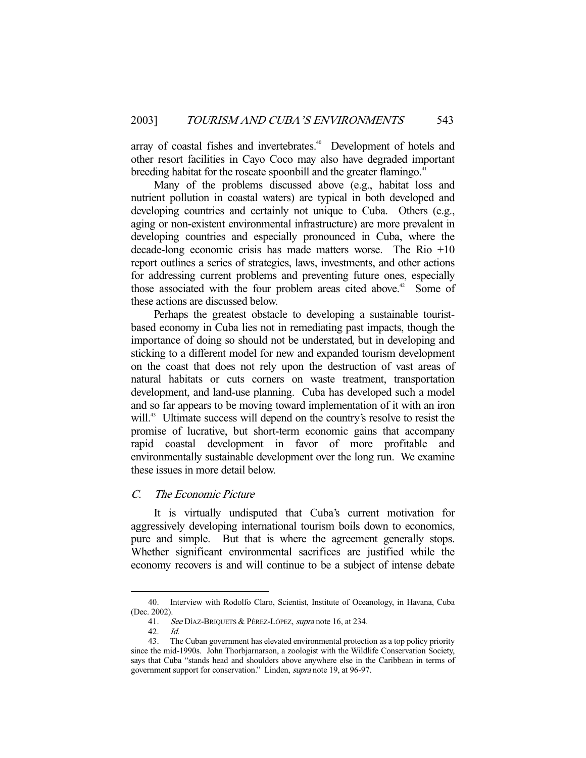array of coastal fishes and invertebrates.<sup>40</sup> Development of hotels and other resort facilities in Cayo Coco may also have degraded important breeding habitat for the roseate spoonbill and the greater flamingo.<sup>41</sup>

 Many of the problems discussed above (e.g., habitat loss and nutrient pollution in coastal waters) are typical in both developed and developing countries and certainly not unique to Cuba. Others (e.g., aging or non-existent environmental infrastructure) are more prevalent in developing countries and especially pronounced in Cuba, where the decade-long economic crisis has made matters worse. The Rio +10 report outlines a series of strategies, laws, investments, and other actions for addressing current problems and preventing future ones, especially those associated with the four problem areas cited above.<sup>42</sup> Some of these actions are discussed below.

 Perhaps the greatest obstacle to developing a sustainable touristbased economy in Cuba lies not in remediating past impacts, though the importance of doing so should not be understated, but in developing and sticking to a different model for new and expanded tourism development on the coast that does not rely upon the destruction of vast areas of natural habitats or cuts corners on waste treatment, transportation development, and land-use planning. Cuba has developed such a model and so far appears to be moving toward implementation of it with an iron will.<sup>43</sup> Ultimate success will depend on the country's resolve to resist the promise of lucrative, but short-term economic gains that accompany rapid coastal development in favor of more profitable and environmentally sustainable development over the long run. We examine these issues in more detail below.

## C. The Economic Picture

 It is virtually undisputed that Cuba's current motivation for aggressively developing international tourism boils down to economics, pure and simple. But that is where the agreement generally stops. Whether significant environmental sacrifices are justified while the economy recovers is and will continue to be a subject of intense debate

 <sup>40.</sup> Interview with Rodolfo Claro, Scientist, Institute of Oceanology, in Havana, Cuba (Dec. 2002).

<sup>41.</sup> See DÍAZ-BRIQUETS & PÉREZ-LÓPEZ, supra note 16, at 234.

 <sup>42.</sup> Id.

 <sup>43.</sup> The Cuban government has elevated environmental protection as a top policy priority since the mid-1990s. John Thorbjarnarson, a zoologist with the Wildlife Conservation Society, says that Cuba "stands head and shoulders above anywhere else in the Caribbean in terms of government support for conservation." Linden, supra note 19, at 96-97.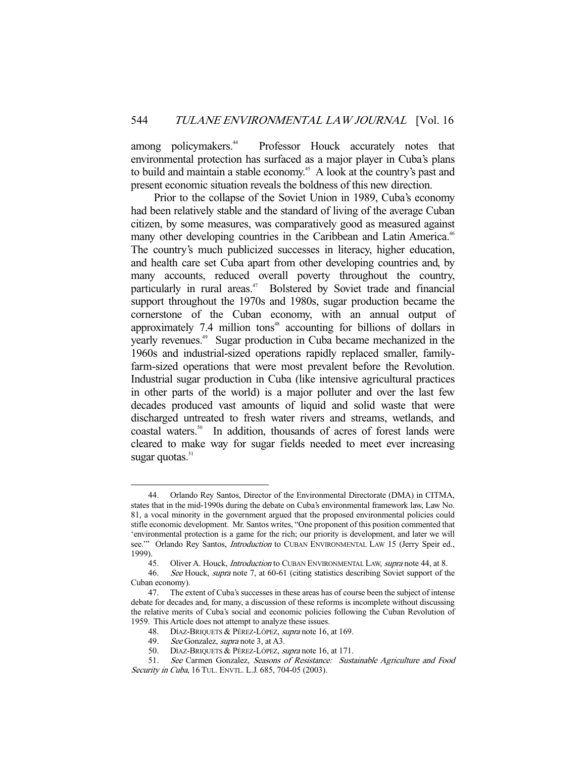among policymakers.<sup>44</sup> Professor Houck accurately notes that environmental protection has surfaced as a major player in Cuba's plans to build and maintain a stable economy.<sup>45</sup> A look at the country's past and present economic situation reveals the boldness of this new direction.

 Prior to the collapse of the Soviet Union in 1989, Cuba's economy had been relatively stable and the standard of living of the average Cuban citizen, by some measures, was comparatively good as measured against many other developing countries in the Caribbean and Latin America.<sup>46</sup> The country's much publicized successes in literacy, higher education, and health care set Cuba apart from other developing countries and, by many accounts, reduced overall poverty throughout the country, particularly in rural areas.<sup>47</sup> Bolstered by Soviet trade and financial support throughout the 1970s and 1980s, sugar production became the cornerstone of the Cuban economy, with an annual output of approximately 7.4 million tons $48$  accounting for billions of dollars in yearly revenues.49 Sugar production in Cuba became mechanized in the 1960s and industrial-sized operations rapidly replaced smaller, familyfarm-sized operations that were most prevalent before the Revolution. Industrial sugar production in Cuba (like intensive agricultural practices in other parts of the world) is a major polluter and over the last few decades produced vast amounts of liquid and solid waste that were discharged untreated to fresh water rivers and streams, wetlands, and coastal waters.<sup>50</sup> In addition, thousands of acres of forest lands were cleared to make way for sugar fields needed to meet ever increasing sugar quotas. $51$ 

 <sup>44.</sup> Orlando Rey Santos, Director of the Environmental Directorate (DMA) in CITMA, states that in the mid-1990s during the debate on Cuba's environmental framework law, Law No. 81, a vocal minority in the government argued that the proposed environmental policies could stifle economic development. Mr. Santos writes, "One proponent of this position commented that 'environmental protection is a game for the rich; our priority is development, and later we will see." Orlando Rey Santos, *Introduction* to CUBAN ENVIRONMENTAL LAW 15 (Jerry Speir ed., 1999).

<sup>45.</sup> Oliver A. Houck, *Introduction* to CUBAN ENVIRONMENTAL LAW, *supra* note 44, at 8.

<sup>46.</sup> See Houck, supra note 7, at 60-61 (citing statistics describing Soviet support of the Cuban economy).

 <sup>47.</sup> The extent of Cuba's successes in these areas has of course been the subject of intense debate for decades and, for many, a discussion of these reforms is incomplete without discussing the relative merits of Cuba's social and economic policies following the Cuban Revolution of 1959. This Article does not attempt to analyze these issues.

<sup>48.</sup> DÍAZ-BRIQUETS & PÉREZ-LÓPEZ, supra note 16, at 169.

 <sup>49.</sup> See Gonzalez, supra note 3, at A3.

 <sup>50.</sup> DÍAZ-BRIQUETS & PÉREZ-LÓPEZ, supra note 16, at 171.

<sup>51.</sup> See Carmen Gonzalez, Seasons of Resistance: Sustainable Agriculture and Food Security in Cuba, 16 TUL. ENVTL. L.J. 685, 704-05 (2003).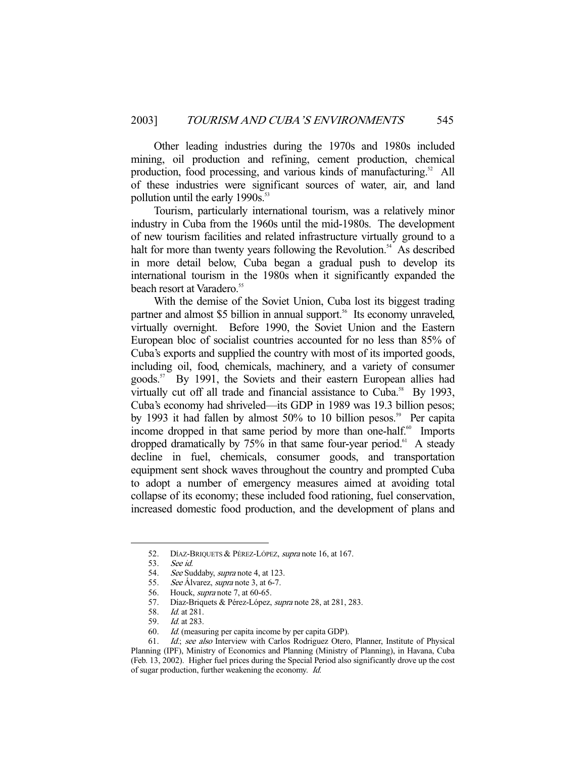Other leading industries during the 1970s and 1980s included mining, oil production and refining, cement production, chemical production, food processing, and various kinds of manufacturing.<sup>52</sup> All of these industries were significant sources of water, air, and land pollution until the early  $1990s$ .<sup>53</sup>

 Tourism, particularly international tourism, was a relatively minor industry in Cuba from the 1960s until the mid-1980s. The development of new tourism facilities and related infrastructure virtually ground to a halt for more than twenty years following the Revolution.<sup>54</sup> As described in more detail below, Cuba began a gradual push to develop its international tourism in the 1980s when it significantly expanded the beach resort at Varadero.<sup>55</sup>

 With the demise of the Soviet Union, Cuba lost its biggest trading partner and almost \$5 billion in annual support.<sup>56</sup> Its economy unraveled, virtually overnight. Before 1990, the Soviet Union and the Eastern European bloc of socialist countries accounted for no less than 85% of Cuba's exports and supplied the country with most of its imported goods, including oil, food, chemicals, machinery, and a variety of consumer goods.<sup>57</sup> By 1991, the Soviets and their eastern European allies had virtually cut off all trade and financial assistance to Cuba.<sup>58</sup> By 1993, Cuba's economy had shriveled—its GDP in 1989 was 19.3 billion pesos; by 1993 it had fallen by almost 50% to 10 billion pesos.<sup>59</sup> Per capita income dropped in that same period by more than one-half. $60$  Imports dropped dramatically by  $75\%$  in that same four-year period.<sup>61</sup> A steady decline in fuel, chemicals, consumer goods, and transportation equipment sent shock waves throughout the country and prompted Cuba to adopt a number of emergency measures aimed at avoiding total collapse of its economy; these included food rationing, fuel conservation, increased domestic food production, and the development of plans and

 <sup>52.</sup> DÍAZ-BRIQUETS & PÉREZ-LÓPEZ, supra note 16, at 167.

 <sup>53.</sup> See id.

<sup>54.</sup> See Suddaby, supra note 4, at 123.

<sup>55.</sup> See Álvarez, supra note 3, at 6-7.

 <sup>56.</sup> Houck, supra note 7, at 60-65.

<sup>57.</sup> Díaz-Briquets & Pérez-López, supra note 28, at 281, 283.

 <sup>58.</sup> Id. at 281.

 <sup>59.</sup> Id. at 283.

 <sup>60.</sup> Id. (measuring per capita income by per capita GDP).

<sup>61.</sup> Id.; see also Interview with Carlos Rodriguez Otero, Planner, Institute of Physical Planning (IPF), Ministry of Economics and Planning (Ministry of Planning), in Havana, Cuba (Feb. 13, 2002). Higher fuel prices during the Special Period also significantly drove up the cost of sugar production, further weakening the economy. Id.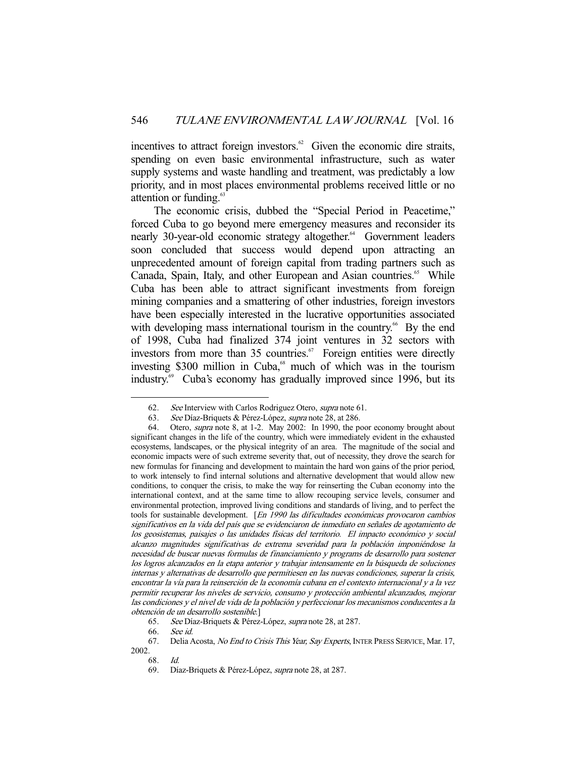incentives to attract foreign investors. $62$  Given the economic dire straits, spending on even basic environmental infrastructure, such as water supply systems and waste handling and treatment, was predictably a low priority, and in most places environmental problems received little or no attention or funding. $65$ 

 The economic crisis, dubbed the "Special Period in Peacetime," forced Cuba to go beyond mere emergency measures and reconsider its nearly 30-year-old economic strategy altogether.<sup>64</sup> Government leaders soon concluded that success would depend upon attracting an unprecedented amount of foreign capital from trading partners such as Canada, Spain, Italy, and other European and Asian countries.<sup>65</sup> While Cuba has been able to attract significant investments from foreign mining companies and a smattering of other industries, foreign investors have been especially interested in the lucrative opportunities associated with developing mass international tourism in the country.<sup>66</sup> By the end of 1998, Cuba had finalized 374 joint ventures in 32 sectors with investors from more than 35 countries.<sup>67</sup> Foreign entities were directly investing \$300 million in Cuba,<sup>68</sup> much of which was in the tourism industry.69 Cuba's economy has gradually improved since 1996, but its

 <sup>62.</sup> See Interview with Carlos Rodriguez Otero, supra note 61.

 <sup>63.</sup> See Díaz-Briquets & Pérez-López, supra note 28, at 286.

<sup>64.</sup> Otero, *supra* note 8, at 1-2. May 2002: In 1990, the poor economy brought about significant changes in the life of the country, which were immediately evident in the exhausted ecosystems, landscapes, or the physical integrity of an area. The magnitude of the social and economic impacts were of such extreme severity that, out of necessity, they drove the search for new formulas for financing and development to maintain the hard won gains of the prior period, to work intensely to find internal solutions and alternative development that would allow new conditions, to conquer the crisis, to make the way for reinserting the Cuban economy into the international context, and at the same time to allow recouping service levels, consumer and environmental protection, improved living conditions and standards of living, and to perfect the tools for sustainable development. [En 1990 las dificultades económicas provocaron cambios significativos en la vida del país que se evidenciaron de inmediato en señales de agotamiento de los geosistemas, paisajes o las unidades físicas del territorio. El impacto económico y social alcanzo magnitudes significativas de extrema severidad para la población imponiéndose la necesidad de buscar nuevas formulas de financiamiento y programs de desarrollo para sostener los logros alcanzados en la etapa anterior y trabajar intensamente en la búsqueda de soluciones internas y alternativas de desarrollo que permitiesen en las nuevas condiciones, superar la crisis, encontrar la vía para la reinserción de la economía cubana en el contexto internacional y a la vez permitir recuperar los niveles de servicio, consumo y protección ambiental alcanzados, mejorar las condiciones y el nivel de vida de la población y perfeccionar los mecanismos conducentes a la obtención de un desarrollo sostenible.]

 <sup>65.</sup> See Díaz-Briquets & Pérez-López, supra note 28, at 287.

 <sup>66.</sup> See id.

<sup>67.</sup> Delia Acosta, No End to Crisis This Year, Say Experts, INTER PRESS SERVICE, Mar. 17, 2002.

 <sup>68.</sup> Id.

 <sup>69.</sup> Díaz-Briquets & Pérez-López, supra note 28, at 287.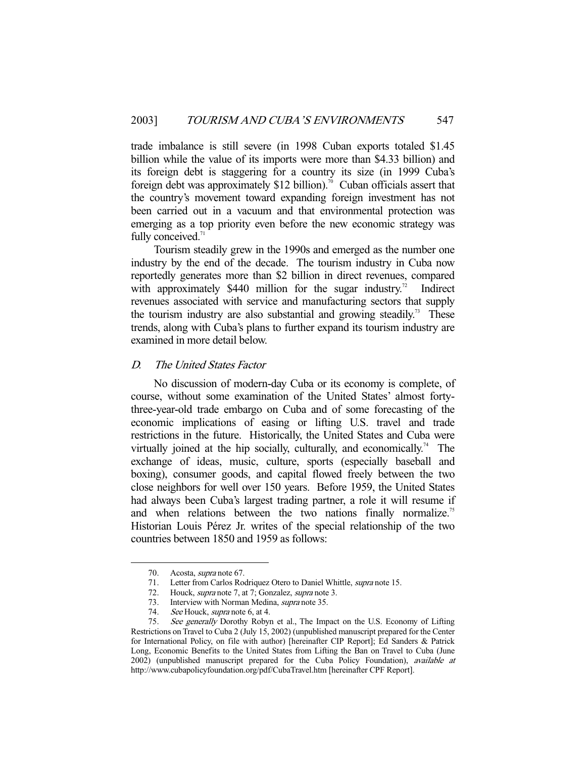trade imbalance is still severe (in 1998 Cuban exports totaled \$1.45 billion while the value of its imports were more than \$4.33 billion) and its foreign debt is staggering for a country its size (in 1999 Cuba's foreign debt was approximately \$12 billion).<sup>70</sup> Cuban officials assert that the country's movement toward expanding foreign investment has not been carried out in a vacuum and that environmental protection was emerging as a top priority even before the new economic strategy was fully conceived.<sup>71</sup>

 Tourism steadily grew in the 1990s and emerged as the number one industry by the end of the decade. The tourism industry in Cuba now reportedly generates more than \$2 billion in direct revenues, compared with approximately  $$440$  million for the sugar industry.<sup>72</sup> Indirect revenues associated with service and manufacturing sectors that supply the tourism industry are also substantial and growing steadily.<sup>73</sup> These trends, along with Cuba's plans to further expand its tourism industry are examined in more detail below.

## D. The United States Factor

 No discussion of modern-day Cuba or its economy is complete, of course, without some examination of the United States' almost fortythree-year-old trade embargo on Cuba and of some forecasting of the economic implications of easing or lifting U.S. travel and trade restrictions in the future. Historically, the United States and Cuba were virtually joined at the hip socially, culturally, and economically.<sup>74</sup> The exchange of ideas, music, culture, sports (especially baseball and boxing), consumer goods, and capital flowed freely between the two close neighbors for well over 150 years. Before 1959, the United States had always been Cuba's largest trading partner, a role it will resume if and when relations between the two nations finally normalize.<sup>75</sup> Historian Louis Pérez Jr. writes of the special relationship of the two countries between 1850 and 1959 as follows:

 <sup>70.</sup> Acosta, supra note 67.

 <sup>71.</sup> Letter from Carlos Rodriquez Otero to Daniel Whittle, supra note 15.

<sup>72.</sup> Houck, *supra* note 7, at 7; Gonzalez, *supra* note 3.

<sup>73.</sup> Interview with Norman Medina, *supra* note 35.<br>74. See Houck, *supra* note 6, at 4.

See Houck, supra note 6, at 4.

<sup>75.</sup> See generally Dorothy Robyn et al., The Impact on the U.S. Economy of Lifting Restrictions on Travel to Cuba 2 (July 15, 2002) (unpublished manuscript prepared for the Center for International Policy, on file with author) [hereinafter CIP Report]; Ed Sanders & Patrick Long, Economic Benefits to the United States from Lifting the Ban on Travel to Cuba (June 2002) (unpublished manuscript prepared for the Cuba Policy Foundation), available at http://www.cubapolicyfoundation.org/pdf/CubaTravel.htm [hereinafter CPF Report].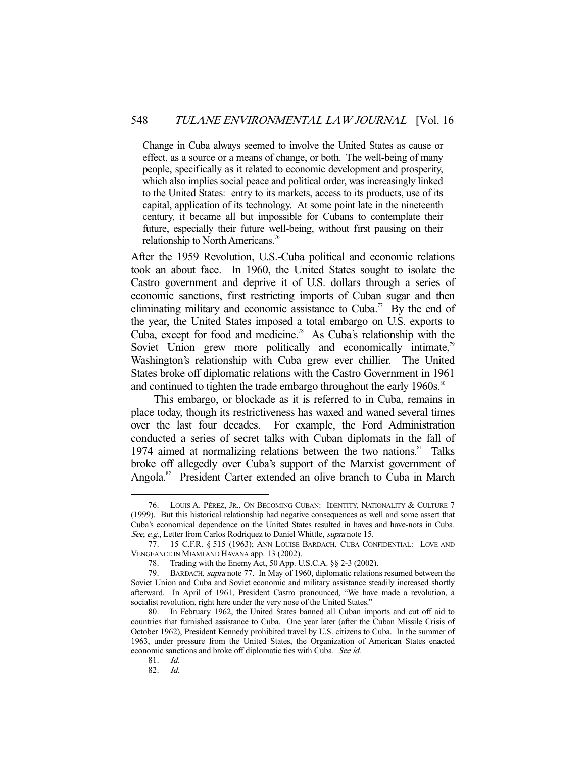Change in Cuba always seemed to involve the United States as cause or effect, as a source or a means of change, or both. The well-being of many people, specifically as it related to economic development and prosperity, which also implies social peace and political order, was increasingly linked to the United States: entry to its markets, access to its products, use of its capital, application of its technology. At some point late in the nineteenth century, it became all but impossible for Cubans to contemplate their future, especially their future well-being, without first pausing on their relationship to North Americans.<sup>76</sup>

After the 1959 Revolution, U.S.-Cuba political and economic relations took an about face. In 1960, the United States sought to isolate the Castro government and deprive it of U.S. dollars through a series of economic sanctions, first restricting imports of Cuban sugar and then eliminating military and economic assistance to Cuba.<sup>77</sup> By the end of the year, the United States imposed a total embargo on U.S. exports to Cuba, except for food and medicine.<sup>78</sup> As Cuba's relationship with the Soviet Union grew more politically and economically intimate,<sup>79</sup> Washington's relationship with Cuba grew ever chillier. The United States broke off diplomatic relations with the Castro Government in 1961 and continued to tighten the trade embargo throughout the early  $1960s$ .<sup>80</sup>

 This embargo, or blockade as it is referred to in Cuba, remains in place today, though its restrictiveness has waxed and waned several times over the last four decades. For example, the Ford Administration conducted a series of secret talks with Cuban diplomats in the fall of 1974 aimed at normalizing relations between the two nations.<sup>81</sup> Talks broke off allegedly over Cuba's support of the Marxist government of Angola.<sup>82</sup> President Carter extended an olive branch to Cuba in March

 <sup>76.</sup> LOUIS A. PÉREZ, JR., ON BECOMING CUBAN: IDENTITY, NATIONALITY & CULTURE 7 (1999). But this historical relationship had negative consequences as well and some assert that Cuba's economical dependence on the United States resulted in haves and have-nots in Cuba. See, e.g., Letter from Carlos Rodriquez to Daniel Whittle, supra note 15.

 <sup>77. 15</sup> C.F.R. § 515 (1963); ANN LOUISE BARDACH, CUBA CONFIDENTIAL: LOVE AND VENGEANCE IN MIAMI AND HAVANA app. 13 (2002).

 <sup>78.</sup> Trading with the Enemy Act, 50 App. U.S.C.A. §§ 2-3 (2002).

 <sup>79.</sup> BARDACH, supra note 77. In May of 1960, diplomatic relations resumed between the Soviet Union and Cuba and Soviet economic and military assistance steadily increased shortly afterward. In April of 1961, President Castro pronounced, "We have made a revolution, a socialist revolution, right here under the very nose of the United States."

 <sup>80.</sup> In February 1962, the United States banned all Cuban imports and cut off aid to countries that furnished assistance to Cuba. One year later (after the Cuban Missile Crisis of October 1962), President Kennedy prohibited travel by U.S. citizens to Cuba. In the summer of 1963, under pressure from the United States, the Organization of American States enacted economic sanctions and broke off diplomatic ties with Cuba. See id.

 <sup>81.</sup> Id.

 <sup>82.</sup> Id.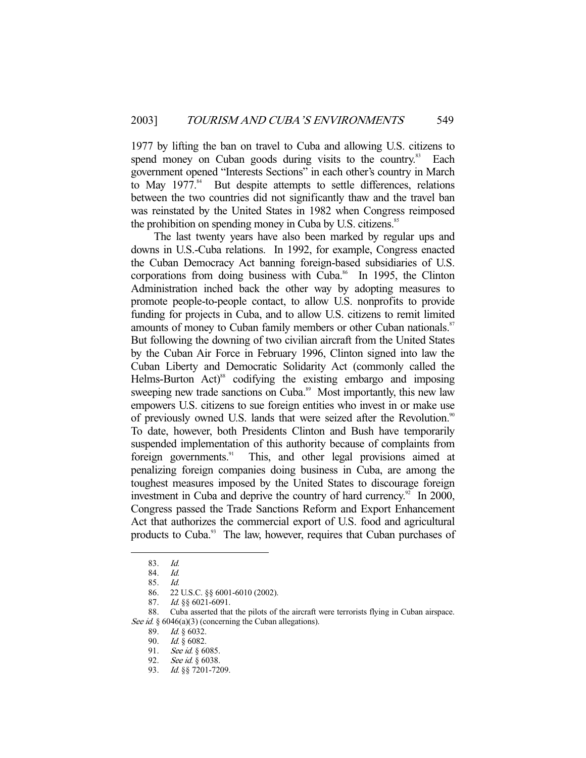1977 by lifting the ban on travel to Cuba and allowing U.S. citizens to spend money on Cuban goods during visits to the country.<sup>83</sup> Each government opened "Interests Sections" in each other's country in March to May  $1977.^{84}$  But despite attempts to settle differences, relations between the two countries did not significantly thaw and the travel ban was reinstated by the United States in 1982 when Congress reimposed the prohibition on spending money in Cuba by U.S. citizens.<sup>85</sup>

 The last twenty years have also been marked by regular ups and downs in U.S.-Cuba relations. In 1992, for example, Congress enacted the Cuban Democracy Act banning foreign-based subsidiaries of U.S. corporations from doing business with Cuba. $86$  In 1995, the Clinton Administration inched back the other way by adopting measures to promote people-to-people contact, to allow U.S. nonprofits to provide funding for projects in Cuba, and to allow U.S. citizens to remit limited amounts of money to Cuban family members or other Cuban nationals.<sup>87</sup> But following the downing of two civilian aircraft from the United States by the Cuban Air Force in February 1996, Clinton signed into law the Cuban Liberty and Democratic Solidarity Act (commonly called the Helms-Burton Act) $^{88}$  codifying the existing embargo and imposing sweeping new trade sanctions on Cuba.<sup>89</sup> Most importantly, this new law empowers U.S. citizens to sue foreign entities who invest in or make use of previously owned U.S. lands that were seized after the Revolution.<sup>90</sup> To date, however, both Presidents Clinton and Bush have temporarily suspended implementation of this authority because of complaints from foreign governments.<sup>91</sup> This, and other legal provisions aimed at penalizing foreign companies doing business in Cuba, are among the toughest measures imposed by the United States to discourage foreign investment in Cuba and deprive the country of hard currency.<sup>92</sup> In 2000, Congress passed the Trade Sanctions Reform and Export Enhancement Act that authorizes the commercial export of U.S. food and agricultural products to Cuba.<sup>93</sup> The law, however, requires that Cuban purchases of

 <sup>83.</sup> Id.

 <sup>84.</sup> Id.

 <sup>85.</sup> Id.

 <sup>86. 22</sup> U.S.C. §§ 6001-6010 (2002).

 <sup>87.</sup> Id. §§ 6021-6091.

 <sup>88.</sup> Cuba asserted that the pilots of the aircraft were terrorists flying in Cuban airspace. See id.  $§ 6046(a)(3)$  (concerning the Cuban allegations).

<sup>89.</sup> *Id.* § 6032.

 <sup>90.</sup> Id. § 6082.

<sup>91.</sup> See id. § 6085.

<sup>92.</sup> See id. § 6038.

 <sup>93.</sup> Id. §§ 7201-7209.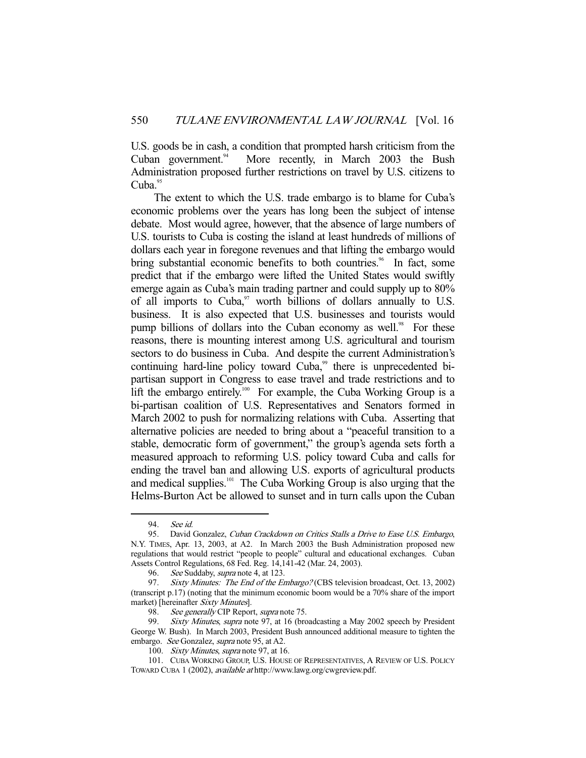U.S. goods be in cash, a condition that prompted harsh criticism from the Cuban government.<sup>94</sup> More recently, in March 2003 the Bush Administration proposed further restrictions on travel by U.S. citizens to  $Cuba.<sup>95</sup>$ 

 The extent to which the U.S. trade embargo is to blame for Cuba's economic problems over the years has long been the subject of intense debate. Most would agree, however, that the absence of large numbers of U.S. tourists to Cuba is costing the island at least hundreds of millions of dollars each year in foregone revenues and that lifting the embargo would bring substantial economic benefits to both countries.<sup>96</sup> In fact, some predict that if the embargo were lifted the United States would swiftly emerge again as Cuba's main trading partner and could supply up to 80% of all imports to Cuba, $97$  worth billions of dollars annually to U.S. business. It is also expected that U.S. businesses and tourists would pump billions of dollars into the Cuban economy as well.<sup>98</sup> For these reasons, there is mounting interest among U.S. agricultural and tourism sectors to do business in Cuba. And despite the current Administration's continuing hard-line policy toward  $Cuba$ ,<sup>99</sup> there is unprecedented bipartisan support in Congress to ease travel and trade restrictions and to lift the embargo entirely.<sup>100</sup> For example, the Cuba Working Group is a bi-partisan coalition of U.S. Representatives and Senators formed in March 2002 to push for normalizing relations with Cuba. Asserting that alternative policies are needed to bring about a "peaceful transition to a stable, democratic form of government," the group's agenda sets forth a measured approach to reforming U.S. policy toward Cuba and calls for ending the travel ban and allowing U.S. exports of agricultural products and medical supplies.<sup>101</sup> The Cuba Working Group is also urging that the Helms-Burton Act be allowed to sunset and in turn calls upon the Cuban

 <sup>94.</sup> See id.

<sup>95.</sup> David Gonzalez, Cuban Crackdown on Critics Stalls a Drive to Ease U.S. Embargo, N.Y. TIMES, Apr. 13, 2003, at A2. In March 2003 the Bush Administration proposed new regulations that would restrict "people to people" cultural and educational exchanges. Cuban Assets Control Regulations, 68 Fed. Reg. 14,141-42 (Mar. 24, 2003).

<sup>96.</sup> See Suddaby, *supra* note 4, at 123.

<sup>97.</sup> Sixty Minutes: The End of the Embargo? (CBS television broadcast, Oct. 13, 2002) (transcript p.17) (noting that the minimum economic boom would be a 70% share of the import market) [hereinafter Sixty Minutes].

<sup>98.</sup> See generally CIP Report, supra note 75.

Sixty Minutes, supra note 97, at 16 (broadcasting a May 2002 speech by President George W. Bush). In March 2003, President Bush announced additional measure to tighten the embargo. See Gonzalez, supra note 95, at A2.

<sup>100.</sup> Sixty Minutes, supra note 97, at 16.

 <sup>101.</sup> CUBA WORKING GROUP, U.S. HOUSE OF REPRESENTATIVES, A REVIEW OF U.S. POLICY TOWARD CUBA 1 (2002), available at http://www.lawg.org/cwgreview.pdf.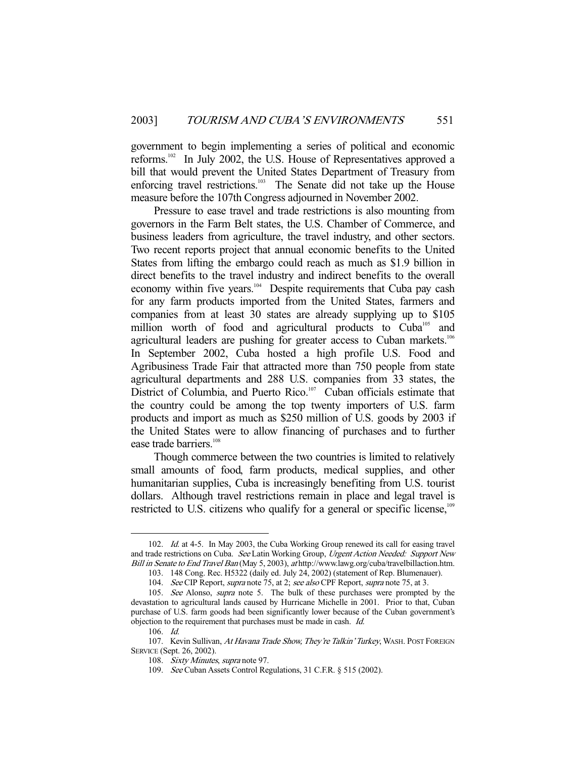government to begin implementing a series of political and economic reforms.102 In July 2002, the U.S. House of Representatives approved a bill that would prevent the United States Department of Treasury from enforcing travel restrictions.<sup>103</sup> The Senate did not take up the House measure before the 107th Congress adjourned in November 2002.

 Pressure to ease travel and trade restrictions is also mounting from governors in the Farm Belt states, the U.S. Chamber of Commerce, and business leaders from agriculture, the travel industry, and other sectors. Two recent reports project that annual economic benefits to the United States from lifting the embargo could reach as much as \$1.9 billion in direct benefits to the travel industry and indirect benefits to the overall economy within five years.<sup>104</sup> Despite requirements that Cuba pay cash for any farm products imported from the United States, farmers and companies from at least 30 states are already supplying up to \$105 million worth of food and agricultural products to Cuba<sup>105</sup> and agricultural leaders are pushing for greater access to Cuban markets.<sup>106</sup> In September 2002, Cuba hosted a high profile U.S. Food and Agribusiness Trade Fair that attracted more than 750 people from state agricultural departments and 288 U.S. companies from 33 states, the District of Columbia, and Puerto Rico.<sup>107</sup> Cuban officials estimate that the country could be among the top twenty importers of U.S. farm products and import as much as \$250 million of U.S. goods by 2003 if the United States were to allow financing of purchases and to further ease trade barriers.<sup>108</sup>

 Though commerce between the two countries is limited to relatively small amounts of food, farm products, medical supplies, and other humanitarian supplies, Cuba is increasingly benefiting from U.S. tourist dollars. Although travel restrictions remain in place and legal travel is restricted to U.S. citizens who qualify for a general or specific license,<sup>109</sup>

<sup>102.</sup> *Id.* at 4-5. In May 2003, the Cuba Working Group renewed its call for easing travel and trade restrictions on Cuba. See Latin Working Group, Urgent Action Needed: Support New Bill in Senate to End Travel Ban (May 5, 2003), at http://www.lawg.org/cuba/travelbillaction.htm.

 <sup>103. 148</sup> Cong. Rec. H5322 (daily ed. July 24, 2002) (statement of Rep. Blumenauer).

<sup>104.</sup> See CIP Report, supra note 75, at 2; see also CPF Report, supra note 75, at 3.

<sup>105.</sup> See Alonso, *supra* note 5. The bulk of these purchases were prompted by the devastation to agricultural lands caused by Hurricane Michelle in 2001. Prior to that, Cuban purchase of U.S. farm goods had been significantly lower because of the Cuban government's objection to the requirement that purchases must be made in cash. Id.

 <sup>106.</sup> Id.

<sup>107.</sup> Kevin Sullivan, At Havana Trade Show, They're Talkin' Turkey, WASH. POST FOREIGN SERVICE (Sept. 26, 2002).

<sup>108.</sup> Sixty Minutes, supra note 97.

 <sup>109.</sup> See Cuban Assets Control Regulations, 31 C.F.R. § 515 (2002).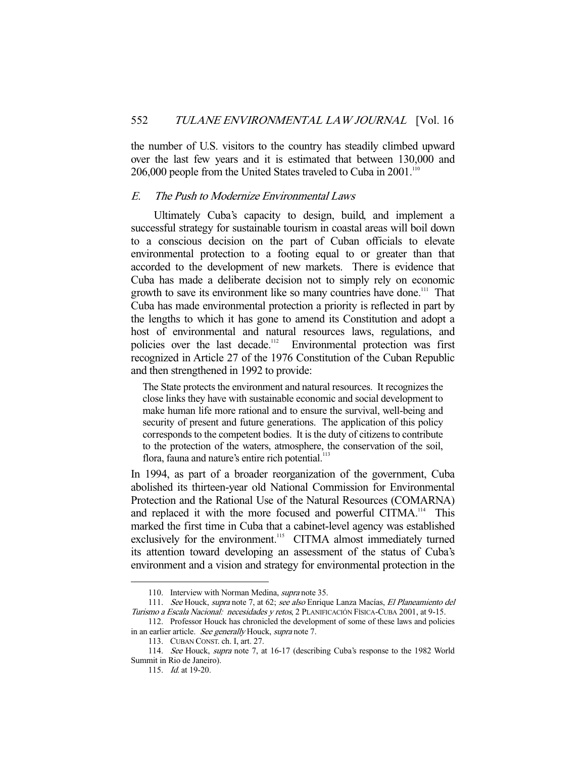the number of U.S. visitors to the country has steadily climbed upward over the last few years and it is estimated that between 130,000 and 206,000 people from the United States traveled to Cuba in 2001.<sup>110</sup>

#### E. The Push to Modernize Environmental Laws

 Ultimately Cuba's capacity to design, build, and implement a successful strategy for sustainable tourism in coastal areas will boil down to a conscious decision on the part of Cuban officials to elevate environmental protection to a footing equal to or greater than that accorded to the development of new markets. There is evidence that Cuba has made a deliberate decision not to simply rely on economic growth to save its environment like so many countries have done.<sup>111</sup> That Cuba has made environmental protection a priority is reflected in part by the lengths to which it has gone to amend its Constitution and adopt a host of environmental and natural resources laws, regulations, and policies over the last decade.112 Environmental protection was first recognized in Article 27 of the 1976 Constitution of the Cuban Republic and then strengthened in 1992 to provide:

The State protects the environment and natural resources. It recognizes the close links they have with sustainable economic and social development to make human life more rational and to ensure the survival, well-being and security of present and future generations. The application of this policy corresponds to the competent bodies. It is the duty of citizens to contribute to the protection of the waters, atmosphere, the conservation of the soil, flora, fauna and nature's entire rich potential.<sup>113</sup>

In 1994, as part of a broader reorganization of the government, Cuba abolished its thirteen-year old National Commission for Environmental Protection and the Rational Use of the Natural Resources (COMARNA) and replaced it with the more focused and powerful CITMA.<sup>114</sup> This marked the first time in Cuba that a cabinet-level agency was established exclusively for the environment.<sup>115</sup> CITMA almost immediately turned its attention toward developing an assessment of the status of Cuba's environment and a vision and strategy for environmental protection in the

 112. Professor Houck has chronicled the development of some of these laws and policies in an earlier article. See generally Houck, supra note 7.

<sup>110.</sup> Interview with Norman Medina, *supra* note 35.

<sup>111.</sup> See Houck, supra note 7, at 62; see also Enrique Lanza Macías, El Planeamiento del Turismo a Escala Nacional: necesidades y retos, 2 PLANIFICACIÓN FÍSICA-CUBA 2001, at 9-15.

 <sup>113.</sup> CUBAN CONST. ch. I, art. 27.

 <sup>114.</sup> See Houck, supra note 7, at 16-17 (describing Cuba's response to the 1982 World Summit in Rio de Janeiro).

<sup>115.</sup> *Id.* at 19-20.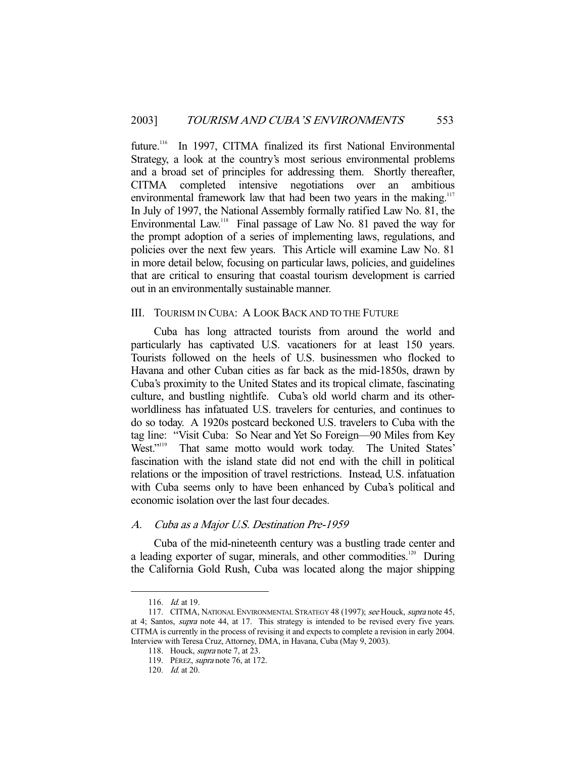future.<sup>116</sup> In 1997, CITMA finalized its first National Environmental Strategy, a look at the country's most serious environmental problems and a broad set of principles for addressing them. Shortly thereafter, CITMA completed intensive negotiations over an ambitious environmental framework law that had been two years in the making.<sup>117</sup> In July of 1997, the National Assembly formally ratified Law No. 81, the Environmental Law.<sup>118</sup> Final passage of Law No. 81 paved the way for the prompt adoption of a series of implementing laws, regulations, and policies over the next few years. This Article will examine Law No. 81 in more detail below, focusing on particular laws, policies, and guidelines that are critical to ensuring that coastal tourism development is carried out in an environmentally sustainable manner.

## III. TOURISM IN CUBA: A LOOK BACK AND TO THE FUTURE

 Cuba has long attracted tourists from around the world and particularly has captivated U.S. vacationers for at least 150 years. Tourists followed on the heels of U.S. businessmen who flocked to Havana and other Cuban cities as far back as the mid-1850s, drawn by Cuba's proximity to the United States and its tropical climate, fascinating culture, and bustling nightlife. Cuba's old world charm and its otherworldliness has infatuated U.S. travelers for centuries, and continues to do so today. A 1920s postcard beckoned U.S. travelers to Cuba with the tag line: "Visit Cuba: So Near and Yet So Foreign—90 Miles from Key West."<sup>119</sup> That same motto would work today. The United States' fascination with the island state did not end with the chill in political relations or the imposition of travel restrictions. Instead, U.S. infatuation with Cuba seems only to have been enhanced by Cuba's political and economic isolation over the last four decades.

#### A. Cuba as a Major U.S. Destination Pre-1959

 Cuba of the mid-nineteenth century was a bustling trade center and a leading exporter of sugar, minerals, and other commodities.<sup>120</sup> During the California Gold Rush, Cuba was located along the major shipping

<sup>116.</sup> *Id.* at 19.

<sup>117.</sup> CITMA, NATIONAL ENVIRONMENTAL STRATEGY 48 (1997); see Houck, supra note 45, at 4; Santos, supra note 44, at 17. This strategy is intended to be revised every five years. CITMA is currently in the process of revising it and expects to complete a revision in early 2004. Interview with Teresa Cruz, Attorney, DMA, in Havana, Cuba (May 9, 2003).

<sup>118.</sup> Houck, *supra* note 7, at 23.

 <sup>119.</sup> PÉREZ, supra note 76, at 172.

 <sup>120.</sup> Id. at 20.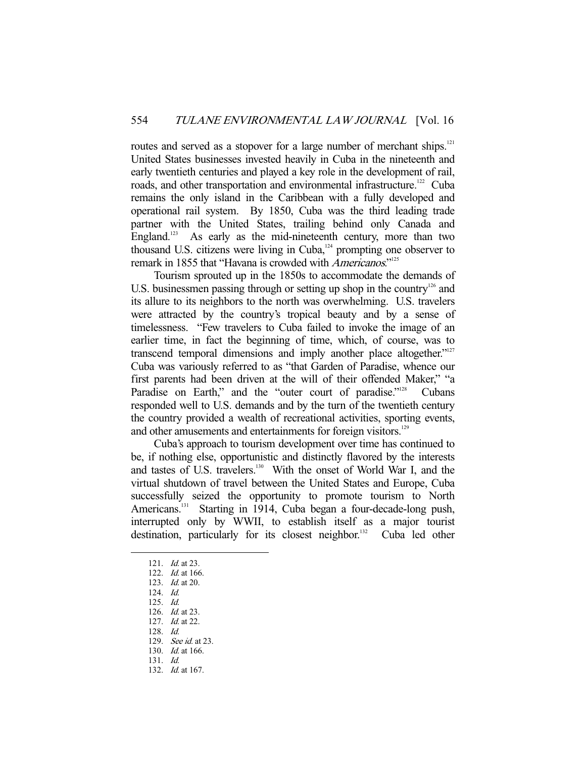routes and served as a stopover for a large number of merchant ships.<sup>121</sup> United States businesses invested heavily in Cuba in the nineteenth and early twentieth centuries and played a key role in the development of rail, roads, and other transportation and environmental infrastructure.<sup>122</sup> Cuba remains the only island in the Caribbean with a fully developed and operational rail system. By 1850, Cuba was the third leading trade partner with the United States, trailing behind only Canada and England.<sup>123</sup> As early as the mid-nineteenth century, more than two thousand U.S. citizens were living in  $Cuba$ <sup>124</sup> prompting one observer to remark in 1855 that "Havana is crowded with Americanos."<sup>125</sup>

 Tourism sprouted up in the 1850s to accommodate the demands of U.S. businessmen passing through or setting up shop in the country<sup>126</sup> and its allure to its neighbors to the north was overwhelming. U.S. travelers were attracted by the country's tropical beauty and by a sense of timelessness. "Few travelers to Cuba failed to invoke the image of an earlier time, in fact the beginning of time, which, of course, was to transcend temporal dimensions and imply another place altogether."<sup>127</sup> Cuba was variously referred to as "that Garden of Paradise, whence our first parents had been driven at the will of their offended Maker," "a Paradise on Earth," and the "outer court of paradise."<sup>128</sup> Cubans responded well to U.S. demands and by the turn of the twentieth century the country provided a wealth of recreational activities, sporting events, and other amusements and entertainments for foreign visitors.<sup>129</sup>

 Cuba's approach to tourism development over time has continued to be, if nothing else, opportunistic and distinctly flavored by the interests and tastes of U.S. travelers.<sup>130</sup> With the onset of World War I, and the virtual shutdown of travel between the United States and Europe, Cuba successfully seized the opportunity to promote tourism to North Americans.<sup>131</sup> Starting in 1914, Cuba began a four-decade-long push, interrupted only by WWII, to establish itself as a major tourist destination, particularly for its closest neighbor.<sup>132</sup> Cuba led other

<sup>121.</sup> *Id.* at 23.

<sup>122.</sup> *Id.* at 166.

 <sup>123.</sup> Id. at 20.

 <sup>124.</sup> Id.

 <sup>125.</sup> Id.

 <sup>126.</sup> Id. at 23. 127. Id. at 22.

 <sup>128.</sup> Id.

<sup>129.</sup> See id. at 23.

 <sup>130.</sup> Id. at 166.

 <sup>131.</sup> Id.

 <sup>132.</sup> Id. at 167.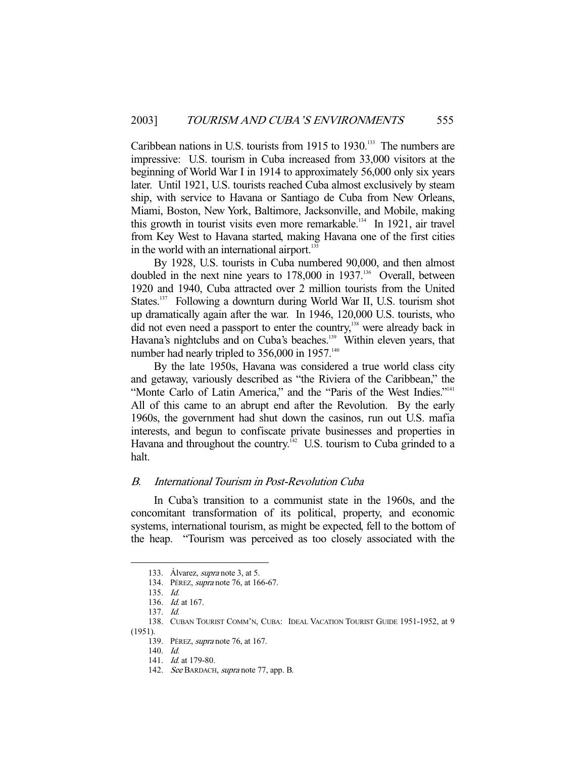Caribbean nations in U.S. tourists from 1915 to 1930.<sup>133</sup> The numbers are impressive: U.S. tourism in Cuba increased from 33,000 visitors at the beginning of World War I in 1914 to approximately 56,000 only six years later. Until 1921, U.S. tourists reached Cuba almost exclusively by steam ship, with service to Havana or Santiago de Cuba from New Orleans, Miami, Boston, New York, Baltimore, Jacksonville, and Mobile, making this growth in tourist visits even more remarkable.<sup>134</sup> In 1921, air travel from Key West to Havana started, making Havana one of the first cities in the world with an international airport.<sup>135</sup>

 By 1928, U.S. tourists in Cuba numbered 90,000, and then almost doubled in the next nine years to 178,000 in 1937.<sup>136</sup> Overall, between 1920 and 1940, Cuba attracted over 2 million tourists from the United States.<sup>137</sup> Following a downturn during World War II, U.S. tourism shot up dramatically again after the war. In 1946, 120,000 U.S. tourists, who did not even need a passport to enter the country,<sup>138</sup> were already back in Havana's nightclubs and on Cuba's beaches.<sup>139</sup> Within eleven years, that number had nearly tripled to  $356,000$  in  $1957$ .<sup>140</sup>

 By the late 1950s, Havana was considered a true world class city and getaway, variously described as "the Riviera of the Caribbean," the "Monte Carlo of Latin America," and the "Paris of the West Indies."<sup>141</sup> All of this came to an abrupt end after the Revolution. By the early 1960s, the government had shut down the casinos, run out U.S. mafia interests, and begun to confiscate private businesses and properties in Havana and throughout the country.<sup>142</sup> U.S. tourism to Cuba grinded to a halt.

## B. International Tourism in Post-Revolution Cuba

 In Cuba's transition to a communist state in the 1960s, and the concomitant transformation of its political, property, and economic systems, international tourism, as might be expected, fell to the bottom of the heap. "Tourism was perceived as too closely associated with the

<sup>133.</sup> Álvarez, *supra* note 3, at 5.

 <sup>134.</sup> PÉREZ, supra note 76, at 166-67.

 <sup>135.</sup> Id.

 <sup>136.</sup> Id. at 167.

 <sup>137.</sup> Id.

 <sup>138.</sup> CUBAN TOURIST COMM'N, CUBA: IDEAL VACATION TOURIST GUIDE 1951-1952, at 9 (1951).

 <sup>139.</sup> PÉREZ, supra note 76, at 167.

 <sup>140.</sup> Id.

<sup>141.</sup> *Id.* at 179-80.

<sup>142.</sup> See BARDACH, supra note 77, app. B.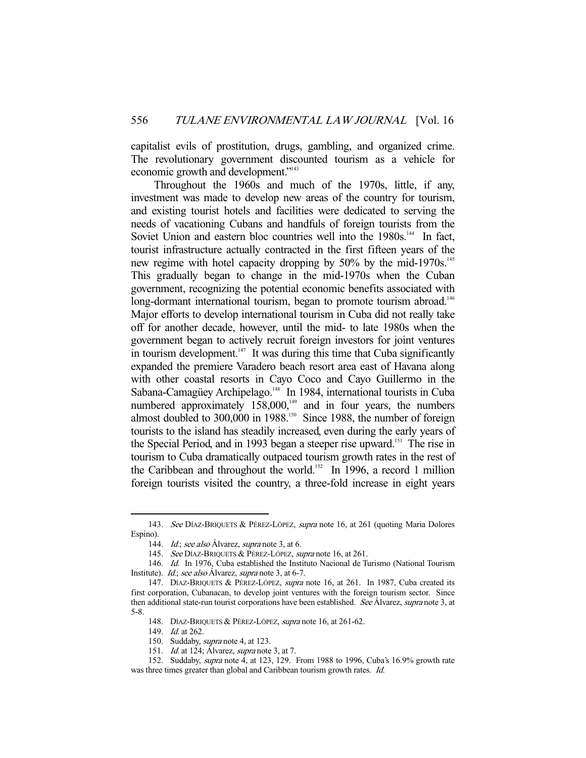capitalist evils of prostitution, drugs, gambling, and organized crime. The revolutionary government discounted tourism as a vehicle for economic growth and development."<sup>143</sup>

 Throughout the 1960s and much of the 1970s, little, if any, investment was made to develop new areas of the country for tourism, and existing tourist hotels and facilities were dedicated to serving the needs of vacationing Cubans and handfuls of foreign tourists from the Soviet Union and eastern bloc countries well into the 1980s.<sup>144</sup> In fact, tourist infrastructure actually contracted in the first fifteen years of the new regime with hotel capacity dropping by 50% by the mid-1970s.<sup>145</sup> This gradually began to change in the mid-1970s when the Cuban government, recognizing the potential economic benefits associated with long-dormant international tourism, began to promote tourism abroad.<sup>146</sup> Major efforts to develop international tourism in Cuba did not really take off for another decade, however, until the mid- to late 1980s when the government began to actively recruit foreign investors for joint ventures in tourism development. $147$  It was during this time that Cuba significantly expanded the premiere Varadero beach resort area east of Havana along with other coastal resorts in Cayo Coco and Cayo Guillermo in the Sabana-Camagüey Archipelago.<sup>148</sup> In 1984, international tourists in Cuba numbered approximately  $158,000$ ,<sup>149</sup> and in four years, the numbers almost doubled to  $300,000$  in  $1988$ <sup>150</sup> Since 1988, the number of foreign tourists to the island has steadily increased, even during the early years of the Special Period, and in 1993 began a steeper rise upward.<sup>151</sup> The rise in tourism to Cuba dramatically outpaced tourism growth rates in the rest of the Caribbean and throughout the world.<sup>152</sup> In 1996, a record 1 million foreign tourists visited the country, a three-fold increase in eight years

<sup>143.</sup> See DÍAZ-BRIQUETS & PÉREZ-LÓPEZ, supra note 16, at 261 (quoting Maria Dolores Espino).

<sup>144.</sup> Id.; see also Álvarez, supra note 3, at 6.

<sup>145.</sup> See DÍAZ-BRIQUETS & PÉREZ-LÓPEZ, supra note 16, at 261.

<sup>146.</sup> Id. In 1976, Cuba established the Instituto Nacional de Turismo (National Tourism Institute). *Id.*; see also Álvarez, supra note 3, at 6-7.

 <sup>147.</sup> DÍAZ-BRIQUETS & PÉREZ-LÓPEZ, supra note 16, at 261. In 1987, Cuba created its first corporation, Cubanacan, to develop joint ventures with the foreign tourism sector. Since then additional state-run tourist corporations have been established. See Álvarez, supra note 3, at 5-8.

<sup>148.</sup> DÍAZ-BRIQUETS & PÉREZ-LÓPEZ, supra note 16, at 261-62.

<sup>149.</sup> *Id.* at 262.

<sup>150.</sup> Suddaby, *supra* note 4, at 123.

<sup>151.</sup> *Id.* at 124; Álvarez, *supra* note 3, at 7.

 <sup>152.</sup> Suddaby, supra note 4, at 123, 129. From 1988 to 1996, Cuba's 16.9% growth rate was three times greater than global and Caribbean tourism growth rates. *Id.*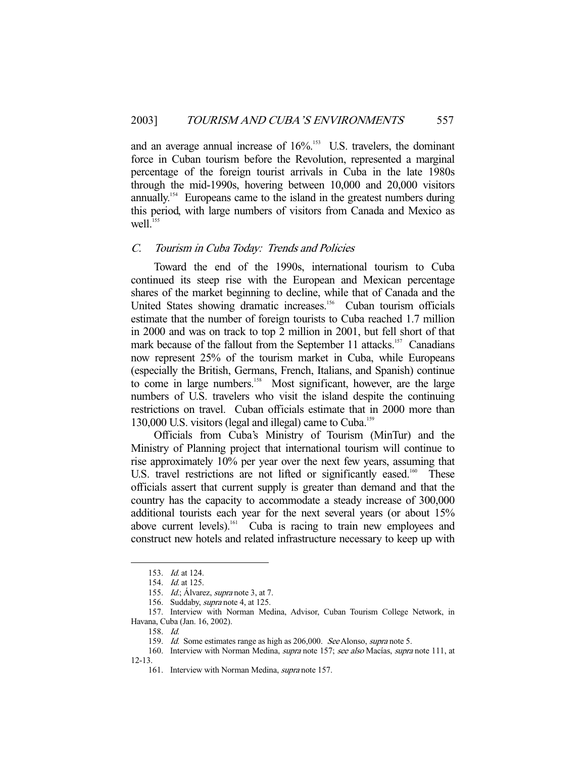and an average annual increase of  $16\%$ .<sup>153</sup> U.S. travelers, the dominant force in Cuban tourism before the Revolution, represented a marginal percentage of the foreign tourist arrivals in Cuba in the late 1980s through the mid-1990s, hovering between 10,000 and 20,000 visitors annually.<sup>154</sup> Europeans came to the island in the greatest numbers during this period, with large numbers of visitors from Canada and Mexico as  $well.<sup>155</sup>$ 

#### C. Tourism in Cuba Today: Trends and Policies

 Toward the end of the 1990s, international tourism to Cuba continued its steep rise with the European and Mexican percentage shares of the market beginning to decline, while that of Canada and the United States showing dramatic increases.<sup>156</sup> Cuban tourism officials estimate that the number of foreign tourists to Cuba reached 1.7 million in 2000 and was on track to top 2 million in 2001, but fell short of that mark because of the fallout from the September 11 attacks.<sup>157</sup> Canadians now represent 25% of the tourism market in Cuba, while Europeans (especially the British, Germans, French, Italians, and Spanish) continue to come in large numbers.<sup>158</sup> Most significant, however, are the large numbers of U.S. travelers who visit the island despite the continuing restrictions on travel. Cuban officials estimate that in 2000 more than 130,000 U.S. visitors (legal and illegal) came to Cuba.<sup>159</sup>

 Officials from Cuba's Ministry of Tourism (MinTur) and the Ministry of Planning project that international tourism will continue to rise approximately 10% per year over the next few years, assuming that U.S. travel restrictions are not lifted or significantly eased.<sup>160</sup> These officials assert that current supply is greater than demand and that the country has the capacity to accommodate a steady increase of 300,000 additional tourists each year for the next several years (or about 15% above current levels).<sup>161</sup> Cuba is racing to train new employees and construct new hotels and related infrastructure necessary to keep up with

 <sup>153.</sup> Id. at 124.

<sup>154.</sup> *Id.* at 125.

<sup>155.</sup> *Id.*; Álvarez, *supra* note 3, at 7.

<sup>156.</sup> Suddaby, *supra* note 4, at 125.

 <sup>157.</sup> Interview with Norman Medina, Advisor, Cuban Tourism College Network, in Havana, Cuba (Jan. 16, 2002).

 <sup>158.</sup> Id.

<sup>159.</sup> Id. Some estimates range as high as 206,000. See Alonso, supra note 5.

<sup>160.</sup> Interview with Norman Medina, *supra* note 157; see also Macías, supra note 111, at 12-13.

<sup>161.</sup> Interview with Norman Medina, *supra* note 157.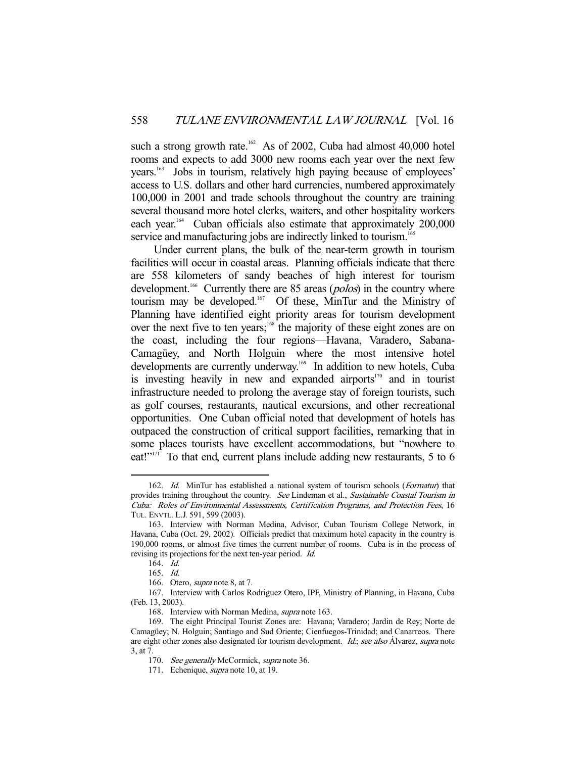such a strong growth rate.<sup>162</sup> As of 2002, Cuba had almost 40,000 hotel rooms and expects to add 3000 new rooms each year over the next few years.<sup>163</sup> Jobs in tourism, relatively high paying because of employees' access to U.S. dollars and other hard currencies, numbered approximately 100,000 in 2001 and trade schools throughout the country are training several thousand more hotel clerks, waiters, and other hospitality workers each year.<sup>164</sup> Cuban officials also estimate that approximately 200,000 service and manufacturing jobs are indirectly linked to tourism.<sup>165</sup>

 Under current plans, the bulk of the near-term growth in tourism facilities will occur in coastal areas. Planning officials indicate that there are 558 kilometers of sandy beaches of high interest for tourism development.<sup>166</sup> Currently there are 85 areas (*polos*) in the country where tourism may be developed.167 Of these, MinTur and the Ministry of Planning have identified eight priority areas for tourism development over the next five to ten years;<sup>168</sup> the majority of these eight zones are on the coast, including the four regions—Havana, Varadero, Sabana-Camagüey, and North Holguin—where the most intensive hotel developments are currently underway.<sup>169</sup> In addition to new hotels, Cuba is investing heavily in new and expanded airports $170$  and in tourist infrastructure needed to prolong the average stay of foreign tourists, such as golf courses, restaurants, nautical excursions, and other recreational opportunities. One Cuban official noted that development of hotels has outpaced the construction of critical support facilities, remarking that in some places tourists have excellent accommodations, but "nowhere to eat!"<sup> $171$ </sup> To that end, current plans include adding new restaurants, 5 to 6

<sup>162.</sup> Id. MinTur has established a national system of tourism schools (Formatur) that provides training throughout the country. See Lindeman et al., Sustainable Coastal Tourism in Cuba: Roles of Environmental Assessments, Certification Programs, and Protection Fees, 16 TUL. ENVTL. L.J. 591, 599 (2003).

 <sup>163.</sup> Interview with Norman Medina, Advisor, Cuban Tourism College Network, in Havana, Cuba (Oct. 29, 2002). Officials predict that maximum hotel capacity in the country is 190,000 rooms, or almost five times the current number of rooms. Cuba is in the process of revising its projections for the next ten-year period. Id.

 <sup>164.</sup> Id.

 <sup>165.</sup> Id.

 <sup>166.</sup> Otero, supra note 8, at 7.

 <sup>167.</sup> Interview with Carlos Rodriguez Otero, IPF, Ministry of Planning, in Havana, Cuba (Feb. 13, 2003).

 <sup>168.</sup> Interview with Norman Medina, supra note 163.

 <sup>169.</sup> The eight Principal Tourist Zones are: Havana; Varadero; Jardin de Rey; Norte de Camagüey; N. Holguin; Santiago and Sud Oriente; Cienfuegos-Trinidad; and Canarreos. There are eight other zones also designated for tourism development. Id: see also Álvarez, supra note 3, at 7.

<sup>170.</sup> See generally McCormick, supra note 36.

<sup>171.</sup> Echenique, *supra* note 10, at 19.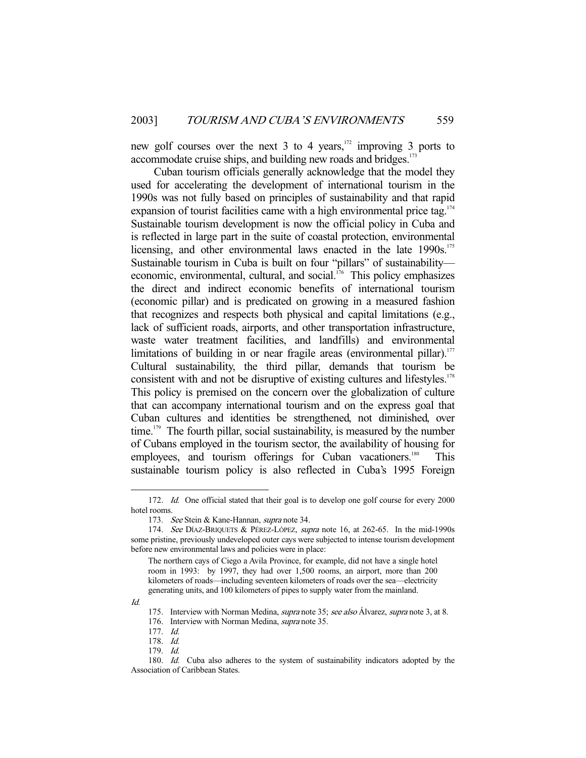new golf courses over the next  $3$  to  $4$  years,<sup>172</sup> improving  $3$  ports to accommodate cruise ships, and building new roads and bridges.<sup>173</sup>

 Cuban tourism officials generally acknowledge that the model they used for accelerating the development of international tourism in the 1990s was not fully based on principles of sustainability and that rapid expansion of tourist facilities came with a high environmental price tag.<sup>174</sup> Sustainable tourism development is now the official policy in Cuba and is reflected in large part in the suite of coastal protection, environmental licensing, and other environmental laws enacted in the late 1990s.<sup>175</sup> Sustainable tourism in Cuba is built on four "pillars" of sustainability economic, environmental, cultural, and social. $^{176}$  This policy emphasizes the direct and indirect economic benefits of international tourism (economic pillar) and is predicated on growing in a measured fashion that recognizes and respects both physical and capital limitations (e.g., lack of sufficient roads, airports, and other transportation infrastructure, waste water treatment facilities, and landfills) and environmental limitations of building in or near fragile areas (environmental pillar).<sup>177</sup> Cultural sustainability, the third pillar, demands that tourism be consistent with and not be disruptive of existing cultures and lifestyles.<sup>178</sup> This policy is premised on the concern over the globalization of culture that can accompany international tourism and on the express goal that Cuban cultures and identities be strengthened, not diminished, over time.<sup>179</sup> The fourth pillar, social sustainability, is measured by the number of Cubans employed in the tourism sector, the availability of housing for employees, and tourism offerings for Cuban vacationers.<sup>180</sup> sustainable tourism policy is also reflected in Cuba's 1995 Foreign

Id.

<sup>172.</sup> Id. One official stated that their goal is to develop one golf course for every 2000 hotel rooms.

<sup>173.</sup> See Stein & Kane-Hannan, supra note 34.

<sup>174.</sup> See DÍAZ-BRIQUETS & PÉREZ-LÓPEZ, supra note 16, at 262-65. In the mid-1990s some pristine, previously undeveloped outer cays were subjected to intense tourism development before new environmental laws and policies were in place:

The northern cays of Ciego a Avila Province, for example, did not have a single hotel room in 1993: by 1997, they had over 1,500 rooms, an airport, more than 200 kilometers of roads—including seventeen kilometers of roads over the sea—electricity generating units, and 100 kilometers of pipes to supply water from the mainland.

<sup>175.</sup> Interview with Norman Medina, *supra* note 35; see also Álvarez, *supra* note 3, at 8.

<sup>176.</sup> Interview with Norman Medina, *supra* note 35.

 <sup>177.</sup> Id.

 <sup>178.</sup> Id.

 <sup>179.</sup> Id.

<sup>180.</sup> Id. Cuba also adheres to the system of sustainability indicators adopted by the Association of Caribbean States.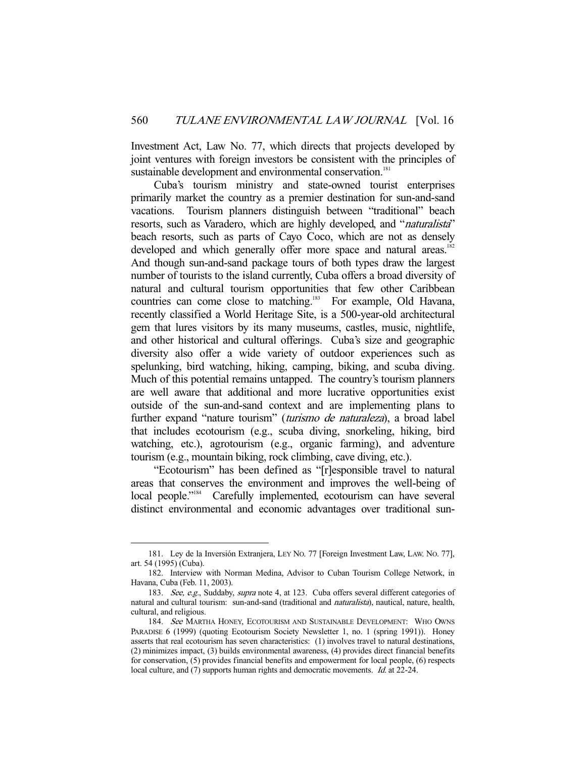Investment Act, Law No. 77, which directs that projects developed by joint ventures with foreign investors be consistent with the principles of sustainable development and environmental conservation.<sup>181</sup>

 Cuba's tourism ministry and state-owned tourist enterprises primarily market the country as a premier destination for sun-and-sand vacations. Tourism planners distinguish between "traditional" beach resorts, such as Varadero, which are highly developed, and "*naturalista*" beach resorts, such as parts of Cayo Coco, which are not as densely developed and which generally offer more space and natural areas.<sup>182</sup> And though sun-and-sand package tours of both types draw the largest number of tourists to the island currently, Cuba offers a broad diversity of natural and cultural tourism opportunities that few other Caribbean countries can come close to matching.183 For example, Old Havana, recently classified a World Heritage Site, is a 500-year-old architectural gem that lures visitors by its many museums, castles, music, nightlife, and other historical and cultural offerings. Cuba's size and geographic diversity also offer a wide variety of outdoor experiences such as spelunking, bird watching, hiking, camping, biking, and scuba diving. Much of this potential remains untapped. The country's tourism planners are well aware that additional and more lucrative opportunities exist outside of the sun-and-sand context and are implementing plans to further expand "nature tourism" (turismo de naturaleza), a broad label that includes ecotourism (e.g., scuba diving, snorkeling, hiking, bird watching, etc.), agrotourism (e.g., organic farming), and adventure tourism (e.g., mountain biking, rock climbing, cave diving, etc.).

 "Ecotourism" has been defined as "[r]esponsible travel to natural areas that conserves the environment and improves the well-being of local people."<sup>184</sup> Carefully implemented, ecotourism can have several distinct environmental and economic advantages over traditional sun-

 <sup>181.</sup> Ley de la Inversión Extranjera, LEY NO. 77 [Foreign Investment Law, LAW. NO. 77], art. 54 (1995) (Cuba).

 <sup>182.</sup> Interview with Norman Medina, Advisor to Cuban Tourism College Network, in Havana, Cuba (Feb. 11, 2003).

<sup>183.</sup> See, e.g., Suddaby, supra note 4, at 123. Cuba offers several different categories of natural and cultural tourism: sun-and-sand (traditional and *naturalista*), nautical, nature, health, cultural, and religious.

<sup>184.</sup> See MARTHA HONEY, ECOTOURISM AND SUSTAINABLE DEVELOPMENT: WHO OWNS PARADISE 6 (1999) (quoting Ecotourism Society Newsletter 1, no. 1 (spring 1991)). Honey asserts that real ecotourism has seven characteristics: (1) involves travel to natural destinations, (2) minimizes impact, (3) builds environmental awareness, (4) provides direct financial benefits for conservation, (5) provides financial benefits and empowerment for local people, (6) respects local culture, and (7) supports human rights and democratic movements. *Id.* at 22-24.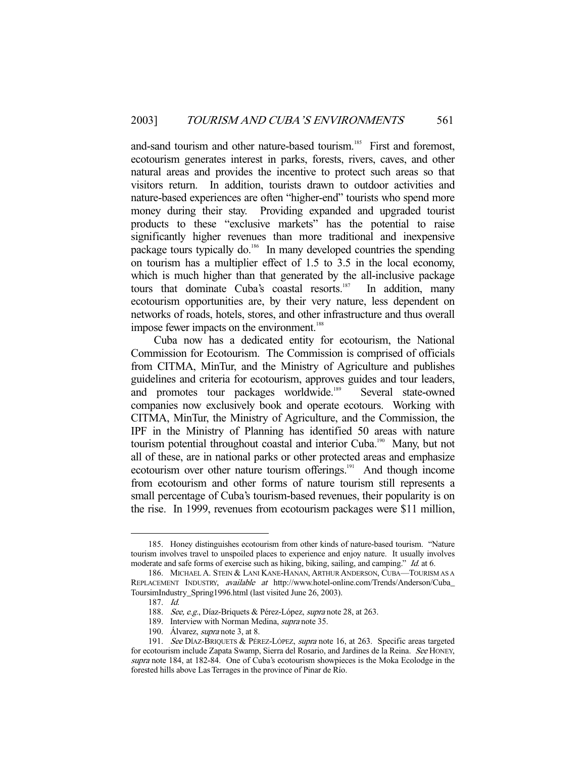and-sand tourism and other nature-based tourism.<sup>185</sup> First and foremost, ecotourism generates interest in parks, forests, rivers, caves, and other natural areas and provides the incentive to protect such areas so that visitors return. In addition, tourists drawn to outdoor activities and nature-based experiences are often "higher-end" tourists who spend more money during their stay. Providing expanded and upgraded tourist products to these "exclusive markets" has the potential to raise significantly higher revenues than more traditional and inexpensive package tours typically do.<sup>186</sup> In many developed countries the spending on tourism has a multiplier effect of 1.5 to 3.5 in the local economy, which is much higher than that generated by the all-inclusive package tours that dominate Cuba's coastal resorts.<sup>187</sup> In addition, many ecotourism opportunities are, by their very nature, less dependent on networks of roads, hotels, stores, and other infrastructure and thus overall impose fewer impacts on the environment.<sup>188</sup>

 Cuba now has a dedicated entity for ecotourism, the National Commission for Ecotourism. The Commission is comprised of officials from CITMA, MinTur, and the Ministry of Agriculture and publishes guidelines and criteria for ecotourism, approves guides and tour leaders, and promotes tour packages worldwide.<sup>189</sup> Several state-owned companies now exclusively book and operate ecotours. Working with CITMA, MinTur, the Ministry of Agriculture, and the Commission, the IPF in the Ministry of Planning has identified 50 areas with nature tourism potential throughout coastal and interior Cuba.<sup>190</sup> Many, but not all of these, are in national parks or other protected areas and emphasize ecotourism over other nature tourism offerings.<sup>191</sup> And though income from ecotourism and other forms of nature tourism still represents a small percentage of Cuba's tourism-based revenues, their popularity is on the rise. In 1999, revenues from ecotourism packages were \$11 million,

 <sup>185.</sup> Honey distinguishes ecotourism from other kinds of nature-based tourism. "Nature tourism involves travel to unspoiled places to experience and enjoy nature. It usually involves moderate and safe forms of exercise such as hiking, biking, sailing, and camping." *Id.* at 6.

<sup>186.</sup> MICHAEL A. STEIN & LANI KANE-HANAN, ARTHUR ANDERSON, CUBA-TOURISM AS A REPLACEMENT INDUSTRY, available at http://www.hotel-online.com/Trends/Anderson/Cuba\_ ToursimIndustry\_Spring1996.html (last visited June 26, 2003).

 <sup>187.</sup> Id.

<sup>188.</sup> See, e.g., Díaz-Briquets & Pérez-López, supra note 28, at 263.

<sup>189.</sup> Interview with Norman Medina, *supra* note 35.

<sup>190.</sup> Álvarez, *supra* note 3, at 8.

<sup>191.</sup> See DÍAZ-BRIQUETS & PÉREZ-LÓPEZ, supra note 16, at 263. Specific areas targeted for ecotourism include Zapata Swamp, Sierra del Rosario, and Jardines de la Reina. See HONEY, supra note 184, at 182-84. One of Cuba's ecotourism showpieces is the Moka Ecolodge in the forested hills above Las Terrages in the province of Pinar de Río.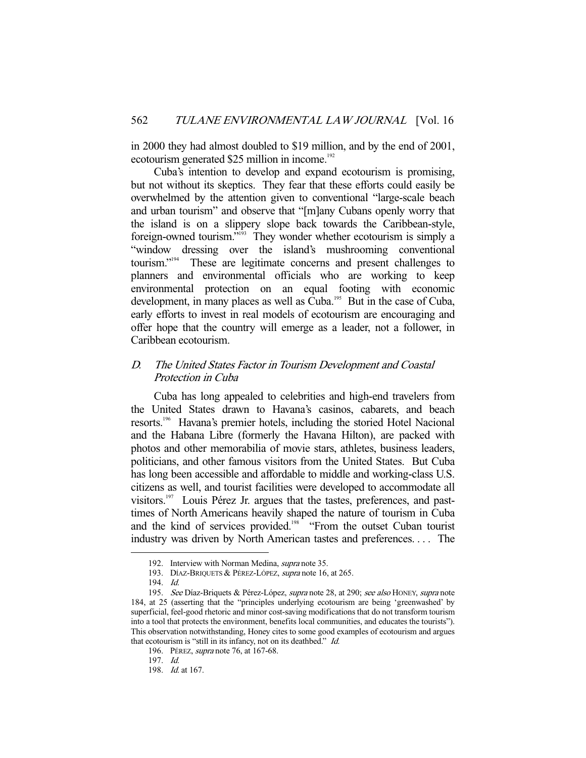in 2000 they had almost doubled to \$19 million, and by the end of 2001, ecotourism generated  $$25$  million in income.<sup>192</sup>

 Cuba's intention to develop and expand ecotourism is promising, but not without its skeptics. They fear that these efforts could easily be overwhelmed by the attention given to conventional "large-scale beach and urban tourism" and observe that "[m]any Cubans openly worry that the island is on a slippery slope back towards the Caribbean-style, foreign-owned tourism."<sup>193</sup> They wonder whether ecotourism is simply a "window dressing over the island's mushrooming conventional tourism."194 These are legitimate concerns and present challenges to planners and environmental officials who are working to keep environmental protection on an equal footing with economic development, in many places as well as Cuba.<sup>195</sup> But in the case of Cuba, early efforts to invest in real models of ecotourism are encouraging and offer hope that the country will emerge as a leader, not a follower, in Caribbean ecotourism.

## D. The United States Factor in Tourism Development and Coastal Protection in Cuba

 Cuba has long appealed to celebrities and high-end travelers from the United States drawn to Havana's casinos, cabarets, and beach resorts.196 Havana's premier hotels, including the storied Hotel Nacional and the Habana Libre (formerly the Havana Hilton), are packed with photos and other memorabilia of movie stars, athletes, business leaders, politicians, and other famous visitors from the United States. But Cuba has long been accessible and affordable to middle and working-class U.S. citizens as well, and tourist facilities were developed to accommodate all visitors.197 Louis Pérez Jr. argues that the tastes, preferences, and pasttimes of North Americans heavily shaped the nature of tourism in Cuba and the kind of services provided.<sup>198</sup> "From the outset Cuban tourist industry was driven by North American tastes and preferences. . . . The

 <sup>192.</sup> Interview with Norman Medina, supra note 35.

<sup>193.</sup> DÍAZ-BRIQUETS & PÉREZ-LÓPEZ, supra note 16, at 265.

 <sup>194.</sup> Id.

<sup>195.</sup> See Díaz-Briquets & Pérez-López, supra note 28, at 290; see also HONEY, supra note 184, at 25 (asserting that the "principles underlying ecotourism are being 'greenwashed' by superficial, feel-good rhetoric and minor cost-saving modifications that do not transform tourism into a tool that protects the environment, benefits local communities, and educates the tourists"). This observation notwithstanding, Honey cites to some good examples of ecotourism and argues that ecotourism is "still in its infancy, not on its deathbed." Id.

<sup>196.</sup> PÉREZ, *supra* note 76, at 167-68.

 <sup>197.</sup> Id.

 <sup>198.</sup> Id. at 167.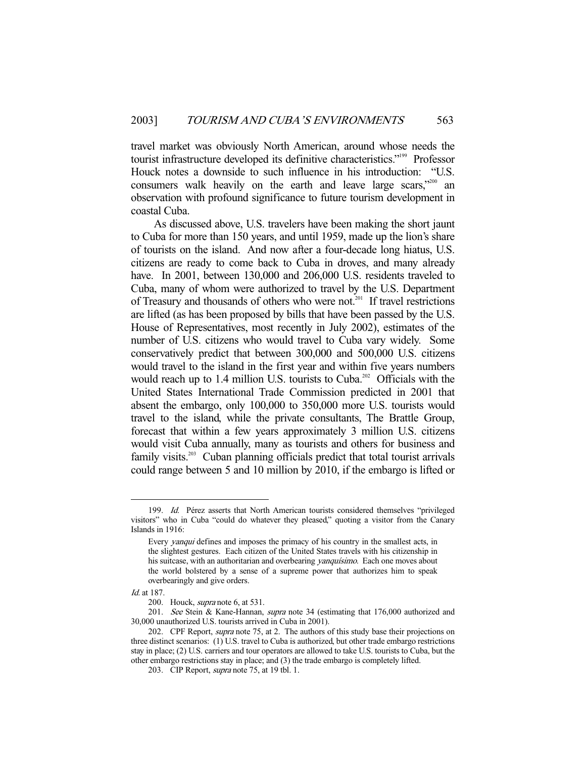travel market was obviously North American, around whose needs the tourist infrastructure developed its definitive characteristics."<sup>199</sup> Professor Houck notes a downside to such influence in his introduction: "U.S. consumers walk heavily on the earth and leave large scars,"<sup>200</sup> an observation with profound significance to future tourism development in coastal Cuba.

 As discussed above, U.S. travelers have been making the short jaunt to Cuba for more than 150 years, and until 1959, made up the lion's share of tourists on the island. And now after a four-decade long hiatus, U.S. citizens are ready to come back to Cuba in droves, and many already have. In 2001, between 130,000 and 206,000 U.S. residents traveled to Cuba, many of whom were authorized to travel by the U.S. Department of Treasury and thousands of others who were not.<sup>201</sup> If travel restrictions are lifted (as has been proposed by bills that have been passed by the U.S. House of Representatives, most recently in July 2002), estimates of the number of U.S. citizens who would travel to Cuba vary widely. Some conservatively predict that between 300,000 and 500,000 U.S. citizens would travel to the island in the first year and within five years numbers would reach up to 1.4 million U.S. tourists to Cuba.<sup>202</sup> Officials with the United States International Trade Commission predicted in 2001 that absent the embargo, only 100,000 to 350,000 more U.S. tourists would travel to the island, while the private consultants, The Brattle Group, forecast that within a few years approximately 3 million U.S. citizens would visit Cuba annually, many as tourists and others for business and family visits.<sup>203</sup> Cuban planning officials predict that total tourist arrivals could range between 5 and 10 million by 2010, if the embargo is lifted or

 <sup>199.</sup> Id. Pérez asserts that North American tourists considered themselves "privileged visitors" who in Cuba "could do whatever they pleased," quoting a visitor from the Canary Islands in 1916:

Every yanqui defines and imposes the primacy of his country in the smallest acts, in the slightest gestures. Each citizen of the United States travels with his citizenship in his suitcase, with an authoritarian and overbearing *yanquísimo*. Each one moves about the world bolstered by a sense of a supreme power that authorizes him to speak overbearingly and give orders.

Id. at 187.

<sup>200.</sup> Houck, *supra* note 6, at 531.

<sup>201.</sup> See Stein & Kane-Hannan, *supra* note 34 (estimating that 176,000 authorized and 30,000 unauthorized U.S. tourists arrived in Cuba in 2001).

<sup>202.</sup> CPF Report, *supra* note 75, at 2. The authors of this study base their projections on three distinct scenarios: (1) U.S. travel to Cuba is authorized, but other trade embargo restrictions stay in place; (2) U.S. carriers and tour operators are allowed to take U.S. tourists to Cuba, but the other embargo restrictions stay in place; and (3) the trade embargo is completely lifted.

<sup>203.</sup> CIP Report, *supra* note 75, at 19 tbl. 1.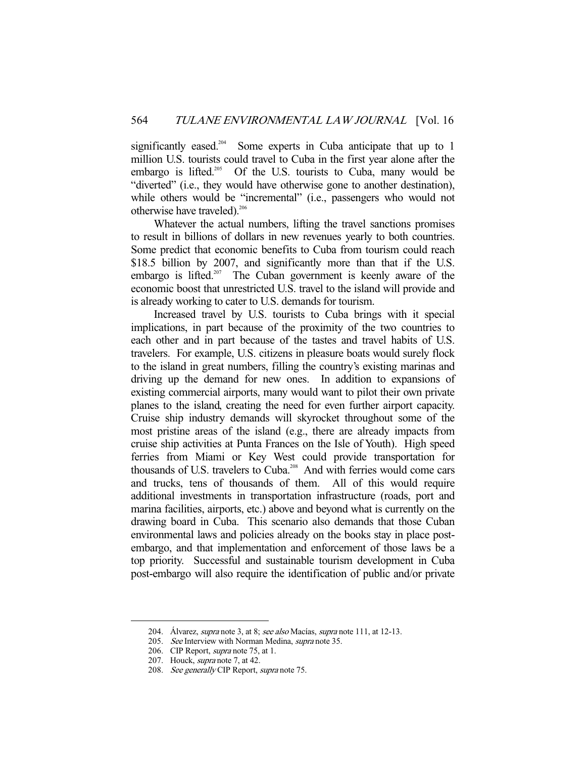significantly eased.<sup>204</sup> Some experts in Cuba anticipate that up to 1 million U.S. tourists could travel to Cuba in the first year alone after the embargo is lifted.<sup>205</sup> Of the U.S. tourists to Cuba, many would be "diverted" (i.e., they would have otherwise gone to another destination), while others would be "incremental" (i.e., passengers who would not otherwise have traveled).<sup>206</sup>

 Whatever the actual numbers, lifting the travel sanctions promises to result in billions of dollars in new revenues yearly to both countries. Some predict that economic benefits to Cuba from tourism could reach \$18.5 billion by 2007, and significantly more than that if the U.S. embargo is lifted.<sup>207</sup> The Cuban government is keenly aware of the economic boost that unrestricted U.S. travel to the island will provide and is already working to cater to U.S. demands for tourism.

 Increased travel by U.S. tourists to Cuba brings with it special implications, in part because of the proximity of the two countries to each other and in part because of the tastes and travel habits of U.S. travelers. For example, U.S. citizens in pleasure boats would surely flock to the island in great numbers, filling the country's existing marinas and driving up the demand for new ones. In addition to expansions of existing commercial airports, many would want to pilot their own private planes to the island, creating the need for even further airport capacity. Cruise ship industry demands will skyrocket throughout some of the most pristine areas of the island (e.g., there are already impacts from cruise ship activities at Punta Frances on the Isle of Youth). High speed ferries from Miami or Key West could provide transportation for thousands of U.S. travelers to Cuba.<sup>208</sup> And with ferries would come cars and trucks, tens of thousands of them. All of this would require additional investments in transportation infrastructure (roads, port and marina facilities, airports, etc.) above and beyond what is currently on the drawing board in Cuba. This scenario also demands that those Cuban environmental laws and policies already on the books stay in place postembargo, and that implementation and enforcement of those laws be a top priority. Successful and sustainable tourism development in Cuba post-embargo will also require the identification of public and/or private

<sup>204.</sup> Álvarez, *supra* note 3, at 8; see also Macías, supra note 111, at 12-13.

<sup>205.</sup> See Interview with Norman Medina, supra note 35.

<sup>206.</sup> CIP Report, *supra* note 75, at 1.

 <sup>207.</sup> Houck, supra note 7, at 42.

<sup>208.</sup> See generally CIP Report, supra note 75.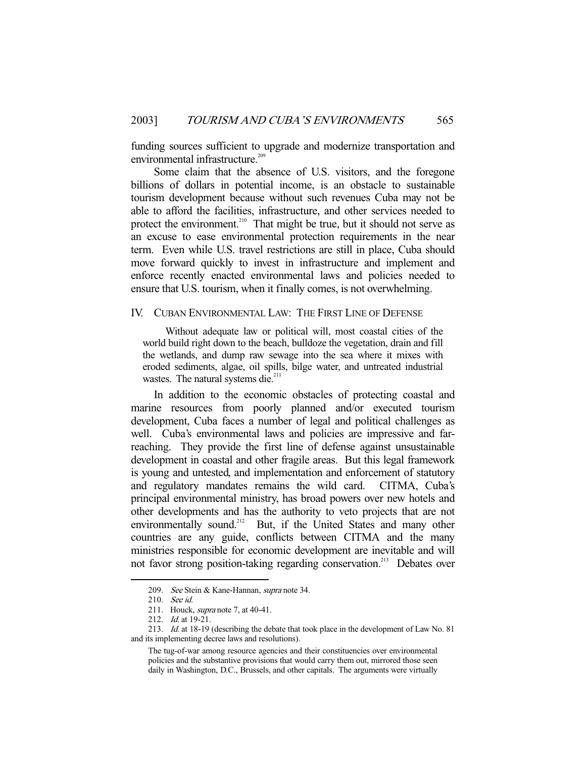funding sources sufficient to upgrade and modernize transportation and environmental infrastructure.<sup>209</sup>

 Some claim that the absence of U.S. visitors, and the foregone billions of dollars in potential income, is an obstacle to sustainable tourism development because without such revenues Cuba may not be able to afford the facilities, infrastructure, and other services needed to protect the environment.<sup>210</sup> That might be true, but it should not serve as an excuse to ease environmental protection requirements in the near term. Even while U.S. travel restrictions are still in place, Cuba should move forward quickly to invest in infrastructure and implement and enforce recently enacted environmental laws and policies needed to ensure that U.S. tourism, when it finally comes, is not overwhelming.

#### IV. CUBAN ENVIRONMENTAL LAW: THE FIRST LINE OF DEFENSE

 Without adequate law or political will, most coastal cities of the world build right down to the beach, bulldoze the vegetation, drain and fill the wetlands, and dump raw sewage into the sea where it mixes with eroded sediments, algae, oil spills, bilge water, and untreated industrial wastes. The natural systems die.<sup>211</sup>

 In addition to the economic obstacles of protecting coastal and marine resources from poorly planned and/or executed tourism development, Cuba faces a number of legal and political challenges as well. Cuba's environmental laws and policies are impressive and farreaching. They provide the first line of defense against unsustainable development in coastal and other fragile areas. But this legal framework is young and untested, and implementation and enforcement of statutory and regulatory mandates remains the wild card. CITMA, Cuba's principal environmental ministry, has broad powers over new hotels and other developments and has the authority to veto projects that are not environmentally sound.<sup>212</sup> But, if the United States and many other countries are any guide, conflicts between CITMA and the many ministries responsible for economic development are inevitable and will not favor strong position-taking regarding conservation.<sup>213</sup> Debates over

<sup>209.</sup> See Stein & Kane-Hannan, supra note 34.

 <sup>210.</sup> See id.

<sup>211.</sup> Houck, *supra* note 7, at 40-41.

<sup>212.</sup> *Id.* at 19-21.

<sup>213.</sup> *Id.* at 18-19 (describing the debate that took place in the development of Law No. 81 and its implementing decree laws and resolutions).

The tug-of-war among resource agencies and their constituencies over environmental policies and the substantive provisions that would carry them out, mirrored those seen daily in Washington, D.C., Brussels, and other capitals. The arguments were virtually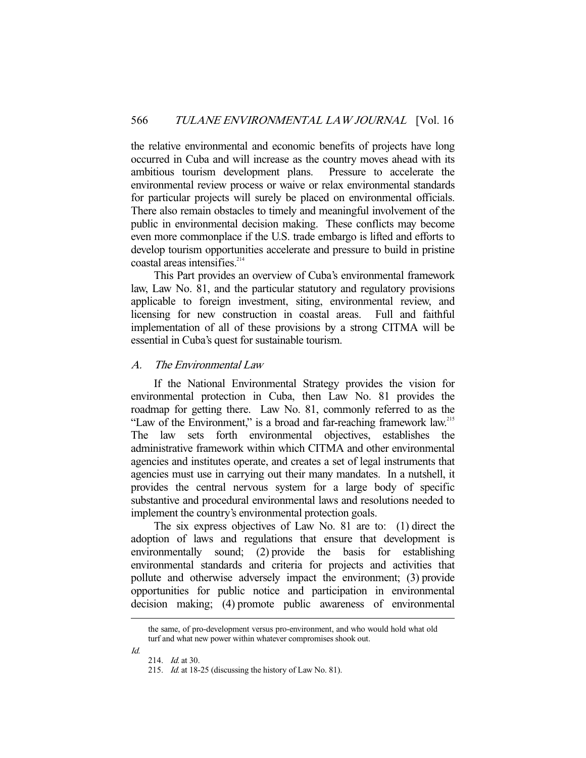the relative environmental and economic benefits of projects have long occurred in Cuba and will increase as the country moves ahead with its ambitious tourism development plans. Pressure to accelerate the environmental review process or waive or relax environmental standards for particular projects will surely be placed on environmental officials. There also remain obstacles to timely and meaningful involvement of the public in environmental decision making. These conflicts may become even more commonplace if the U.S. trade embargo is lifted and efforts to develop tourism opportunities accelerate and pressure to build in pristine coastal areas intensifies.<sup>214</sup>

 This Part provides an overview of Cuba's environmental framework law, Law No. 81, and the particular statutory and regulatory provisions applicable to foreign investment, siting, environmental review, and licensing for new construction in coastal areas. Full and faithful implementation of all of these provisions by a strong CITMA will be essential in Cuba's quest for sustainable tourism.

## A. The Environmental Law

 If the National Environmental Strategy provides the vision for environmental protection in Cuba, then Law No. 81 provides the roadmap for getting there. Law No. 81, commonly referred to as the "Law of the Environment," is a broad and far-reaching framework law.<sup>215</sup> The law sets forth environmental objectives, establishes the administrative framework within which CITMA and other environmental agencies and institutes operate, and creates a set of legal instruments that agencies must use in carrying out their many mandates. In a nutshell, it provides the central nervous system for a large body of specific substantive and procedural environmental laws and resolutions needed to implement the country's environmental protection goals.

 The six express objectives of Law No. 81 are to: (1) direct the adoption of laws and regulations that ensure that development is environmentally sound; (2) provide the basis for establishing environmental standards and criteria for projects and activities that pollute and otherwise adversely impact the environment; (3) provide opportunities for public notice and participation in environmental decision making; (4) promote public awareness of environmental

Id.

the same, of pro-development versus pro-environment, and who would hold what old turf and what new power within whatever compromises shook out.

<sup>214.</sup> *Id.* at 30.

 <sup>215.</sup> Id. at 18-25 (discussing the history of Law No. 81).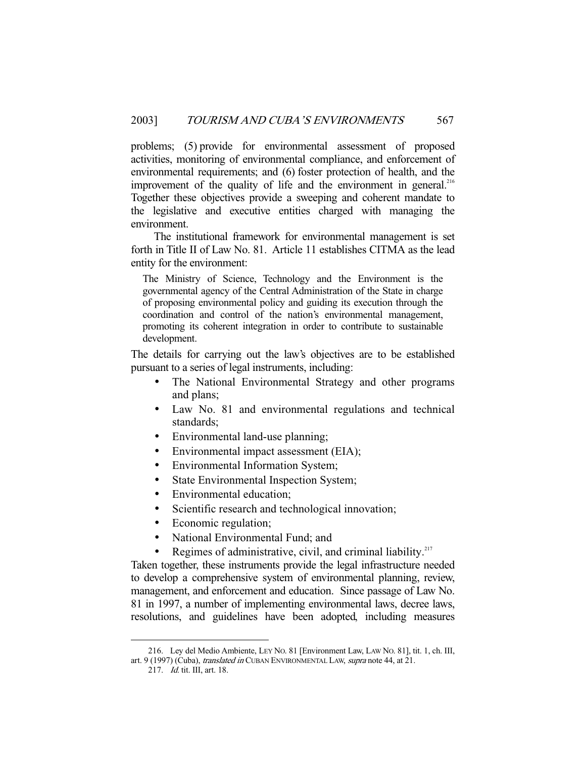problems; (5) provide for environmental assessment of proposed activities, monitoring of environmental compliance, and enforcement of environmental requirements; and (6) foster protection of health, and the improvement of the quality of life and the environment in general.<sup>216</sup> Together these objectives provide a sweeping and coherent mandate to the legislative and executive entities charged with managing the environment.

 The institutional framework for environmental management is set forth in Title II of Law No. 81. Article 11 establishes CITMA as the lead entity for the environment:

The Ministry of Science, Technology and the Environment is the governmental agency of the Central Administration of the State in charge of proposing environmental policy and guiding its execution through the coordination and control of the nation's environmental management, promoting its coherent integration in order to contribute to sustainable development.

The details for carrying out the law's objectives are to be established pursuant to a series of legal instruments, including:

- The National Environmental Strategy and other programs and plans;
- Law No. 81 and environmental regulations and technical standards;
- Environmental land-use planning;
- Environmental impact assessment (EIA);
- Environmental Information System;
- State Environmental Inspection System;
- Environmental education;
- Scientific research and technological innovation;
- Economic regulation;
- National Environmental Fund; and
- Regimes of administrative, civil, and criminal liability. $217$

Taken together, these instruments provide the legal infrastructure needed to develop a comprehensive system of environmental planning, review, management, and enforcement and education. Since passage of Law No. 81 in 1997, a number of implementing environmental laws, decree laws, resolutions, and guidelines have been adopted, including measures

 <sup>216.</sup> Ley del Medio Ambiente, LEY NO. 81 [Environment Law, LAW NO. 81], tit. 1, ch. III, art. 9 (1997) (Cuba), *translated in* CUBAN ENVIRONMENTAL LAW, *supra* note 44, at 21.

 <sup>217.</sup> Id. tit. III, art. 18.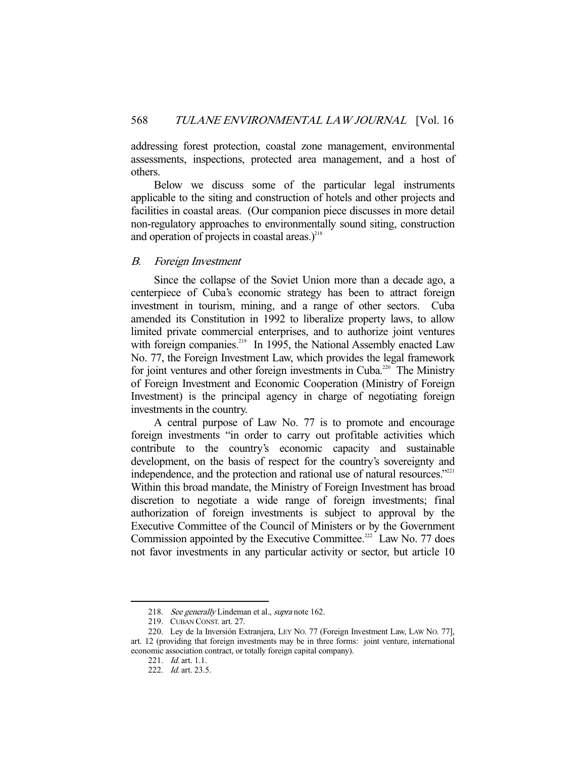addressing forest protection, coastal zone management, environmental assessments, inspections, protected area management, and a host of others.

 Below we discuss some of the particular legal instruments applicable to the siting and construction of hotels and other projects and facilities in coastal areas. (Our companion piece discusses in more detail non-regulatory approaches to environmentally sound siting, construction and operation of projects in coastal areas. $)^{218}$ 

## B. Foreign Investment

 Since the collapse of the Soviet Union more than a decade ago, a centerpiece of Cuba's economic strategy has been to attract foreign investment in tourism, mining, and a range of other sectors. Cuba amended its Constitution in 1992 to liberalize property laws, to allow limited private commercial enterprises, and to authorize joint ventures with foreign companies.<sup>219</sup> In 1995, the National Assembly enacted Law No. 77, the Foreign Investment Law, which provides the legal framework for joint ventures and other foreign investments in Cuba.<sup>220</sup> The Ministry of Foreign Investment and Economic Cooperation (Ministry of Foreign Investment) is the principal agency in charge of negotiating foreign investments in the country.

 A central purpose of Law No. 77 is to promote and encourage foreign investments "in order to carry out profitable activities which contribute to the country's economic capacity and sustainable development, on the basis of respect for the country's sovereignty and independence, and the protection and rational use of natural resources."<sup>221</sup> Within this broad mandate, the Ministry of Foreign Investment has broad discretion to negotiate a wide range of foreign investments; final authorization of foreign investments is subject to approval by the Executive Committee of the Council of Ministers or by the Government Commission appointed by the Executive Committee.<sup>222</sup> Law No. 77 does not favor investments in any particular activity or sector, but article 10

<sup>218.</sup> See generally Lindeman et al., supra note 162.

 <sup>219.</sup> CUBAN CONST. art. 27.

 <sup>220.</sup> Ley de la Inversión Extranjera, LEY NO. 77 (Foreign Investment Law, LAW NO. 77], art. 12 (providing that foreign investments may be in three forms: joint venture, international economic association contract, or totally foreign capital company).

<sup>221.</sup> *Id.* art. 1.1.

<sup>222.</sup> *Id.* art. 23.5.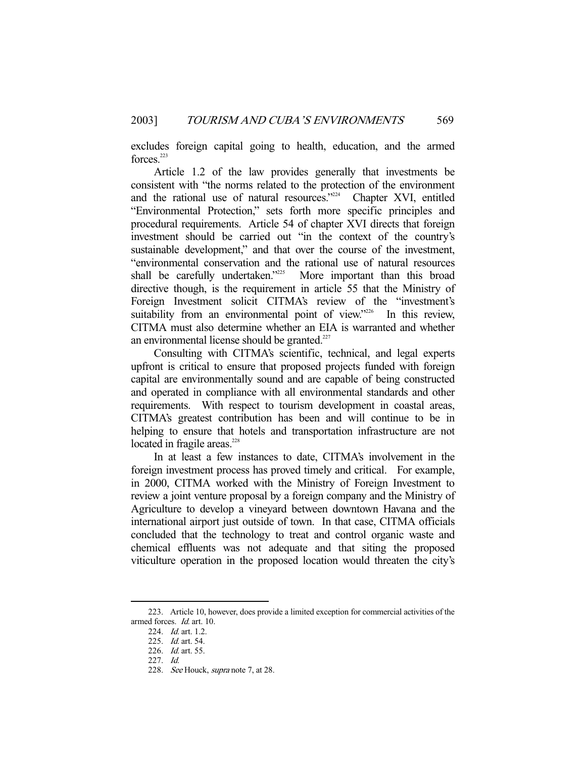excludes foreign capital going to health, education, and the armed forces.<sup>223</sup>

 Article 1.2 of the law provides generally that investments be consistent with "the norms related to the protection of the environment and the rational use of natural resources."<sup>224</sup> Chapter XVI, entitled "Environmental Protection," sets forth more specific principles and procedural requirements. Article 54 of chapter XVI directs that foreign investment should be carried out "in the context of the country's sustainable development," and that over the course of the investment, "environmental conservation and the rational use of natural resources shall be carefully undertaken."<sup>225</sup> More important than this broad directive though, is the requirement in article 55 that the Ministry of Foreign Investment solicit CITMA's review of the "investment's suitability from an environmental point of view."<sup>226</sup> In this review, CITMA must also determine whether an EIA is warranted and whether an environmental license should be granted. $227$ 

 Consulting with CITMA's scientific, technical, and legal experts upfront is critical to ensure that proposed projects funded with foreign capital are environmentally sound and are capable of being constructed and operated in compliance with all environmental standards and other requirements. With respect to tourism development in coastal areas, CITMA's greatest contribution has been and will continue to be in helping to ensure that hotels and transportation infrastructure are not located in fragile areas.<sup>228</sup>

 In at least a few instances to date, CITMA's involvement in the foreign investment process has proved timely and critical. For example, in 2000, CITMA worked with the Ministry of Foreign Investment to review a joint venture proposal by a foreign company and the Ministry of Agriculture to develop a vineyard between downtown Havana and the international airport just outside of town. In that case, CITMA officials concluded that the technology to treat and control organic waste and chemical effluents was not adequate and that siting the proposed viticulture operation in the proposed location would threaten the city's

 <sup>223.</sup> Article 10, however, does provide a limited exception for commercial activities of the armed forces. Id. art. 10.

<sup>224.</sup> *Id.* art. 1.2.

 <sup>225.</sup> Id. art. 54.

 <sup>226.</sup> Id. art. 55.

 <sup>227.</sup> Id.

<sup>228.</sup> See Houck, *supra* note 7, at 28.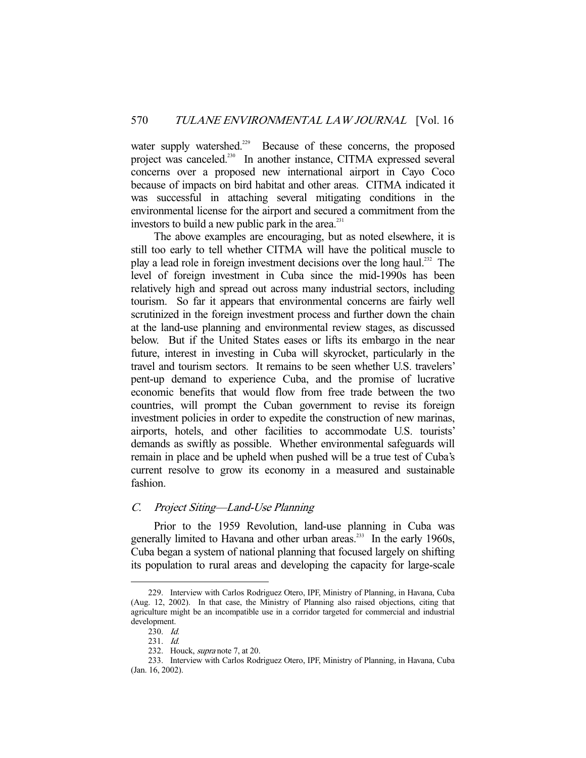water supply watershed.<sup>229</sup> Because of these concerns, the proposed project was canceled.<sup>230</sup> In another instance, CITMA expressed several concerns over a proposed new international airport in Cayo Coco because of impacts on bird habitat and other areas. CITMA indicated it was successful in attaching several mitigating conditions in the environmental license for the airport and secured a commitment from the investors to build a new public park in the area. $231$ 

 The above examples are encouraging, but as noted elsewhere, it is still too early to tell whether CITMA will have the political muscle to play a lead role in foreign investment decisions over the long haul.<sup>232</sup> The level of foreign investment in Cuba since the mid-1990s has been relatively high and spread out across many industrial sectors, including tourism. So far it appears that environmental concerns are fairly well scrutinized in the foreign investment process and further down the chain at the land-use planning and environmental review stages, as discussed below. But if the United States eases or lifts its embargo in the near future, interest in investing in Cuba will skyrocket, particularly in the travel and tourism sectors. It remains to be seen whether U.S. travelers' pent-up demand to experience Cuba, and the promise of lucrative economic benefits that would flow from free trade between the two countries, will prompt the Cuban government to revise its foreign investment policies in order to expedite the construction of new marinas, airports, hotels, and other facilities to accommodate U.S. tourists' demands as swiftly as possible. Whether environmental safeguards will remain in place and be upheld when pushed will be a true test of Cuba's current resolve to grow its economy in a measured and sustainable fashion.

## C. Project Siting—Land-Use Planning

 Prior to the 1959 Revolution, land-use planning in Cuba was generally limited to Havana and other urban areas.<sup>233</sup> In the early 1960s, Cuba began a system of national planning that focused largely on shifting its population to rural areas and developing the capacity for large-scale

 <sup>229.</sup> Interview with Carlos Rodriguez Otero, IPF, Ministry of Planning, in Havana, Cuba (Aug. 12, 2002). In that case, the Ministry of Planning also raised objections, citing that agriculture might be an incompatible use in a corridor targeted for commercial and industrial development.

 <sup>230.</sup> Id.

 <sup>231.</sup> Id.

 <sup>232.</sup> Houck, supra note 7, at 20.

 <sup>233.</sup> Interview with Carlos Rodriguez Otero, IPF, Ministry of Planning, in Havana, Cuba (Jan. 16, 2002).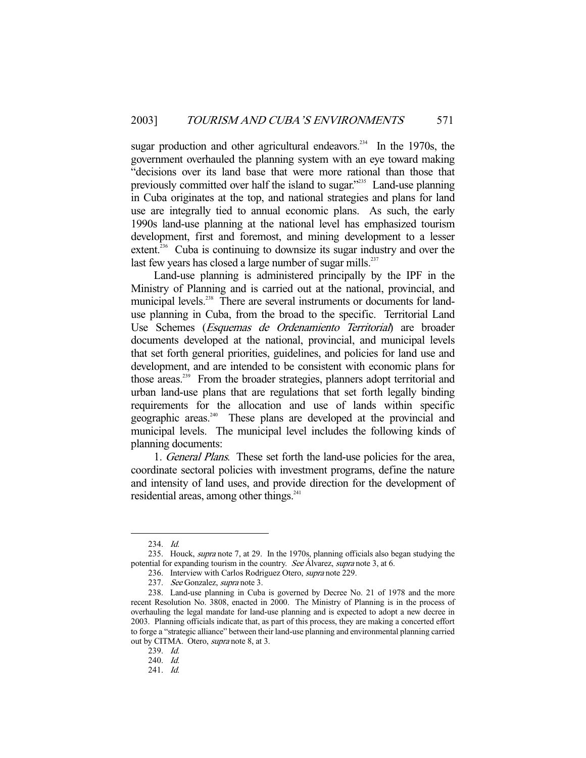sugar production and other agricultural endeavors.<sup>234</sup> In the 1970s, the government overhauled the planning system with an eye toward making "decisions over its land base that were more rational than those that previously committed over half the island to sugar."235 Land-use planning in Cuba originates at the top, and national strategies and plans for land use are integrally tied to annual economic plans. As such, the early 1990s land-use planning at the national level has emphasized tourism development, first and foremost, and mining development to a lesser extent. $236$  Cuba is continuing to downsize its sugar industry and over the last few years has closed a large number of sugar mills. $^{237}$ 

 Land-use planning is administered principally by the IPF in the Ministry of Planning and is carried out at the national, provincial, and municipal levels.<sup>238</sup> There are several instruments or documents for landuse planning in Cuba, from the broad to the specific. Territorial Land Use Schemes (Esquemas de Ordenamiento Territorial) are broader documents developed at the national, provincial, and municipal levels that set forth general priorities, guidelines, and policies for land use and development, and are intended to be consistent with economic plans for those areas.<sup>239</sup> From the broader strategies, planners adopt territorial and urban land-use plans that are regulations that set forth legally binding requirements for the allocation and use of lands within specific geographic areas.<sup>240</sup> These plans are developed at the provincial and municipal levels. The municipal level includes the following kinds of planning documents:

 1. General Plans. These set forth the land-use policies for the area, coordinate sectoral policies with investment programs, define the nature and intensity of land uses, and provide direction for the development of residential areas, among other things.<sup>241</sup>

 <sup>234.</sup> Id.

 <sup>235.</sup> Houck, supra note 7, at 29. In the 1970s, planning officials also began studying the potential for expanding tourism in the country. See Álvarez, supra note 3, at 6.

<sup>236.</sup> Interview with Carlos Rodriguez Otero, supra note 229.

<sup>237.</sup> See Gonzalez, supra note 3.

 <sup>238.</sup> Land-use planning in Cuba is governed by Decree No. 21 of 1978 and the more recent Resolution No. 3808, enacted in 2000. The Ministry of Planning is in the process of overhauling the legal mandate for land-use planning and is expected to adopt a new decree in 2003. Planning officials indicate that, as part of this process, they are making a concerted effort to forge a "strategic alliance" between their land-use planning and environmental planning carried out by CITMA. Otero, *supra* note 8, at 3.

 <sup>239.</sup> Id.

 <sup>240.</sup> Id.

 <sup>241.</sup> Id.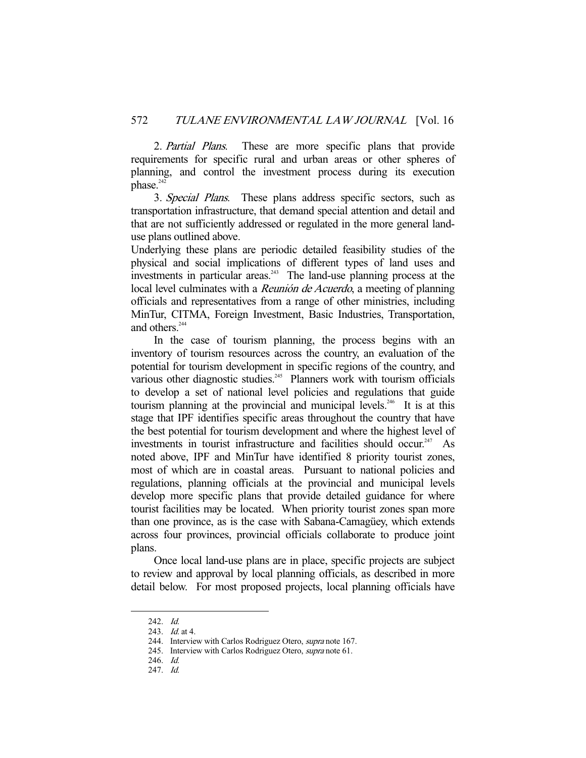2. *Partial Plans*. These are more specific plans that provide requirements for specific rural and urban areas or other spheres of planning, and control the investment process during its execution phase.<sup>242</sup>

 3. Special Plans. These plans address specific sectors, such as transportation infrastructure, that demand special attention and detail and that are not sufficiently addressed or regulated in the more general landuse plans outlined above.

Underlying these plans are periodic detailed feasibility studies of the physical and social implications of different types of land uses and investments in particular areas.<sup>243</sup> The land-use planning process at the local level culminates with a Reunión de Acuerdo, a meeting of planning officials and representatives from a range of other ministries, including MinTur, CITMA, Foreign Investment, Basic Industries, Transportation, and others.<sup>244</sup>

 In the case of tourism planning, the process begins with an inventory of tourism resources across the country, an evaluation of the potential for tourism development in specific regions of the country, and various other diagnostic studies.<sup>245</sup> Planners work with tourism officials to develop a set of national level policies and regulations that guide tourism planning at the provincial and municipal levels.<sup>246</sup> It is at this stage that IPF identifies specific areas throughout the country that have the best potential for tourism development and where the highest level of investments in tourist infrastructure and facilities should occur.<sup>247</sup> As noted above, IPF and MinTur have identified 8 priority tourist zones, most of which are in coastal areas. Pursuant to national policies and regulations, planning officials at the provincial and municipal levels develop more specific plans that provide detailed guidance for where tourist facilities may be located. When priority tourist zones span more than one province, as is the case with Sabana-Camagüey, which extends across four provinces, provincial officials collaborate to produce joint plans.

 Once local land-use plans are in place, specific projects are subject to review and approval by local planning officials, as described in more detail below. For most proposed projects, local planning officials have

 <sup>242.</sup> Id.

<sup>243.</sup> *Id.* at 4.

<sup>244.</sup> Interview with Carlos Rodriguez Otero, supra note 167.

<sup>245.</sup> Interview with Carlos Rodriguez Otero, *supra* note 61.

 <sup>246.</sup> Id.

 <sup>247.</sup> Id.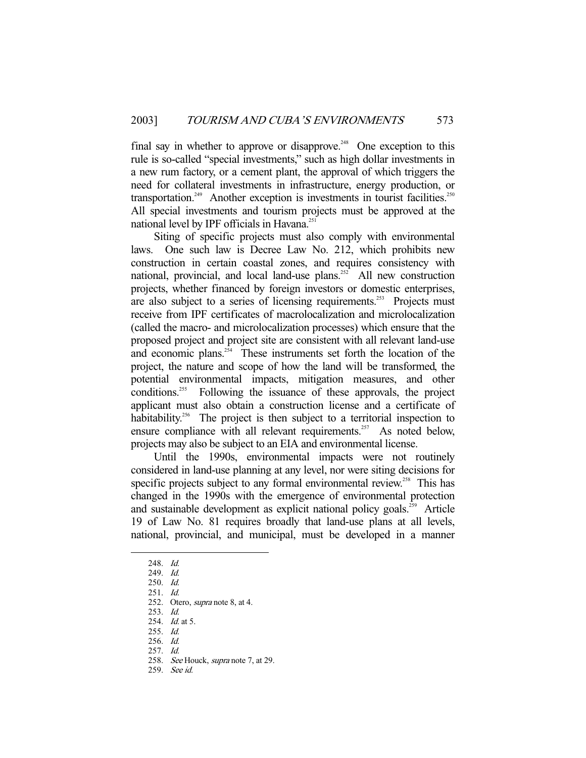final say in whether to approve or disapprove.<sup>248</sup> One exception to this rule is so-called "special investments," such as high dollar investments in a new rum factory, or a cement plant, the approval of which triggers the need for collateral investments in infrastructure, energy production, or transportation.<sup>249</sup> Another exception is investments in tourist facilities.<sup>250</sup> All special investments and tourism projects must be approved at the national level by IPF officials in Havana.<sup>251</sup>

 Siting of specific projects must also comply with environmental laws. One such law is Decree Law No. 212, which prohibits new construction in certain coastal zones, and requires consistency with national, provincial, and local land-use plans.<sup>252</sup> All new construction projects, whether financed by foreign investors or domestic enterprises, are also subject to a series of licensing requirements.<sup>253</sup> Projects must receive from IPF certificates of macrolocalization and microlocalization (called the macro- and microlocalization processes) which ensure that the proposed project and project site are consistent with all relevant land-use and economic plans. $254$  These instruments set forth the location of the project, the nature and scope of how the land will be transformed, the potential environmental impacts, mitigation measures, and other conditions.<sup>255</sup> Following the issuance of these approvals, the project applicant must also obtain a construction license and a certificate of habitability.<sup>256</sup> The project is then subject to a territorial inspection to ensure compliance with all relevant requirements.<sup>257</sup> As noted below, projects may also be subject to an EIA and environmental license.

 Until the 1990s, environmental impacts were not routinely considered in land-use planning at any level, nor were siting decisions for specific projects subject to any formal environmental review.<sup>258</sup> This has changed in the 1990s with the emergence of environmental protection and sustainable development as explicit national policy goals.<sup>259</sup> Article 19 of Law No. 81 requires broadly that land-use plans at all levels, national, provincial, and municipal, must be developed in a manner

-

256. Id.

259. See id.

 <sup>248.</sup> Id.

 <sup>249.</sup> Id.

 <sup>250.</sup> Id.

 <sup>251.</sup> Id.

 <sup>252.</sup> Otero, supra note 8, at 4.

 <sup>253.</sup> Id.

<sup>254.</sup> *Id.* at 5.

 <sup>255.</sup> Id.

 <sup>257.</sup> Id.

<sup>258.</sup> See Houck, supra note 7, at 29.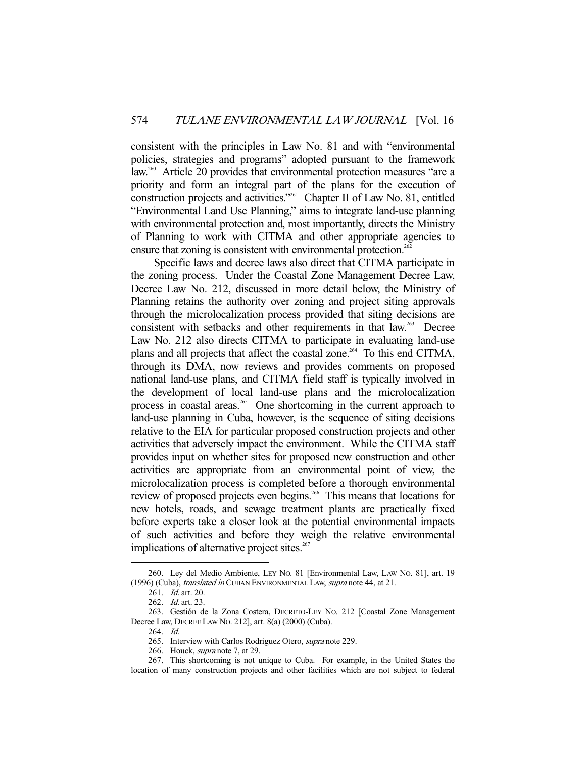consistent with the principles in Law No. 81 and with "environmental policies, strategies and programs" adopted pursuant to the framework law.<sup>260</sup> Article 20 provides that environmental protection measures "are a priority and form an integral part of the plans for the execution of construction projects and activities."261 Chapter II of Law No. 81, entitled "Environmental Land Use Planning," aims to integrate land-use planning with environmental protection and, most importantly, directs the Ministry of Planning to work with CITMA and other appropriate agencies to ensure that zoning is consistent with environmental protection.<sup>262</sup>

 Specific laws and decree laws also direct that CITMA participate in the zoning process. Under the Coastal Zone Management Decree Law, Decree Law No. 212, discussed in more detail below, the Ministry of Planning retains the authority over zoning and project siting approvals through the microlocalization process provided that siting decisions are consistent with setbacks and other requirements in that law.<sup>263</sup> Decree Law No. 212 also directs CITMA to participate in evaluating land-use plans and all projects that affect the coastal zone.<sup>264</sup> To this end CITMA, through its DMA, now reviews and provides comments on proposed national land-use plans, and CITMA field staff is typically involved in the development of local land-use plans and the microlocalization process in coastal areas.<sup>265</sup> One shortcoming in the current approach to land-use planning in Cuba, however, is the sequence of siting decisions relative to the EIA for particular proposed construction projects and other activities that adversely impact the environment. While the CITMA staff provides input on whether sites for proposed new construction and other activities are appropriate from an environmental point of view, the microlocalization process is completed before a thorough environmental review of proposed projects even begins.<sup>266</sup> This means that locations for new hotels, roads, and sewage treatment plants are practically fixed before experts take a closer look at the potential environmental impacts of such activities and before they weigh the relative environmental implications of alternative project sites.<sup>267</sup>

 <sup>260.</sup> Ley del Medio Ambiente, LEY NO. 81 [Environmental Law, LAW NO. 81], art. 19 (1996) (Cuba), translated in CUBAN ENVIRONMENTAL LAW, supra note 44, at 21.

 <sup>261.</sup> Id. art. 20.

 <sup>262.</sup> Id. art. 23.

 <sup>263.</sup> Gestión de la Zona Costera, DECRETO-LEY NO. 212 [Coastal Zone Management Decree Law, DECREE LAW NO. 212], art. 8(a) (2000) (Cuba).

 <sup>264.</sup> Id.

<sup>265.</sup> Interview with Carlos Rodriguez Otero, supra note 229.

 <sup>266.</sup> Houck, supra note 7, at 29.

 <sup>267.</sup> This shortcoming is not unique to Cuba. For example, in the United States the location of many construction projects and other facilities which are not subject to federal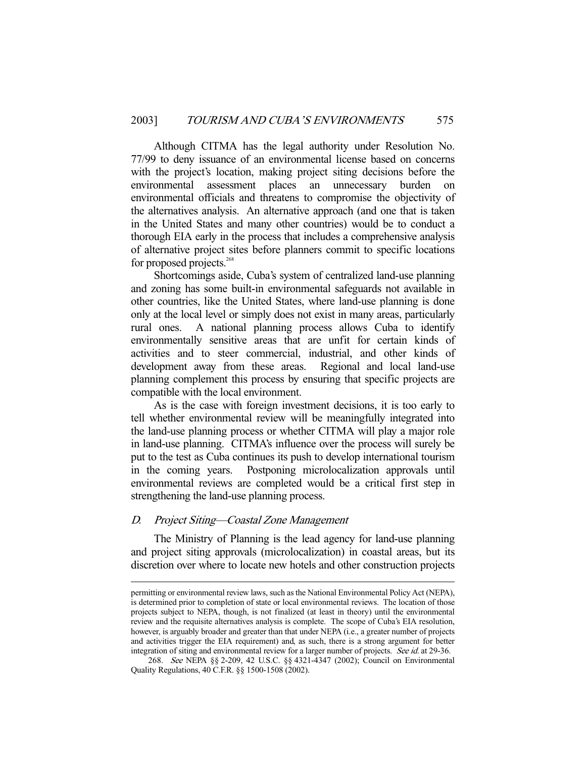Although CITMA has the legal authority under Resolution No. 77/99 to deny issuance of an environmental license based on concerns with the project's location, making project siting decisions before the environmental assessment places an unnecessary burden on environmental officials and threatens to compromise the objectivity of the alternatives analysis. An alternative approach (and one that is taken in the United States and many other countries) would be to conduct a thorough EIA early in the process that includes a comprehensive analysis of alternative project sites before planners commit to specific locations for proposed projects.<sup>268</sup>

 Shortcomings aside, Cuba's system of centralized land-use planning and zoning has some built-in environmental safeguards not available in other countries, like the United States, where land-use planning is done only at the local level or simply does not exist in many areas, particularly rural ones. A national planning process allows Cuba to identify environmentally sensitive areas that are unfit for certain kinds of activities and to steer commercial, industrial, and other kinds of development away from these areas. Regional and local land-use planning complement this process by ensuring that specific projects are compatible with the local environment.

 As is the case with foreign investment decisions, it is too early to tell whether environmental review will be meaningfully integrated into the land-use planning process or whether CITMA will play a major role in land-use planning. CITMA's influence over the process will surely be put to the test as Cuba continues its push to develop international tourism in the coming years. Postponing microlocalization approvals until environmental reviews are completed would be a critical first step in strengthening the land-use planning process.

## D. Project Siting—Coastal Zone Management

-

 The Ministry of Planning is the lead agency for land-use planning and project siting approvals (microlocalization) in coastal areas, but its discretion over where to locate new hotels and other construction projects

permitting or environmental review laws, such as the National Environmental Policy Act (NEPA), is determined prior to completion of state or local environmental reviews. The location of those projects subject to NEPA, though, is not finalized (at least in theory) until the environmental review and the requisite alternatives analysis is complete. The scope of Cuba's EIA resolution, however, is arguably broader and greater than that under NEPA (i.e., a greater number of projects and activities trigger the EIA requirement) and, as such, there is a strong argument for better integration of siting and environmental review for a larger number of projects. See id. at 29-36.

 <sup>268.</sup> See NEPA §§ 2-209, 42 U.S.C. §§ 4321-4347 (2002); Council on Environmental Quality Regulations, 40 C.F.R. §§ 1500-1508 (2002).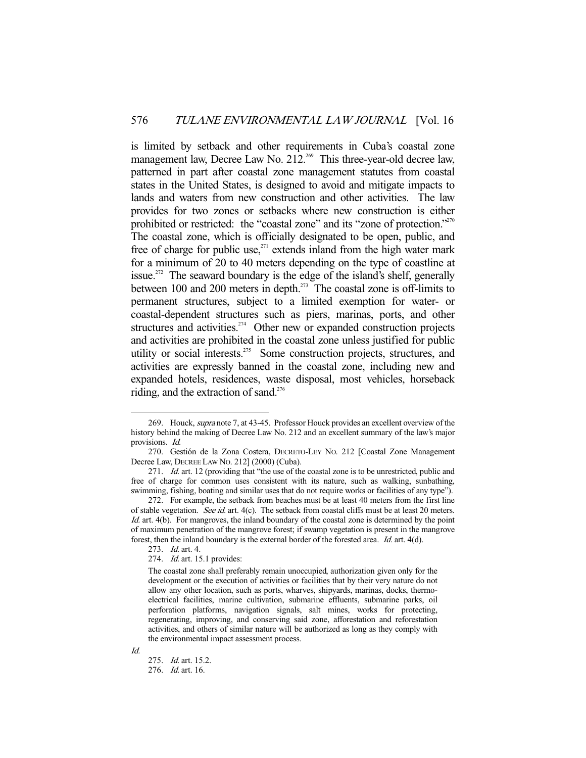is limited by setback and other requirements in Cuba's coastal zone management law, Decree Law No.  $212^{269}$  This three-year-old decree law, patterned in part after coastal zone management statutes from coastal states in the United States, is designed to avoid and mitigate impacts to lands and waters from new construction and other activities. The law provides for two zones or setbacks where new construction is either prohibited or restricted: the "coastal zone" and its "zone of protection."<sup>270</sup> The coastal zone, which is officially designated to be open, public, and free of charge for public use,<sup>271</sup> extends inland from the high water mark for a minimum of 20 to 40 meters depending on the type of coastline at issue.<sup>272</sup> The seaward boundary is the edge of the island's shelf, generally between 100 and 200 meters in depth.273 The coastal zone is off-limits to permanent structures, subject to a limited exemption for water- or coastal-dependent structures such as piers, marinas, ports, and other structures and activities.<sup> $274$ </sup> Other new or expanded construction projects and activities are prohibited in the coastal zone unless justified for public utility or social interests.<sup>275</sup> Some construction projects, structures, and activities are expressly banned in the coastal zone, including new and expanded hotels, residences, waste disposal, most vehicles, horseback riding, and the extraction of sand.<sup>276</sup>

Id.

 <sup>269.</sup> Houck, supra note 7, at 43-45. Professor Houck provides an excellent overview of the history behind the making of Decree Law No. 212 and an excellent summary of the law's major provisions. Id.

 <sup>270.</sup> Gestión de la Zona Costera, DECRETO-LEY NO. 212 [Coastal Zone Management Decree Law, DECREE LAW NO. 212] (2000) (Cuba).

<sup>271.</sup> *Id.* art. 12 (providing that "the use of the coastal zone is to be unrestricted, public and free of charge for common uses consistent with its nature, such as walking, sunbathing, swimming, fishing, boating and similar uses that do not require works or facilities of any type").

 <sup>272.</sup> For example, the setback from beaches must be at least 40 meters from the first line of stable vegetation. See id. art.  $4(c)$ . The setback from coastal cliffs must be at least 20 meters. Id. art. 4(b). For mangroves, the inland boundary of the coastal zone is determined by the point of maximum penetration of the mangrove forest; if swamp vegetation is present in the mangrove forest, then the inland boundary is the external border of the forested area. Id. art. 4(d).

<sup>273.</sup> *Id.* art. 4.

<sup>274.</sup> *Id.* art. 15.1 provides:

The coastal zone shall preferably remain unoccupied, authorization given only for the development or the execution of activities or facilities that by their very nature do not allow any other location, such as ports, wharves, shipyards, marinas, docks, thermoelectrical facilities, marine cultivation, submarine effluents, submarine parks, oil perforation platforms, navigation signals, salt mines, works for protecting, regenerating, improving, and conserving said zone, afforestation and reforestation activities, and others of similar nature will be authorized as long as they comply with the environmental impact assessment process.

 <sup>275.</sup> Id. art. 15.2.

 <sup>276.</sup> Id. art. 16.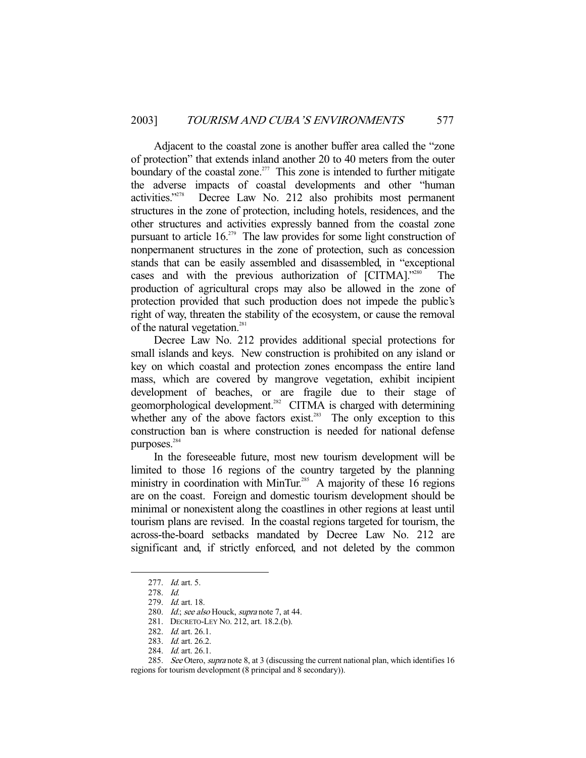Adjacent to the coastal zone is another buffer area called the "zone of protection" that extends inland another 20 to 40 meters from the outer boundary of the coastal zone.<sup>277</sup> This zone is intended to further mitigate the adverse impacts of coastal developments and other "human activities."278 Decree Law No. 212 also prohibits most permanent structures in the zone of protection, including hotels, residences, and the other structures and activities expressly banned from the coastal zone pursuant to article 16.<sup>279</sup> The law provides for some light construction of nonpermanent structures in the zone of protection, such as concession stands that can be easily assembled and disassembled, in "exceptional cases and with the previous authorization of [CITMA]."280 production of agricultural crops may also be allowed in the zone of protection provided that such production does not impede the public's right of way, threaten the stability of the ecosystem, or cause the removal of the natural vegetation.<sup>281</sup>

 Decree Law No. 212 provides additional special protections for small islands and keys. New construction is prohibited on any island or key on which coastal and protection zones encompass the entire land mass, which are covered by mangrove vegetation, exhibit incipient development of beaches, or are fragile due to their stage of geomorphological development.<sup>282</sup> CITMA is charged with determining whether any of the above factors exist.<sup>283</sup> The only exception to this construction ban is where construction is needed for national defense purposes.<sup>284</sup>

 In the foreseeable future, most new tourism development will be limited to those 16 regions of the country targeted by the planning ministry in coordination with MinTur.<sup>285</sup> A majority of these 16 regions are on the coast. Foreign and domestic tourism development should be minimal or nonexistent along the coastlines in other regions at least until tourism plans are revised. In the coastal regions targeted for tourism, the across-the-board setbacks mandated by Decree Law No. 212 are significant and, if strictly enforced, and not deleted by the common

 <sup>277.</sup> Id. art. 5.

 <sup>278.</sup> Id.

 <sup>279.</sup> Id. art. 18.

<sup>280.</sup> Id.; see also Houck, supra note 7, at 44.

 <sup>281.</sup> DECRETO-LEY NO. 212, art. 18.2.(b).

<sup>282.</sup> *Id.* art. 26.1.

 <sup>283.</sup> Id. art. 26.2.

<sup>284.</sup> *Id.* art. 26.1.

<sup>285.</sup> See Otero, supra note 8, at 3 (discussing the current national plan, which identifies 16 regions for tourism development (8 principal and 8 secondary)).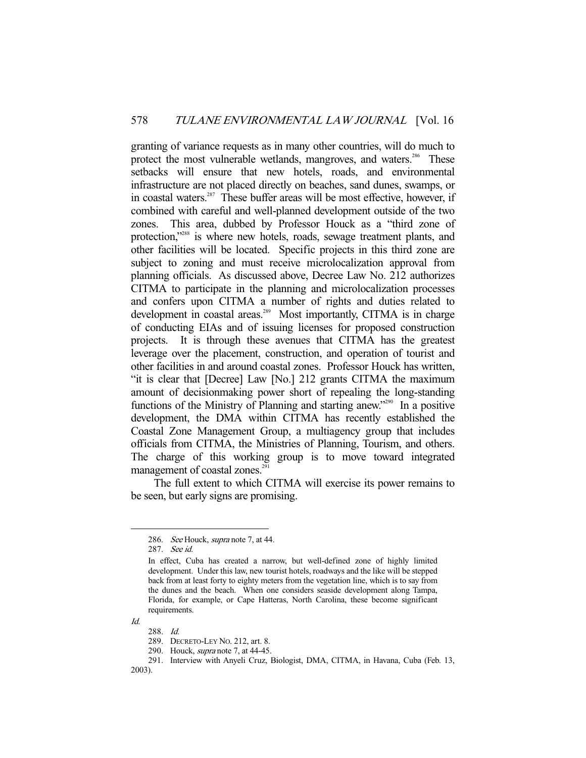granting of variance requests as in many other countries, will do much to protect the most vulnerable wetlands, mangroves, and waters.<sup>286</sup> These setbacks will ensure that new hotels, roads, and environmental infrastructure are not placed directly on beaches, sand dunes, swamps, or in coastal waters.<sup>287</sup> These buffer areas will be most effective, however, if combined with careful and well-planned development outside of the two zones. This area, dubbed by Professor Houck as a "third zone of protection,"<sup>288</sup> is where new hotels, roads, sewage treatment plants, and other facilities will be located. Specific projects in this third zone are subject to zoning and must receive microlocalization approval from planning officials. As discussed above, Decree Law No. 212 authorizes CITMA to participate in the planning and microlocalization processes and confers upon CITMA a number of rights and duties related to development in coastal areas.<sup>289</sup> Most importantly, CITMA is in charge of conducting EIAs and of issuing licenses for proposed construction projects. It is through these avenues that CITMA has the greatest leverage over the placement, construction, and operation of tourist and other facilities in and around coastal zones. Professor Houck has written, "it is clear that [Decree] Law [No.] 212 grants CITMA the maximum amount of decisionmaking power short of repealing the long-standing functions of the Ministry of Planning and starting anew."<sup>290</sup> In a positive development, the DMA within CITMA has recently established the Coastal Zone Management Group, a multiagency group that includes officials from CITMA, the Ministries of Planning, Tourism, and others. The charge of this working group is to move toward integrated management of coastal zones. $291$ 

 The full extent to which CITMA will exercise its power remains to be seen, but early signs are promising.

Id.

<sup>286.</sup> See Houck, supra note 7, at 44.

 <sup>287.</sup> See id.

In effect, Cuba has created a narrow, but well-defined zone of highly limited development. Under this law, new tourist hotels, roadways and the like will be stepped back from at least forty to eighty meters from the vegetation line, which is to say from the dunes and the beach. When one considers seaside development along Tampa, Florida, for example, or Cape Hatteras, North Carolina, these become significant requirements.

 <sup>288.</sup> Id.

 <sup>289.</sup> DECRETO-LEY NO. 212, art. 8.

<sup>290.</sup> Houck, *supra* note 7, at 44-45.

 <sup>291.</sup> Interview with Anyeli Cruz, Biologist, DMA, CITMA, in Havana, Cuba (Feb. 13,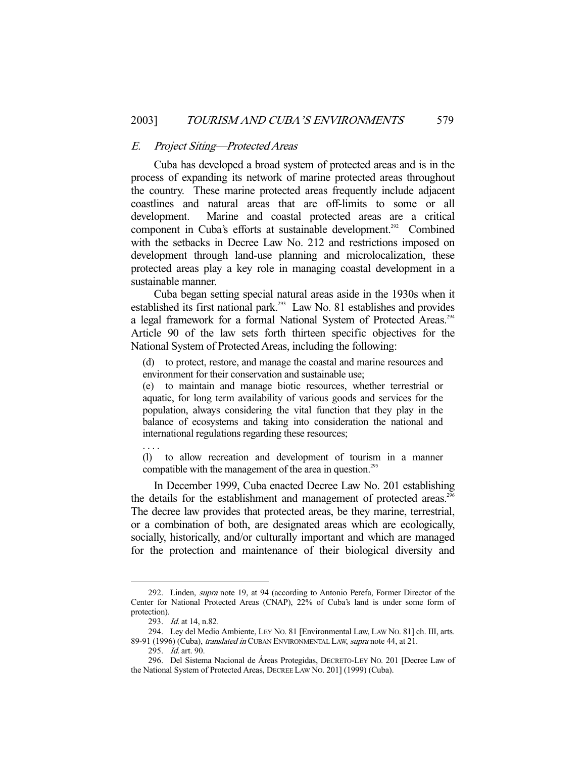#### E. Project Siting—Protected Areas

 Cuba has developed a broad system of protected areas and is in the process of expanding its network of marine protected areas throughout the country. These marine protected areas frequently include adjacent coastlines and natural areas that are off-limits to some or all development. Marine and coastal protected areas are a critical component in Cuba's efforts at sustainable development.<sup>292</sup> Combined with the setbacks in Decree Law No. 212 and restrictions imposed on development through land-use planning and microlocalization, these protected areas play a key role in managing coastal development in a sustainable manner.

 Cuba began setting special natural areas aside in the 1930s when it established its first national park.<sup>293</sup> Law No. 81 establishes and provides a legal framework for a formal National System of Protected Areas.<sup>294</sup> Article 90 of the law sets forth thirteen specific objectives for the National System of Protected Areas, including the following:

(d) to protect, restore, and manage the coastal and marine resources and environment for their conservation and sustainable use;

(e) to maintain and manage biotic resources, whether terrestrial or aquatic, for long term availability of various goods and services for the population, always considering the vital function that they play in the balance of ecosystems and taking into consideration the national and international regulations regarding these resources;

. . . .

-

(l) to allow recreation and development of tourism in a manner compatible with the management of the area in question.<sup>295</sup>

 In December 1999, Cuba enacted Decree Law No. 201 establishing the details for the establishment and management of protected areas.<sup>296</sup> The decree law provides that protected areas, be they marine, terrestrial, or a combination of both, are designated areas which are ecologically, socially, historically, and/or culturally important and which are managed for the protection and maintenance of their biological diversity and

 <sup>292.</sup> Linden, supra note 19, at 94 (according to Antonio Perefa, Former Director of the Center for National Protected Areas (CNAP), 22% of Cuba's land is under some form of protection).

<sup>293.</sup> *Id.* at 14, n.82.

 <sup>294.</sup> Ley del Medio Ambiente, LEY NO. 81 [Environmental Law, LAW NO. 81] ch. III, arts. 89-91 (1996) (Cuba), translated in CUBAN ENVIRONMENTAL LAW, supra note 44, at 21.

 <sup>295.</sup> Id. art. 90.

 <sup>296.</sup> Del Sistema Nacional de Áreas Protegidas, DECRETO-LEY NO. 201 [Decree Law of the National System of Protected Areas, DECREE LAW NO. 201] (1999) (Cuba).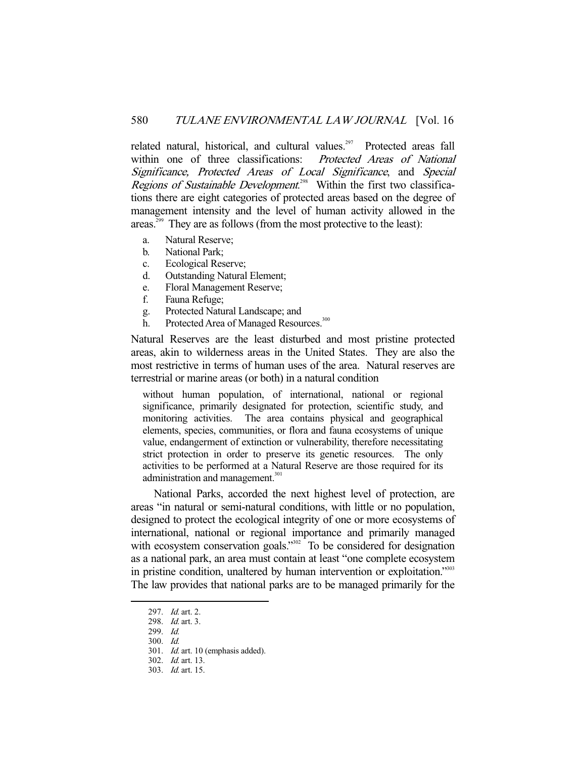related natural, historical, and cultural values.<sup>297</sup> Protected areas fall within one of three classifications: Protected Areas of National Significance, Protected Areas of Local Significance, and Special Regions of Sustainable Development.<sup>298</sup> Within the first two classifications there are eight categories of protected areas based on the degree of management intensity and the level of human activity allowed in the areas.<sup>299</sup> They are as follows (from the most protective to the least):

- a. Natural Reserve;
- b. National Park;
- c. Ecological Reserve;
- d. Outstanding Natural Element;
- e. Floral Management Reserve;
- f. Fauna Refuge;
- g. Protected Natural Landscape; and
- h. Protected Area of Managed Resources.<sup>300</sup>

Natural Reserves are the least disturbed and most pristine protected areas, akin to wilderness areas in the United States. They are also the most restrictive in terms of human uses of the area. Natural reserves are terrestrial or marine areas (or both) in a natural condition

without human population, of international, national or regional significance, primarily designated for protection, scientific study, and monitoring activities. The area contains physical and geographical elements, species, communities, or flora and fauna ecosystems of unique value, endangerment of extinction or vulnerability, therefore necessitating strict protection in order to preserve its genetic resources. The only activities to be performed at a Natural Reserve are those required for its administration and management.<sup>301</sup>

 National Parks, accorded the next highest level of protection, are areas "in natural or semi-natural conditions, with little or no population, designed to protect the ecological integrity of one or more ecosystems of international, national or regional importance and primarily managed with ecosystem conservation goals."<sup>302</sup> To be considered for designation as a national park, an area must contain at least "one complete ecosystem in pristine condition, unaltered by human intervention or exploitation."303 The law provides that national parks are to be managed primarily for the

<sup>297.</sup> *Id.* art. 2.

 <sup>298.</sup> Id. art. 3.

 <sup>299.</sup> Id.

 <sup>300.</sup> Id.

 <sup>301.</sup> Id. art. 10 (emphasis added).

 <sup>302.</sup> Id. art. 13.

 <sup>303.</sup> Id. art. 15.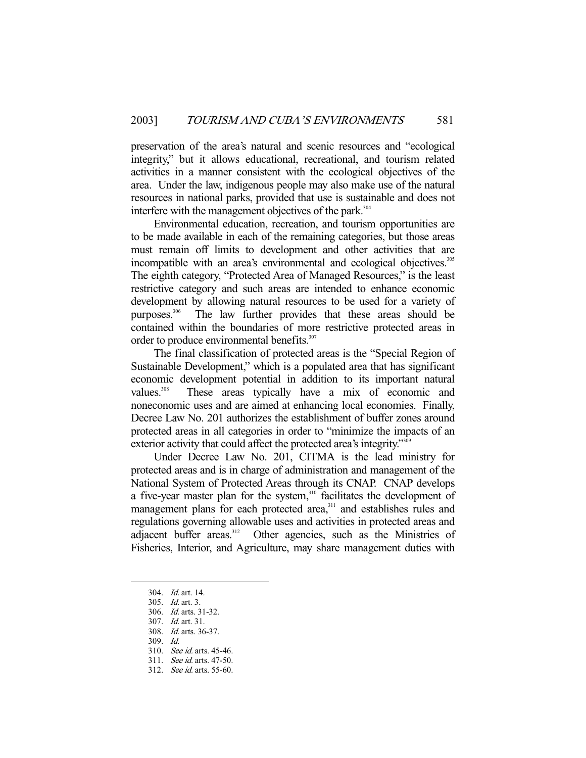preservation of the area's natural and scenic resources and "ecological integrity," but it allows educational, recreational, and tourism related activities in a manner consistent with the ecological objectives of the area. Under the law, indigenous people may also make use of the natural resources in national parks, provided that use is sustainable and does not interfere with the management objectives of the park.<sup>304</sup>

 Environmental education, recreation, and tourism opportunities are to be made available in each of the remaining categories, but those areas must remain off limits to development and other activities that are incompatible with an area's environmental and ecological objectives.<sup>305</sup> The eighth category, "Protected Area of Managed Resources," is the least restrictive category and such areas are intended to enhance economic development by allowing natural resources to be used for a variety of purposes.306 The law further provides that these areas should be contained within the boundaries of more restrictive protected areas in order to produce environmental benefits.<sup>307</sup>

 The final classification of protected areas is the "Special Region of Sustainable Development," which is a populated area that has significant economic development potential in addition to its important natural values.<sup>308</sup> These areas typically have a mix of economic and noneconomic uses and are aimed at enhancing local economies. Finally, Decree Law No. 201 authorizes the establishment of buffer zones around protected areas in all categories in order to "minimize the impacts of an exterior activity that could affect the protected area's integrity."<sup>309</sup>

 Under Decree Law No. 201, CITMA is the lead ministry for protected areas and is in charge of administration and management of the National System of Protected Areas through its CNAP. CNAP develops a five-year master plan for the system,<sup>310</sup> facilitates the development of management plans for each protected area,<sup>311</sup> and establishes rules and regulations governing allowable uses and activities in protected areas and adjacent buffer areas.<sup>312</sup> Other agencies, such as the Ministries of Fisheries, Interior, and Agriculture, may share management duties with

 <sup>304.</sup> Id. art. 14.

 <sup>305.</sup> Id. art. 3.

 <sup>306.</sup> Id. arts. 31-32.

 <sup>307.</sup> Id. art. 31.

 <sup>308.</sup> Id. arts. 36-37.

 <sup>309.</sup> Id.

 <sup>310.</sup> See id. arts. 45-46.

 <sup>311.</sup> See id. arts. 47-50.

 <sup>312.</sup> See id. arts. 55-60.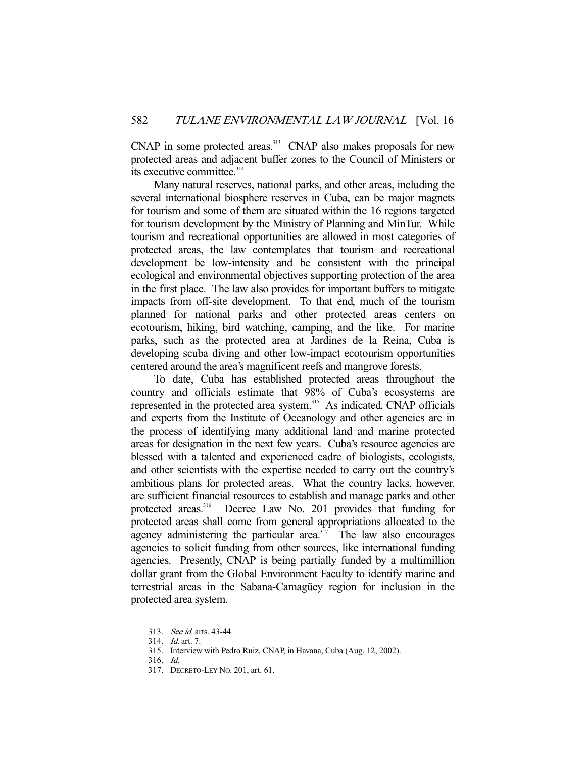CNAP in some protected areas.<sup>313</sup> CNAP also makes proposals for new protected areas and adjacent buffer zones to the Council of Ministers or its executive committee.<sup>314</sup>

 Many natural reserves, national parks, and other areas, including the several international biosphere reserves in Cuba, can be major magnets for tourism and some of them are situated within the 16 regions targeted for tourism development by the Ministry of Planning and MinTur. While tourism and recreational opportunities are allowed in most categories of protected areas, the law contemplates that tourism and recreational development be low-intensity and be consistent with the principal ecological and environmental objectives supporting protection of the area in the first place. The law also provides for important buffers to mitigate impacts from off-site development. To that end, much of the tourism planned for national parks and other protected areas centers on ecotourism, hiking, bird watching, camping, and the like. For marine parks, such as the protected area at Jardines de la Reina, Cuba is developing scuba diving and other low-impact ecotourism opportunities centered around the area's magnificent reefs and mangrove forests.

 To date, Cuba has established protected areas throughout the country and officials estimate that 98% of Cuba's ecosystems are represented in the protected area system.<sup>315</sup> As indicated, CNAP officials and experts from the Institute of Oceanology and other agencies are in the process of identifying many additional land and marine protected areas for designation in the next few years. Cuba's resource agencies are blessed with a talented and experienced cadre of biologists, ecologists, and other scientists with the expertise needed to carry out the country's ambitious plans for protected areas. What the country lacks, however, are sufficient financial resources to establish and manage parks and other protected areas.<sup>316</sup> Decree Law No. 201 provides that funding for Decree Law No. 201 provides that funding for protected areas shall come from general appropriations allocated to the agency administering the particular area. $317$  The law also encourages agencies to solicit funding from other sources, like international funding agencies. Presently, CNAP is being partially funded by a multimillion dollar grant from the Global Environment Faculty to identify marine and terrestrial areas in the Sabana-Camagüey region for inclusion in the protected area system.

 <sup>313.</sup> See id. arts. 43-44.

 <sup>314.</sup> Id. art. 7.

 <sup>315.</sup> Interview with Pedro Ruiz, CNAP, in Havana, Cuba (Aug. 12, 2002).

 <sup>316.</sup> Id.

 <sup>317.</sup> DECRETO-LEY NO. 201, art. 61.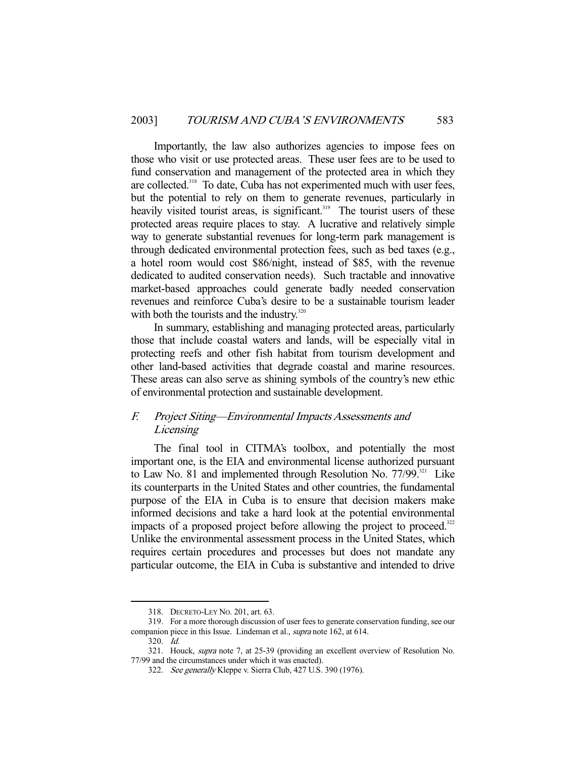Importantly, the law also authorizes agencies to impose fees on those who visit or use protected areas. These user fees are to be used to fund conservation and management of the protected area in which they are collected.<sup>318</sup> To date, Cuba has not experimented much with user fees, but the potential to rely on them to generate revenues, particularly in heavily visited tourist areas, is significant.<sup>319</sup> The tourist users of these protected areas require places to stay. A lucrative and relatively simple way to generate substantial revenues for long-term park management is through dedicated environmental protection fees, such as bed taxes (e.g., a hotel room would cost \$86/night, instead of \$85, with the revenue dedicated to audited conservation needs). Such tractable and innovative market-based approaches could generate badly needed conservation revenues and reinforce Cuba's desire to be a sustainable tourism leader with both the tourists and the industry.<sup>320</sup>

 In summary, establishing and managing protected areas, particularly those that include coastal waters and lands, will be especially vital in protecting reefs and other fish habitat from tourism development and other land-based activities that degrade coastal and marine resources. These areas can also serve as shining symbols of the country's new ethic of environmental protection and sustainable development.

## F. Project Siting—Environmental Impacts Assessments and *Licensing*

 The final tool in CITMA's toolbox, and potentially the most important one, is the EIA and environmental license authorized pursuant to Law No. 81 and implemented through Resolution No.  $77/99$ <sup>321</sup> Like its counterparts in the United States and other countries, the fundamental purpose of the EIA in Cuba is to ensure that decision makers make informed decisions and take a hard look at the potential environmental impacts of a proposed project before allowing the project to proceed.<sup>322</sup> Unlike the environmental assessment process in the United States, which requires certain procedures and processes but does not mandate any particular outcome, the EIA in Cuba is substantive and intended to drive

320. Id.

 <sup>318.</sup> DECRETO-LEY NO. 201, art. 63.

 <sup>319.</sup> For a more thorough discussion of user fees to generate conservation funding, see our companion piece in this Issue. Lindeman et al., supra note 162, at 614.

<sup>321.</sup> Houck, *supra* note 7, at 25-39 (providing an excellent overview of Resolution No. 77/99 and the circumstances under which it was enacted).

<sup>322.</sup> See generally Kleppe v. Sierra Club, 427 U.S. 390 (1976).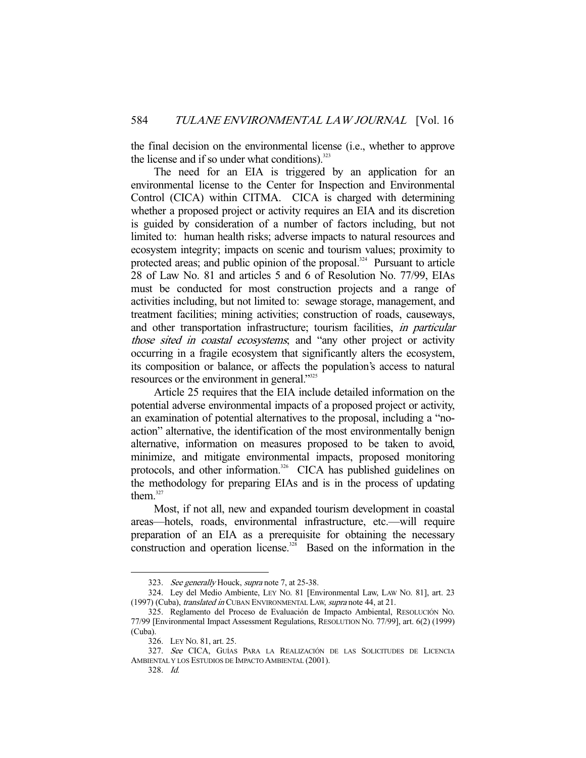the final decision on the environmental license (i.e., whether to approve the license and if so under what conditions).<sup>323</sup>

 The need for an EIA is triggered by an application for an environmental license to the Center for Inspection and Environmental Control (CICA) within CITMA. CICA is charged with determining whether a proposed project or activity requires an EIA and its discretion is guided by consideration of a number of factors including, but not limited to: human health risks; adverse impacts to natural resources and ecosystem integrity; impacts on scenic and tourism values; proximity to protected areas; and public opinion of the proposal.<sup>324</sup> Pursuant to article 28 of Law No. 81 and articles 5 and 6 of Resolution No. 77/99, EIAs must be conducted for most construction projects and a range of activities including, but not limited to: sewage storage, management, and treatment facilities; mining activities; construction of roads, causeways, and other transportation infrastructure; tourism facilities, in particular those sited in coastal ecosystems; and "any other project or activity occurring in a fragile ecosystem that significantly alters the ecosystem, its composition or balance, or affects the population's access to natural resources or the environment in general."<sup>325</sup>

 Article 25 requires that the EIA include detailed information on the potential adverse environmental impacts of a proposed project or activity, an examination of potential alternatives to the proposal, including a "noaction" alternative, the identification of the most environmentally benign alternative, information on measures proposed to be taken to avoid, minimize, and mitigate environmental impacts, proposed monitoring protocols, and other information.<sup>326</sup> CICA has published guidelines on the methodology for preparing EIAs and is in the process of updating them. $327$ 

 Most, if not all, new and expanded tourism development in coastal areas—hotels, roads, environmental infrastructure, etc.—will require preparation of an EIA as a prerequisite for obtaining the necessary construction and operation license.<sup>328</sup> Based on the information in the

<sup>323.</sup> See generally Houck, supra note 7, at 25-38.

 <sup>324.</sup> Ley del Medio Ambiente, LEY NO. 81 [Environmental Law, LAW NO. 81], art. 23 (1997) (Cuba), translated in CUBAN ENVIRONMENTAL LAW, supra note 44, at 21.

 <sup>325.</sup> Reglamento del Proceso de Evaluación de Impacto Ambiental, RESOLUCIÓN NO. 77/99 [Environmental Impact Assessment Regulations, RESOLUTION NO. 77/99], art. 6(2) (1999) (Cuba).

 <sup>326.</sup> LEY NO. 81, art. 25.

 <sup>327.</sup> See CICA, GUÍAS PARA LA REALIZACIÓN DE LAS SOLICITUDES DE LICENCIA AMBIENTAL Y LOS ESTUDIOS DE IMPACTO AMBIENTAL (2001).

 <sup>328.</sup> Id.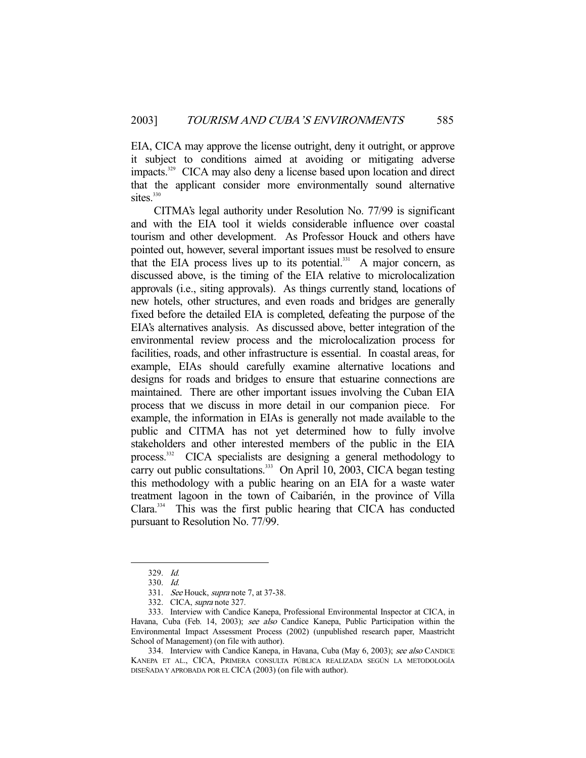EIA, CICA may approve the license outright, deny it outright, or approve it subject to conditions aimed at avoiding or mitigating adverse impacts.329 CICA may also deny a license based upon location and direct that the applicant consider more environmentally sound alternative sites. $330$ 

 CITMA's legal authority under Resolution No. 77/99 is significant and with the EIA tool it wields considerable influence over coastal tourism and other development. As Professor Houck and others have pointed out, however, several important issues must be resolved to ensure that the EIA process lives up to its potential.<sup>331</sup> A major concern, as discussed above, is the timing of the EIA relative to microlocalization approvals (i.e., siting approvals). As things currently stand, locations of new hotels, other structures, and even roads and bridges are generally fixed before the detailed EIA is completed, defeating the purpose of the EIA's alternatives analysis. As discussed above, better integration of the environmental review process and the microlocalization process for facilities, roads, and other infrastructure is essential. In coastal areas, for example, EIAs should carefully examine alternative locations and designs for roads and bridges to ensure that estuarine connections are maintained. There are other important issues involving the Cuban EIA process that we discuss in more detail in our companion piece. For example, the information in EIAs is generally not made available to the public and CITMA has not yet determined how to fully involve stakeholders and other interested members of the public in the EIA process.332 CICA specialists are designing a general methodology to carry out public consultations.<sup>333</sup> On April 10, 2003, CICA began testing this methodology with a public hearing on an EIA for a waste water treatment lagoon in the town of Caibarién, in the province of Villa Clara.334 This was the first public hearing that CICA has conducted pursuant to Resolution No. 77/99.

-

334. Interview with Candice Kanepa, in Havana, Cuba (May 6, 2003); see also CANDICE KANEPA ET AL., CICA, PRIMERA CONSULTA PÚBLICA REALIZADA SEGÚN LA METODOLOGÍA DISEÑADA Y APROBADA POR EL CICA (2003) (on file with author).

 <sup>329.</sup> Id.

 <sup>330.</sup> Id.

 <sup>331.</sup> See Houck, supra note 7, at 37-38.

 <sup>332.</sup> CICA, supra note 327.

 <sup>333.</sup> Interview with Candice Kanepa, Professional Environmental Inspector at CICA, in Havana, Cuba (Feb. 14, 2003); see also Candice Kanepa, Public Participation within the Environmental Impact Assessment Process (2002) (unpublished research paper, Maastricht School of Management) (on file with author).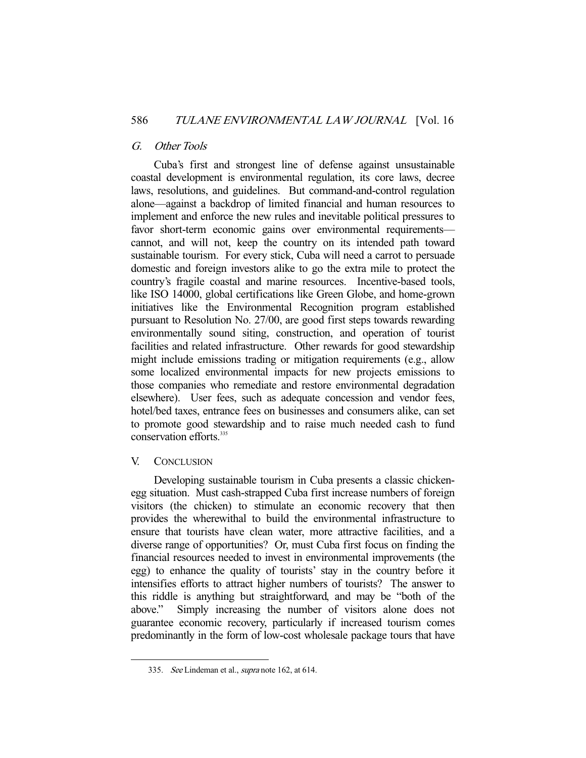## G. Other Tools

 Cuba's first and strongest line of defense against unsustainable coastal development is environmental regulation, its core laws, decree laws, resolutions, and guidelines. But command-and-control regulation alone—against a backdrop of limited financial and human resources to implement and enforce the new rules and inevitable political pressures to favor short-term economic gains over environmental requirements cannot, and will not, keep the country on its intended path toward sustainable tourism. For every stick, Cuba will need a carrot to persuade domestic and foreign investors alike to go the extra mile to protect the country's fragile coastal and marine resources. Incentive-based tools, like ISO 14000, global certifications like Green Globe, and home-grown initiatives like the Environmental Recognition program established pursuant to Resolution No. 27/00, are good first steps towards rewarding environmentally sound siting, construction, and operation of tourist facilities and related infrastructure. Other rewards for good stewardship might include emissions trading or mitigation requirements (e.g., allow some localized environmental impacts for new projects emissions to those companies who remediate and restore environmental degradation elsewhere). User fees, such as adequate concession and vendor fees, hotel/bed taxes, entrance fees on businesses and consumers alike, can set to promote good stewardship and to raise much needed cash to fund conservation efforts.<sup>335</sup>

#### V. CONCLUSION

-

 Developing sustainable tourism in Cuba presents a classic chickenegg situation. Must cash-strapped Cuba first increase numbers of foreign visitors (the chicken) to stimulate an economic recovery that then provides the wherewithal to build the environmental infrastructure to ensure that tourists have clean water, more attractive facilities, and a diverse range of opportunities? Or, must Cuba first focus on finding the financial resources needed to invest in environmental improvements (the egg) to enhance the quality of tourists' stay in the country before it intensifies efforts to attract higher numbers of tourists? The answer to this riddle is anything but straightforward, and may be "both of the above." Simply increasing the number of visitors alone does not guarantee economic recovery, particularly if increased tourism comes predominantly in the form of low-cost wholesale package tours that have

 <sup>335.</sup> See Lindeman et al., supra note 162, at 614.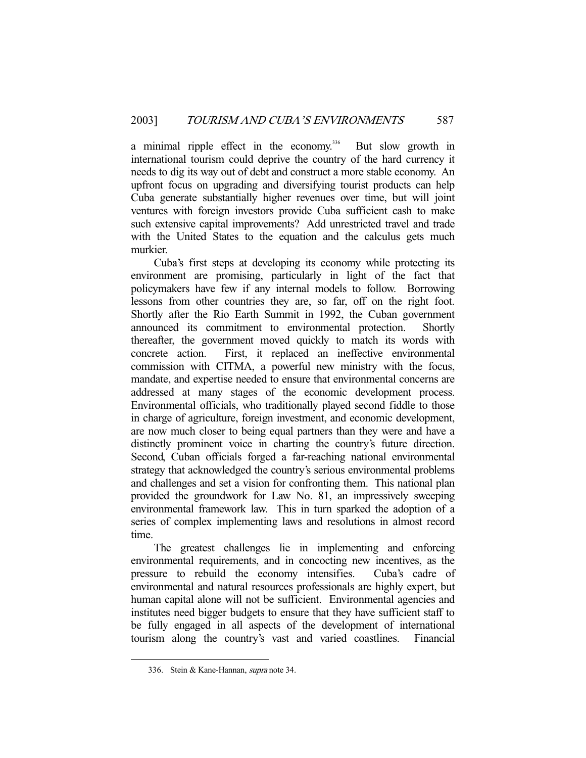a minimal ripple effect in the economy.<sup>336</sup> But slow growth in international tourism could deprive the country of the hard currency it needs to dig its way out of debt and construct a more stable economy. An upfront focus on upgrading and diversifying tourist products can help Cuba generate substantially higher revenues over time, but will joint ventures with foreign investors provide Cuba sufficient cash to make such extensive capital improvements? Add unrestricted travel and trade with the United States to the equation and the calculus gets much murkier.

 Cuba's first steps at developing its economy while protecting its environment are promising, particularly in light of the fact that policymakers have few if any internal models to follow. Borrowing lessons from other countries they are, so far, off on the right foot. Shortly after the Rio Earth Summit in 1992, the Cuban government announced its commitment to environmental protection. Shortly thereafter, the government moved quickly to match its words with concrete action. First, it replaced an ineffective environmental commission with CITMA, a powerful new ministry with the focus, mandate, and expertise needed to ensure that environmental concerns are addressed at many stages of the economic development process. Environmental officials, who traditionally played second fiddle to those in charge of agriculture, foreign investment, and economic development, are now much closer to being equal partners than they were and have a distinctly prominent voice in charting the country's future direction. Second, Cuban officials forged a far-reaching national environmental strategy that acknowledged the country's serious environmental problems and challenges and set a vision for confronting them. This national plan provided the groundwork for Law No. 81, an impressively sweeping environmental framework law. This in turn sparked the adoption of a series of complex implementing laws and resolutions in almost record time.

 The greatest challenges lie in implementing and enforcing environmental requirements, and in concocting new incentives, as the pressure to rebuild the economy intensifies. Cuba's cadre of environmental and natural resources professionals are highly expert, but human capital alone will not be sufficient. Environmental agencies and institutes need bigger budgets to ensure that they have sufficient staff to be fully engaged in all aspects of the development of international tourism along the country's vast and varied coastlines. Financial

 <sup>336.</sup> Stein & Kane-Hannan, supra note 34.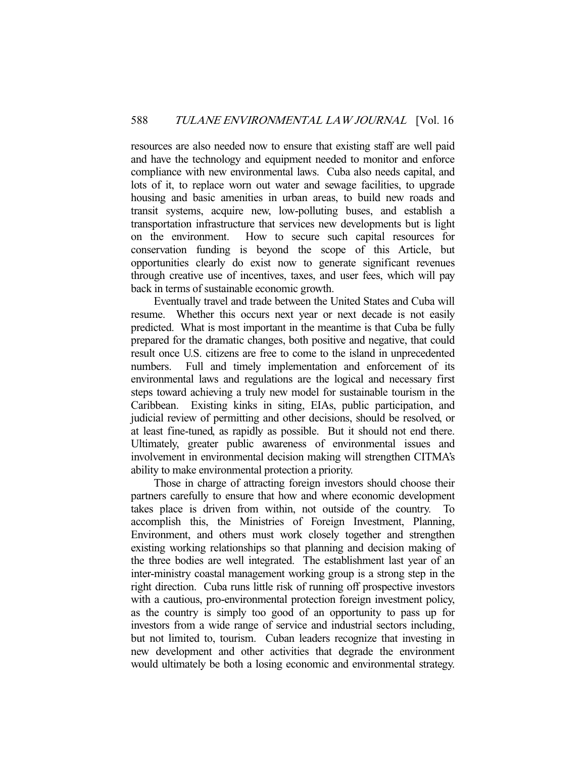resources are also needed now to ensure that existing staff are well paid and have the technology and equipment needed to monitor and enforce compliance with new environmental laws. Cuba also needs capital, and lots of it, to replace worn out water and sewage facilities, to upgrade housing and basic amenities in urban areas, to build new roads and transit systems, acquire new, low-polluting buses, and establish a transportation infrastructure that services new developments but is light on the environment. How to secure such capital resources for conservation funding is beyond the scope of this Article, but opportunities clearly do exist now to generate significant revenues through creative use of incentives, taxes, and user fees, which will pay back in terms of sustainable economic growth.

 Eventually travel and trade between the United States and Cuba will resume. Whether this occurs next year or next decade is not easily predicted. What is most important in the meantime is that Cuba be fully prepared for the dramatic changes, both positive and negative, that could result once U.S. citizens are free to come to the island in unprecedented numbers. Full and timely implementation and enforcement of its environmental laws and regulations are the logical and necessary first steps toward achieving a truly new model for sustainable tourism in the Caribbean. Existing kinks in siting, EIAs, public participation, and judicial review of permitting and other decisions, should be resolved, or at least fine-tuned, as rapidly as possible. But it should not end there. Ultimately, greater public awareness of environmental issues and involvement in environmental decision making will strengthen CITMA's ability to make environmental protection a priority.

 Those in charge of attracting foreign investors should choose their partners carefully to ensure that how and where economic development takes place is driven from within, not outside of the country. To accomplish this, the Ministries of Foreign Investment, Planning, Environment, and others must work closely together and strengthen existing working relationships so that planning and decision making of the three bodies are well integrated. The establishment last year of an inter-ministry coastal management working group is a strong step in the right direction. Cuba runs little risk of running off prospective investors with a cautious, pro-environmental protection foreign investment policy, as the country is simply too good of an opportunity to pass up for investors from a wide range of service and industrial sectors including, but not limited to, tourism. Cuban leaders recognize that investing in new development and other activities that degrade the environment would ultimately be both a losing economic and environmental strategy.